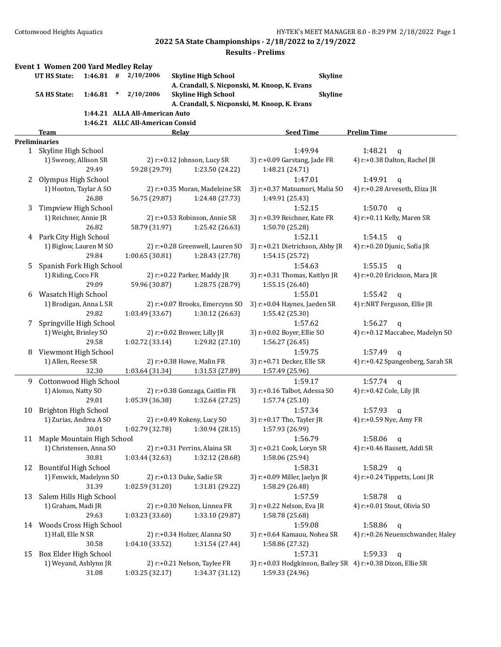|    | Event 1 Women 200 Yard Medley Relay |         |        |                                  |       |                                 |                                                             |                                  |
|----|-------------------------------------|---------|--------|----------------------------------|-------|---------------------------------|-------------------------------------------------------------|----------------------------------|
|    | <b>UT HS State:</b>                 |         |        | $1:46.81$ # $2/10/2006$          |       | <b>Skyline High School</b>      | <b>Skyline</b>                                              |                                  |
|    |                                     |         |        |                                  |       |                                 | A. Crandall, S. Nicponski, M. Knoop, K. Evans               |                                  |
|    | <b>5A HS State:</b>                 | 1:46.81 | $\ast$ | 2/10/2006                        |       | <b>Skyline High School</b>      | <b>Skyline</b>                                              |                                  |
|    |                                     |         |        |                                  |       |                                 | A. Crandall, S. Nicponski, M. Knoop, K. Evans               |                                  |
|    |                                     |         |        | 1:44.21 ALLA All-American Auto   |       |                                 |                                                             |                                  |
|    |                                     |         |        | 1:46.21 ALLC All-American Consid |       |                                 |                                                             |                                  |
|    | Team                                |         |        |                                  | Relay |                                 | <b>Seed Time</b>                                            | <b>Prelim Time</b>               |
|    | <b>Preliminaries</b>                |         |        |                                  |       |                                 |                                                             |                                  |
| 1  | Skyline High School                 |         |        |                                  |       |                                 | 1:49.94                                                     | 1:48.21<br>$\mathbf q$           |
|    | 1) Sweney, Allison SR               |         |        |                                  |       | 2) r:+0.12 Johnson, Lucy SR     | 3) r:+0.09 Garstang, Jade FR                                | 4) r:+0.38 Dalton, Rachel JR     |
|    |                                     | 29.49   |        | 59.28 (29.79)                    |       | 1:23.50 (24.22)                 | 1:48.21 (24.71)                                             |                                  |
| 2  | Olympus High School                 |         |        |                                  |       |                                 | 1:47.01                                                     | 1:49.91<br>$\mathbf q$           |
|    | 1) Hooton, Taylar A SO              |         |        |                                  |       | 2) r:+0.35 Moran, Madeleine SR  | 3) r:+0.37 Matsumori, Malia SO                              | 4) r:+0.28 Arveseth, Eliza JR    |
|    |                                     | 26.88   |        | 56.75 (29.87)                    |       | 1:24.48 (27.73)                 | 1:49.91 (25.43)                                             |                                  |
| 3  | Timpview High School                |         |        |                                  |       |                                 | 1:52.15                                                     | 1:50.70<br>$\mathbf q$           |
|    | 1) Reichner, Annie JR               |         |        |                                  |       | 2) r:+0.53 Robinson, Annie SR   | 3) r:+0.39 Reichner, Kate FR                                | 4) r:+0.11 Kelly, Maren SR       |
|    |                                     | 26.82   |        | 58.79 (31.97)                    |       | 1:25.42 (26.63)                 | 1:50.70 (25.28)                                             |                                  |
| 4  | Park City High School               |         |        |                                  |       |                                 | 1:52.11                                                     | 1:54.15<br>q                     |
|    | 1) Biglow, Lauren M SO              |         |        |                                  |       | 2) r:+0.28 Greenwell, Lauren SO | 3) r:+0.21 Dietrichson, Abby JR                             | 4) r:+0.20 Djunic, Sofia JR      |
|    |                                     | 29.84   |        | 1:00.65(30.81)                   |       | 1:28.43 (27.78)                 | 1:54.15 (25.72)                                             |                                  |
| 5. | Spanish Fork High School            |         |        |                                  |       |                                 | 1:54.63                                                     | 1:55.15<br>q                     |
|    | 1) Riding, Coco FR                  |         |        |                                  |       | 2) r:+0.22 Parker, Maddy JR     | 3) r:+0.31 Thomas, Kaitlyn JR                               | 4) r:+0.20 Erickson, Mara JR     |
|    |                                     | 29.09   |        | 59.96 (30.87)                    |       | 1:28.75 (28.79)                 | 1:55.15 (26.40)                                             |                                  |
| 6  | Wasatch High School                 |         |        |                                  |       |                                 | 1:55.01                                                     | 1:55.42<br>$\mathbf{q}$          |
|    | 1) Brodigan, Anna L SR              |         |        |                                  |       | 2) r:+0.07 Brooks, Emercynn SO  | 3) r:+0.04 Haynes, Jaeden SR                                | 4) r:NRT Ferguson, Ellie JR      |
|    |                                     | 29.82   |        | 1:03.49 (33.67)                  |       | 1:30.12 (26.63)                 | 1:55.42 (25.30)                                             |                                  |
| 7  | Springville High School             |         |        |                                  |       |                                 | 1:57.62                                                     | 1:56.27<br>$\mathsf{q}$          |
|    | 1) Weight, Brinley SO               |         |        |                                  |       | 2) r:+0.02 Brower, Lilly JR     | 3) r:+0.02 Boyer, Ellie SO                                  | 4) r:+0.12 Maccabee, Madelyn SO  |
|    |                                     | 29.58   |        | 1:02.72 (33.14)                  |       | 1:29.82 (27.10)                 | 1:56.27 (26.45)                                             |                                  |
| 8  | Viewmont High School                |         |        |                                  |       |                                 | 1:59.75                                                     | 1:57.49<br>$\mathbf q$           |
|    | 1) Allen, Reese SR                  |         |        |                                  |       | 2) r:+0.38 Howe, Malin FR       | 3) r:+0.71 Decker, Elle SR                                  | 4) r:+0.42 Spangenberg, Sarah SR |
|    |                                     | 32.30   |        | 1:03.64 (31.34)                  |       | 1:31.53 (27.89)                 | 1:57.49 (25.96)                                             |                                  |
| 9  | Cottonwood High School              |         |        |                                  |       |                                 | 1:59.17                                                     | 1:57.74<br>$\mathbf q$           |
|    | 1) Alonso, Natty SO                 |         |        |                                  |       | 2) r:+0.38 Gonzaga, Caitlin FR  | 3) r:+0.16 Talbot, Adessa SO                                | 4) r:+0.42 Cole, Lily JR         |
|    |                                     | 29.01   |        | 1:05.39 (36.38)                  |       | 1:32.64 (27.25)                 | 1:57.74 (25.10)                                             |                                  |
| 10 | Brighton High School                |         |        |                                  |       |                                 | 1:57.34                                                     | 1:57.93<br>q                     |
|    | 1) Zurias, Andrea A SO              |         |        |                                  |       | 2) r:+0.49 Kokeny, Lucy SO      | 3) r:+0.17 Tho, Tayler JR                                   | 4) r:+0.59 Nye, Amy FR           |
|    |                                     | 30.01   |        | 1:02.79 (32.78)                  |       | 1:30.94(28.15)                  | 1:57.93 (26.99)                                             |                                  |
| 11 | Maple Mountain High School          |         |        |                                  |       |                                 | 1:56.79                                                     | 1:58.06<br>q                     |
|    | 1) Christensen, Anna SO             |         |        |                                  |       | 2) r:+0.31 Perrins, Alaina SR   | 3) r:+0.21 Cook, Loryn SR                                   | 4) r:+0.46 Bassett, Addi SR      |
|    |                                     | 30.81   |        | 1:03.44(32.63)                   |       | 1:32.12 (28.68)                 | 1:58.06 (25.94)                                             |                                  |
| 12 | <b>Bountiful High School</b>        |         |        |                                  |       |                                 | 1:58.31                                                     | 1:58.29<br>q                     |
|    | 1) Fenwick, Madelynn SO             |         |        |                                  |       | 2) r:+0.13 Duke, Sadie SR       | 3) r:+0.09 Miller, Jaelyn JR                                | 4) r:+0.24 Tippetts, Loni JR     |
|    |                                     | 31.39   |        | 1:02.59 (31.20)                  |       | 1:31.81 (29.22)                 | 1:58.29 (26.48)                                             |                                  |
| 13 | Salem Hills High School             |         |        |                                  |       |                                 | 1:57.59                                                     | 1:58.78<br>$\mathbf{q}$          |
|    | 1) Graham, Madi JR                  |         |        |                                  |       | 2) r:+0.30 Nelson, Linnea FR    | 3) r:+0.22 Nelson, Eva JR                                   | 4) r:+0.01 Stout, Olivia SO      |
|    |                                     | 29.63   |        | 1:03.23 (33.60)                  |       | 1:33.10 (29.87)                 | 1:58.78 (25.68)                                             |                                  |
| 14 | Woods Cross High School             |         |        |                                  |       |                                 | 1:59.08                                                     | 1:58.86<br>$\mathbf{q}$          |
|    | 1) Hall, Elle N SR                  |         |        |                                  |       | 2) r:+0.34 Holzer, Alanna SO    | 3) r:+0.64 Kamauu, Nohea SR                                 | 4) r:+0.26 Neuenschwander, Haley |
|    |                                     | 30.58   |        | 1:04.10 (33.52)                  |       | 1:31.54 (27.44)                 | 1:58.86 (27.32)                                             |                                  |
| 15 | Box Elder High School               |         |        |                                  |       |                                 | 1:57.31                                                     | 1:59.33<br>$\mathbf{q}$          |
|    | 1) Weyand, Ashlynn JR               |         |        |                                  |       | 2) r:+0.21 Nelson, Taylee FR    | 3) r:+0.03 Hodgkinson, Bailey SR 4) r:+0.38 Dixon, Ellie SR |                                  |
|    |                                     | 31.08   |        | 1:03.25 (32.17)                  |       | 1:34.37 (31.12)                 | 1:59.33 (24.96)                                             |                                  |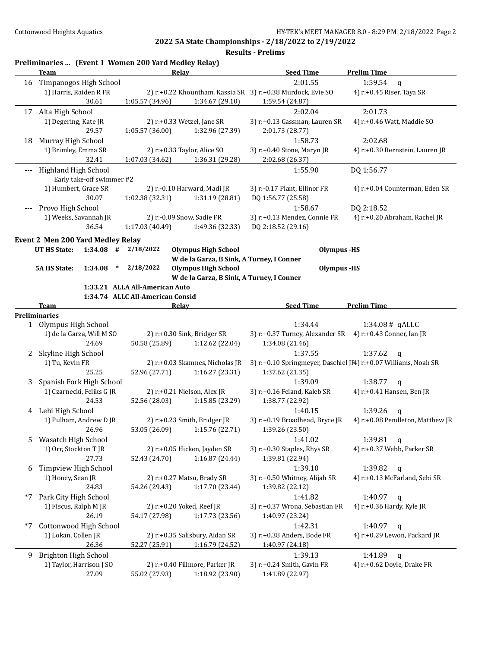|      | Preliminaries  (Event 1 Women 200 Yard Medley Relay)<br>Team | Relay                            |                                 | <b>Seed Time</b>                                            | <b>Prelim Time</b>                                              |
|------|--------------------------------------------------------------|----------------------------------|---------------------------------|-------------------------------------------------------------|-----------------------------------------------------------------|
| 16   | Timpanogos High School                                       |                                  |                                 | 2:01.55                                                     | 1:59.54<br>$\mathbf{q}$                                         |
|      | 1) Harris, Raiden R FR                                       |                                  |                                 | 2) r:+0.22 Khountham, Kassia SR 3) r:+0.38 Murdock, Evie SO | 4) r:+0.45 Riser, Taya SR                                       |
|      | 30.61                                                        | 1:05.57 (34.96)                  | 1:34.67 (29.10)                 | 1:59.54 (24.87)                                             |                                                                 |
|      | 17 Alta High School                                          |                                  |                                 | 2:02.04                                                     | 2:01.73                                                         |
|      | 1) Degering, Kate JR                                         | 2) r:+0.33 Wetzel, Jane SR       |                                 | 3) r:+0.13 Gassman, Lauren SR                               | 4) r:+0.46 Watt, Maddie SO                                      |
|      | 29.57                                                        | 1:05.57(36.00)                   | 1:32.96 (27.39)                 | 2:01.73 (28.77)                                             |                                                                 |
| 18   | Murray High School                                           |                                  |                                 | 1:58.73                                                     | 2:02.68                                                         |
|      | 1) Brimley, Emma SR                                          | 2) r:+0.33 Taylor, Alice SO      |                                 | 3) r:+0.40 Stone, Maryn JR                                  | 4) r:+0.30 Bernstein, Lauren JR                                 |
|      | 32.41                                                        | 1:07.03 (34.62)                  | 1:36.31 (29.28)                 | 2:02.68 (26.37)                                             |                                                                 |
|      | Highland High School                                         |                                  |                                 | 1:55.90                                                     | DQ 1:56.77                                                      |
|      | Early take-off swimmer #2                                    |                                  |                                 |                                                             |                                                                 |
|      | 1) Humbert, Grace SR                                         | 2) r:-0.10 Harward, Madi JR      |                                 | 3) r:-0.17 Plant, Ellinor FR                                | 4) r:+0.04 Counterman, Eden SR                                  |
|      | 30.07                                                        | 1:02.38 (32.31)                  | 1:31.19 (28.81)                 | DQ 1:56.77 (25.58)                                          |                                                                 |
|      | Provo High School                                            |                                  |                                 | 1:58.67                                                     | DQ 2:18.52                                                      |
|      | 1) Weeks, Savannah JR                                        | 2) r:-0.09 Snow, Sadie FR        |                                 | 3) r:+0.13 Mendez, Connie FR                                | 4) r:+0.20 Abraham, Rachel JR                                   |
|      | 36.54                                                        | 1:17.03 (40.49)                  | 1:49.36 (32.33)                 | DQ 2:18.52 (29.16)                                          |                                                                 |
|      | Event 2 Men 200 Yard Medley Relay                            |                                  |                                 |                                                             |                                                                 |
|      | $1:34.08$ #<br><b>UT HS State:</b>                           | 2/18/2022                        | <b>Olympus High School</b>      | <b>Olympus</b> -HS                                          |                                                                 |
|      |                                                              |                                  |                                 | W de la Garza, B Sink, A Turney, I Conner                   |                                                                 |
|      | <b>5A HS State:</b><br>1:34.08<br>$\ast$                     | 2/18/2022                        | <b>Olympus High School</b>      | Olympus -HS                                                 |                                                                 |
|      |                                                              |                                  |                                 | W de la Garza, B Sink, A Turney, I Conner                   |                                                                 |
|      |                                                              | 1:33.21 ALLA All-American Auto   |                                 |                                                             |                                                                 |
|      |                                                              | 1:34.74 ALLC All-American Consid |                                 |                                                             |                                                                 |
|      | Team                                                         | Relay                            |                                 | <b>Seed Time</b>                                            | <b>Prelim Time</b>                                              |
|      | <b>Preliminaries</b>                                         |                                  |                                 |                                                             |                                                                 |
|      | 1 Olympus High School                                        |                                  |                                 | 1:34.44                                                     | 1:34.08# qALLC                                                  |
|      | 1) de la Garza, Will M SO                                    | 2) r:+0.30 Sink, Bridger SR      |                                 | 3) r:+0.37 Turney, Alexander SR 4) r:+0.43 Conner, Ian JR   |                                                                 |
|      | 24.69                                                        | 50.58 (25.89)                    | 1:12.62 (22.04)                 | 1:34.08 (21.46)                                             |                                                                 |
| 2    | Skyline High School                                          |                                  |                                 | 1:37.55                                                     | 1:37.62<br>$\mathsf{q}$                                         |
|      | 1) Tu, Kevin FR                                              |                                  | 2) r:+0.03 Skamnes, Nicholas JR |                                                             | 3) r:+0.10 Springmeyer, Daschiel JI4) r:+0.07 Williams, Noah SR |
|      | 25.25                                                        | 52.96 (27.71)                    | 1:16.27(23.31)                  | 1:37.62 (21.35)                                             |                                                                 |
| 3    | Spanish Fork High School                                     |                                  |                                 | 1:39.09                                                     | 1:38.77<br>$\mathsf{q}$                                         |
|      | 1) Czarnecki, Feliks G JR                                    | 2) r:+0.21 Nielson, Alex JR      |                                 | 3) r:+0.16 Feland, Kaleb SR                                 | 4) r:+0.41 Hansen, Ben JR                                       |
|      | 24.53                                                        | 52.56 (28.03)                    | 1:15.85 (23.29)                 | 1:38.77 (22.92)                                             |                                                                 |
|      | 4 Lehi High School                                           |                                  |                                 | 1:40.15                                                     | 1:39.26<br>$\mathbf q$                                          |
|      | 1) Pulham, Andrew D JR                                       | 2) r:+0.23 Smith, Bridger JR     |                                 | 3) r:+0.19 Broadhead, Bryce JR                              | 4) r:+0.08 Pendleton, Matthew JR                                |
|      | 26.96                                                        | 53.05 (26.09)                    | 1:15.76 (22.71)                 | 1:39.26 (23.50)                                             |                                                                 |
| 5    | Wasatch High School                                          |                                  |                                 | 1:41.02                                                     | 1:39.81<br>$\mathbf q$                                          |
|      | 1) Orr, Stockton T JR                                        | 2) r:+0.05 Hicken, Jayden SR     |                                 | 3) r:+0.30 Staples, Rhys SR                                 | 4) r:+0.37 Webb, Parker SR                                      |
|      | 27.73                                                        | 52.43 (24.70)                    | 1:16.87 (24.44)                 | 1:39.81 (22.94)                                             |                                                                 |
| 6    | Timpview High School                                         |                                  |                                 | 1:39.10                                                     | 1:39.82<br>$\mathsf{q}$                                         |
|      | 1) Honey, Sean JR                                            | 2) r:+0.27 Matsu, Brady SR       |                                 | 3) r:+0.50 Whitney, Alijah SR                               | 4) r:+0.13 McFarland, Sebi SR                                   |
|      | 24.83                                                        | 54.26 (29.43)                    | 1:17.70 (23.44)                 | 1:39.82 (22.12)                                             |                                                                 |
| $*7$ | Park City High School                                        |                                  |                                 | 1:41.82                                                     | 1:40.97<br>$\mathsf{q}$                                         |
|      | 1) Fiscus, Ralph M JR                                        | 2) r:+0.20 Yoked, Reef JR        |                                 | 3) r:+0.37 Wrona, Sebastian FR                              | 4) r:+0.36 Hardy, Kyle JR                                       |
|      | 26.19                                                        | 54.17 (27.98)                    | 1:17.73 (23.56)                 | 1:40.97 (23.24)                                             |                                                                 |
| $*7$ | Cottonwood High School                                       |                                  |                                 | 1:42.31                                                     | 1:40.97<br>$\mathbf q$                                          |
|      | 1) Lokan, Collen JR                                          | 2) r:+0.35 Salisbury, Aidan SR   |                                 | 3) r:+0.38 Anders, Bode FR                                  | 4) r:+0.29 Lewon, Packard JR                                    |
|      | 26.36                                                        | 52.27 (25.91)                    | 1:16.79 (24.52)                 | 1:40.97 (24.18)                                             |                                                                 |
| 9    | Brighton High School                                         |                                  |                                 | 1:39.13                                                     | 1:41.89<br>$\mathbf{q}$                                         |
|      | 1) Taylor, Harrison J SO                                     | 2) r:+0.40 Fillmore, Parker JR   |                                 | 3) r:+0.24 Smith, Gavin FR                                  | 4) r:+0.62 Doyle, Drake FR                                      |
|      | 27.09                                                        | 55.02 (27.93)                    | 1:18.92 (23.90)                 | 1:41.89 (22.97)                                             |                                                                 |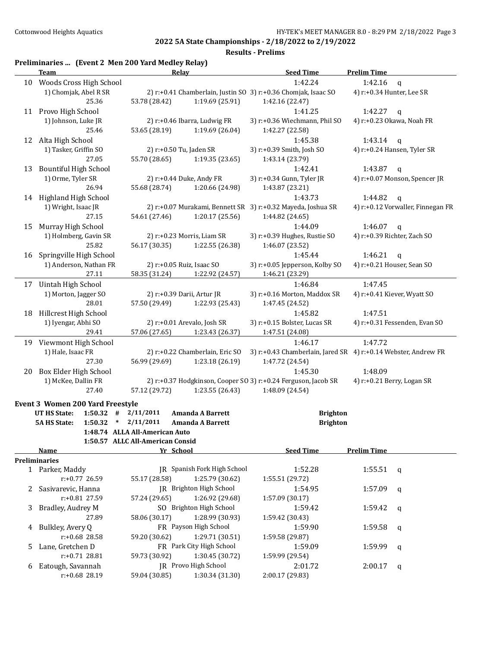**Results - Prelims**

## **Preliminaries ... (Event 2 Men 200 Yard Medley Relay)**

|    | <b>Team</b>                             | Relay                                                          | <b>Seed Time</b>               | <b>Prelim Time</b>                                             |
|----|-----------------------------------------|----------------------------------------------------------------|--------------------------------|----------------------------------------------------------------|
|    | 10 Woods Cross High School              |                                                                | 1:42.24                        | 1:42.16<br>$\mathbf{q}$                                        |
|    | 1) Chomjak, Abel R SR                   | 2) r:+0.41 Chamberlain, Justin SO 3) r:+0.36 Chomjak, Isaac SO |                                | 4) r:+0.34 Hunter, Lee SR                                      |
|    | 25.36                                   | 53.78 (28.42)<br>1:19.69 (25.91)                               | 1:42.16 (22.47)                |                                                                |
|    | 11 Provo High School                    |                                                                | 1:41.25                        | 1:42.27<br>q                                                   |
|    | 1) Johnson, Luke JR                     | 2) r:+0.46 Ibarra, Ludwig FR                                   | 3) r:+0.36 Wiechmann, Phil SO  | 4) r:+0.23 Okawa, Noah FR                                      |
|    | 25.46                                   | 53.65 (28.19)<br>1:19.69 (26.04)                               | 1:42.27 (22.58)                |                                                                |
|    | 12 Alta High School                     |                                                                | 1:45.38                        | 1:43.14<br>q                                                   |
|    | 1) Tasker, Griffin SO                   | 2) r:+0.50 Tu, Jaden SR                                        | 3) r:+0.39 Smith, Josh SO      | 4) r:+0.24 Hansen, Tyler SR                                    |
|    | 27.05                                   | 55.70 (28.65)<br>1:19.35(23.65)                                | 1:43.14 (23.79)                |                                                                |
| 13 | <b>Bountiful High School</b>            |                                                                | 1:42.41                        | 1:43.87<br>$\mathsf{q}$                                        |
|    | 1) Orme, Tyler SR                       | 2) r:+0.44 Duke, Andy FR                                       | 3) r:+0.34 Gunn, Tyler JR      | 4) r:+0.07 Monson, Spencer JR                                  |
|    | 26.94                                   | 55.68 (28.74)<br>1:20.66 (24.98)                               | 1:43.87 (23.21)                |                                                                |
|    | 14 Highland High School                 |                                                                | 1:43.73                        | 1:44.82<br>$\mathsf{q}$                                        |
|    | 1) Wright, Isaac JR                     | 2) r:+0.07 Murakami, Bennett SR 3) r:+0.32 Mayeda, Joshua SR   |                                | 4) r:+0.12 Vorwaller, Finnegan FR                              |
|    | 27.15                                   | 54.61 (27.46)<br>1:20.17(25.56)                                | 1:44.82 (24.65)                |                                                                |
| 15 | Murray High School                      |                                                                | 1:44.09                        | 1:46.07<br>q                                                   |
|    | 1) Holmberg, Gavin SR                   | 2) r:+0.23 Morris, Liam SR                                     | 3) r:+0.39 Hughes, Rustie SO   | 4) r:+0.39 Richter, Zach SO                                    |
|    | 25.82                                   | 56.17 (30.35)<br>1:22.55 (26.38)                               | 1:46.07 (23.52)                |                                                                |
| 16 | Springville High School                 |                                                                | 1:45.44                        | 1:46.21<br>$\mathsf{q}$                                        |
|    | 1) Anderson, Nathan FR                  | 2) r:+0.05 Ruiz, Isaac SO                                      | 3) r:+0.05 Jepperson, Kolby SO | 4) r:+0.21 Houser, Sean SO                                     |
|    | 27.11                                   | 58.35 (31.24)<br>1:22.92 (24.57)                               | 1:46.21 (23.29)                |                                                                |
| 17 | Uintah High School                      |                                                                | 1:46.84                        | 1:47.45                                                        |
|    | 1) Morton, Jagger SO                    | 2) r:+0.39 Darii, Artur JR                                     | 3) r:+0.16 Morton, Maddox SR   | 4) r:+0.41 Kiever, Wyatt SO                                    |
|    | 28.01                                   | 57.50 (29.49)<br>1:22.93 (25.43)                               | 1:47.45 (24.52)                |                                                                |
| 18 | Hillcrest High School                   |                                                                | 1:45.82                        | 1:47.51                                                        |
|    | 1) Iyengar, Abhi SO                     | 2) r:+0.01 Arevalo, Josh SR                                    | 3) r:+0.15 Bolster, Lucas SR   | 4) r:+0.31 Fessenden, Evan SO                                  |
|    | 29.41                                   | 57.06 (27.65)<br>1:23.43 (26.37)                               | 1:47.51 (24.08)                |                                                                |
|    | 19 Viewmont High School                 |                                                                | 1:46.17                        | 1:47.72                                                        |
|    | 1) Hale, Isaac FR                       | 2) r:+0.22 Chamberlain, Eric SO                                |                                | 3) r:+0.43 Chamberlain, Jared SR 4) r:+0.14 Webster, Andrew FR |
|    | 27.30                                   | 56.99 (29.69)<br>1:23.18 (26.19)                               | 1:47.72 (24.54)                |                                                                |
| 20 | Box Elder High School                   | 2) r:+0.37 Hodgkinson, Cooper SO 3) r:+0.24 Ferguson, Jacob SR | 1:45.30                        | 1:48.09                                                        |
|    | 1) McKee, Dallin FR<br>27.40            | 57.12 (29.72)<br>1:23.55 (26.43)                               | 1:48.09 (24.54)                | 4) r:+0.21 Berry, Logan SR                                     |
|    |                                         |                                                                |                                |                                                                |
|    | Event 3 Women 200 Yard Freestyle        |                                                                |                                |                                                                |
|    | $1:50.32$ # $2/11/2011$<br>UT HS State: | <b>Amanda A Barrett</b>                                        | <b>Brighton</b>                |                                                                |
|    | <b>5A HS State:</b><br>$1:50.32$ *      | 2/11/2011<br>Amanda A Barrett                                  | <b>Brighton</b>                |                                                                |
|    |                                         | 1:48.74 ALLA All-American Auto                                 |                                |                                                                |
|    | Name                                    | 1:50.57 ALLC All-American Consid<br>Yr School                  | <b>Seed Time</b>               | <b>Prelim Time</b>                                             |
|    | <b>Preliminaries</b>                    |                                                                |                                |                                                                |
|    | 1 Parker, Maddy                         | JR Spanish Fork High School                                    | 1:52.28                        | 1:55.51<br>q                                                   |
|    | r:+0.77 26.59                           | 55.17 (28.58)<br>1:25.79 (30.62)                               | 1:55.51 (29.72)                |                                                                |
| 2  | Sasivarevic, Hanna                      | JR Brighton High School                                        | 1:54.95                        | 1:57.09<br>q                                                   |
|    | r:+0.81 27.59                           | 1:26.92 (29.68)<br>57.24 (29.65)                               | 1:57.09 (30.17)                |                                                                |
| 3  | Bradley, Audrey M                       | SO Brighton High School                                        | 1:59.42                        | 1:59.42<br>q                                                   |
|    | 27.89                                   | 58.06 (30.17)<br>1:28.99 (30.93)                               | 1:59.42 (30.43)                |                                                                |
| 4  | Bulkley, Avery Q                        | FR Payson High School                                          | 1:59.90                        | 1:59.58<br>q                                                   |
|    | r:+0.68 28.58                           | 59.20 (30.62)<br>1:29.71 (30.51)                               | 1:59.58 (29.87)                |                                                                |
| 5  | Lane, Gretchen D                        | FR Park City High School                                       | 1:59.09                        | 1:59.99<br>q                                                   |
|    | r:+0.71 28.81                           | 1:30.45 (30.72)<br>59.73 (30.92)                               | 1:59.99 (29.54)                |                                                                |
| 6  | Eatough, Savannah                       | JR Provo High School                                           | 2:01.72                        | 2:00.17<br>q                                                   |
|    | r:+0.68 28.19                           | 1:30.34 (31.30)<br>59.04 (30.85)                               | 2:00.17 (29.83)                |                                                                |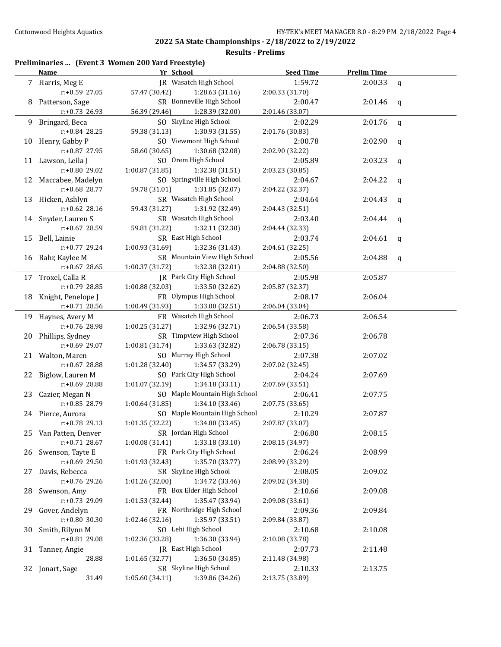### **Results - Prelims**

# **Preliminaries ... (Event 3 Women 200 Yard Freestyle)**

|     | <b>Name</b>                      | Yr School                                                 | <b>Seed Time</b>           | <b>Prelim Time</b> |             |
|-----|----------------------------------|-----------------------------------------------------------|----------------------------|--------------------|-------------|
|     | 7 Harris, Meg E                  | IR Wasatch High School                                    | 1:59.72                    | 2:00.33            | $\mathbf q$ |
|     | r:+0.59 27.05                    | 57.47 (30.42)<br>1:28.63 (31.16)                          | 2:00.33 (31.70)            |                    |             |
| 8   | Patterson, Sage                  | SR Bonneville High School                                 | 2:00.47                    | 2:01.46            | $\mathbf q$ |
|     | $r: +0.73$ 26.93                 | 1:28.39 (32.00)<br>56.39 (29.46)                          | 2:01.46 (33.07)            |                    |             |
| 9   | Bringard, Beca                   | SO Skyline High School                                    | 2:02.29                    | 2:01.76            | $\mathbf q$ |
|     | r:+0.84 28.25                    | 59.38 (31.13)<br>1:30.93 (31.55)                          | 2:01.76 (30.83)            |                    |             |
| 10  | Henry, Gabby P                   | SO Viewmont High School                                   | 2:00.78                    | 2:02.90            | q           |
|     | r:+0.87 27.95                    | 58.60 (30.65)<br>1:30.68 (32.08)                          | 2:02.90 (32.22)            |                    |             |
|     | 11 Lawson, Leila J               | SO Orem High School                                       | 2:05.89                    | 2:03.23            | q           |
|     | r:+0.80 29.02                    | 1:00.87 (31.85)<br>1:32.38 (31.51)                        | 2:03.23 (30.85)            |                    |             |
| 12  | Maccabee, Madelyn                | SO Springville High School                                | 2:04.67                    | 2:04.22            | q           |
|     | r:+0.68 28.77                    | 59.78 (31.01)<br>1:31.85 (32.07)                          | 2:04.22 (32.37)            |                    |             |
| 13  | Hicken, Ashlyn                   | SR Wasatch High School                                    | 2:04.64                    | 2:04.43            | q           |
|     | $r: +0.62$ 28.16                 | 59.43 (31.27)<br>1:31.92 (32.49)                          | 2:04.43 (32.51)            |                    |             |
| 14  | Snyder, Lauren S                 | SR Wasatch High School                                    | 2:03.40                    | 2:04.44            | q           |
|     | r:+0.67 28.59                    | 59.81 (31.22)<br>1:32.11 (32.30)                          | 2:04.44 (32.33)            |                    |             |
| 15  | Bell, Lainie                     | SR East High School                                       | 2:03.74                    | 2:04.61            | q           |
|     | r:+0.77 29.24                    | 1:00.93 (31.69)<br>1:32.36 (31.43)                        | 2:04.61 (32.25)            |                    |             |
| 16  | Bahr, Kaylee M                   | SR Mountain View High School                              | 2:05.56                    | 2:04.88            | q           |
|     | $r: +0.67$ 28.65                 | 1:00.37 (31.72)<br>1:32.38 (32.01)                        | 2:04.88 (32.50)            |                    |             |
| 17  | Troxel, Calla R                  | IR Park City High School                                  | 2:05.98                    | 2:05.87            |             |
|     | r:+0.79 28.85                    | 1:00.88 (32.03)<br>1:33.50 (32.62)                        | 2:05.87 (32.37)            |                    |             |
| 18  | Knight, Penelope J               | FR Olympus High School                                    | 2:08.17                    | 2:06.04            |             |
|     | r:+0.71 28.56                    | 1:00.49 (31.93)<br>1:33.00 (32.51)                        | 2:06.04 (33.04)            |                    |             |
| 19  | Haynes, Avery M                  | FR Wasatch High School                                    | 2:06.73                    | 2:06.54            |             |
|     | r:+0.76 28.98                    | 1:00.25 (31.27)<br>1:32.96 (32.71)                        | 2:06.54 (33.58)            |                    |             |
| 20  | Phillips, Sydney                 | SR Timpview High School                                   | 2:07.36                    | 2:06.78            |             |
|     | r:+0.69 29.07                    | 1:00.81 (31.74)<br>1:33.63 (32.82)                        | 2:06.78 (33.15)            |                    |             |
|     | 21 Walton, Maren                 | SO Murray High School                                     | 2:07.38                    | 2:07.02            |             |
|     | r:+0.67 28.88                    | 1:01.28 (32.40)<br>1:34.57 (33.29)                        | 2:07.02 (32.45)            |                    |             |
| 22  | Biglow, Lauren M                 | SO Park City High School                                  | 2:04.24                    | 2:07.69            |             |
|     | r:+0.69 28.88                    | 1:01.07 (32.19)<br>1:34.18(33.11)                         | 2:07.69 (33.51)            |                    |             |
| 23. | Cazier, Megan N                  | SO Maple Mountain High School                             | 2:06.41                    | 2:07.75            |             |
|     | r:+0.85 28.79                    | 1:00.64 (31.85)<br>1:34.10 (33.46)                        | 2:07.75 (33.65)            |                    |             |
|     | 24 Pierce, Aurora                | SO Maple Mountain High School                             | 2:10.29                    | 2:07.87            |             |
|     | r:+0.78 29.13                    | 1:01.35 (32.22)<br>1:34.80 (33.45)                        | 2:07.87 (33.07)            |                    |             |
|     | 25 Van Patten, Denver            | SR Jordan High School                                     | 2:06.80                    | 2:08.15            |             |
|     | $r: +0.71$ 28.67                 | 1:33.18 (33.10)<br>1:00.08(31.41)                         | 2:08.15 (34.97)            |                    |             |
| 26  | Swenson, Tayte E                 | FR Park City High School                                  | 2:06.24                    | 2:08.99            |             |
|     | r:+0.69 29.50                    | 1:35.70 (33.77)<br>1:01.93 (32.43)                        | 2:08.99 (33.29)            |                    |             |
|     | 27 Davis, Rebecca                | SR Skyline High School                                    | 2:08.05                    | 2:09.02            |             |
|     | r:+0.76 29.26                    | 1:34.72 (33.46)<br>1:01.26 (32.00)                        | 2:09.02 (34.30)            |                    |             |
| 28  | Swenson, Amy                     | FR Box Elder High School                                  | 2:10.66                    | 2:09.08            |             |
|     | r:+0.73 29.09                    | 1:35.47 (33.94)<br>1:01.53(32.44)                         | 2:09.08 (33.61)            |                    |             |
| 29. | Gover, Andelyn<br>r:+0.80 30.30  | FR Northridge High School                                 | 2:09.36                    | 2:09.84            |             |
|     |                                  | 1:02.46 (32.16)<br>1:35.97 (33.51)<br>SO Lehi High School | 2:09.84 (33.87)            |                    |             |
| 30  | Smith, Rilynn M<br>r:+0.81 29.08 | 1:36.30 (33.94)                                           | 2:10.68                    | 2:10.08            |             |
|     |                                  | 1:02.36 (33.28)<br>JR East High School                    | 2:10.08 (33.78)<br>2:07.73 | 2:11.48            |             |
| 31  | Tanner, Angie<br>28.88           | 1:36.50 (34.85)<br>1:01.65 (32.77)                        | 2:11.48 (34.98)            |                    |             |
|     | 32 Jonart, Sage                  | SR Skyline High School                                    | 2:10.33                    | 2:13.75            |             |
|     | 31.49                            | 1:39.86 (34.26)<br>1:05.60 (34.11)                        | 2:13.75 (33.89)            |                    |             |
|     |                                  |                                                           |                            |                    |             |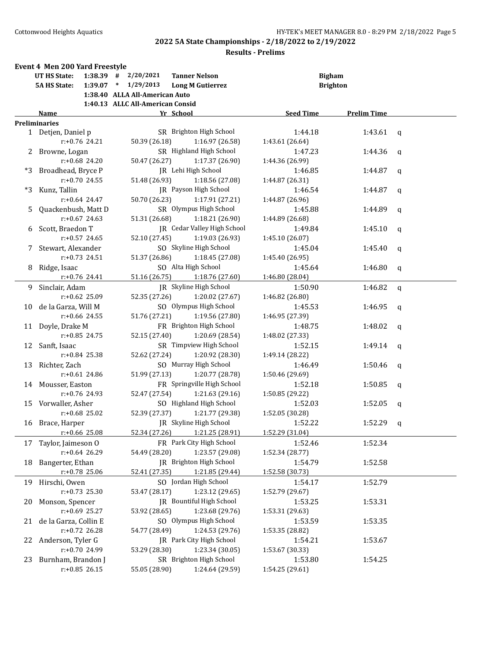|    | <b>Event 4 Men 200 Yard Freestyle</b> |                  |                                  |                               |                  |                    |              |
|----|---------------------------------------|------------------|----------------------------------|-------------------------------|------------------|--------------------|--------------|
|    | <b>UT HS State:</b>                   |                  | $1:38.39$ # $2/20/2021$          | <b>Tanner Nelson</b>          |                  | <b>Bigham</b>      |              |
|    | <b>5A HS State:</b>                   | $1:39.07$ *      | 1/29/2013                        | <b>Long M Gutierrez</b>       |                  | <b>Brighton</b>    |              |
|    |                                       |                  | 1:38.40 ALLA All-American Auto   |                               |                  |                    |              |
|    |                                       |                  | 1:40.13 ALLC All-American Consid |                               |                  |                    |              |
|    | Name                                  |                  |                                  | Yr School                     | <b>Seed Time</b> | <b>Prelim Time</b> |              |
|    | <b>Preliminaries</b>                  |                  |                                  |                               |                  |                    |              |
|    | 1 Detjen, Daniel p                    |                  |                                  | SR Brighton High School       | 1:44.18          | 1:43.61 $q$        |              |
|    |                                       | $r: +0.76$ 24.21 | 50.39 (26.18)                    | 1:16.97 (26.58)               | 1:43.61 (26.64)  |                    |              |
|    | 2 Browne, Logan                       |                  |                                  | SR Highland High School       | 1:47.23          | 1:44.36            | q            |
|    |                                       | $r: +0.68$ 24.20 | 50.47 (26.27)                    | 1:17.37 (26.90)               | 1:44.36 (26.99)  |                    |              |
| *3 | Broadhead, Bryce P                    |                  |                                  | JR Lehi High School           | 1:46.85          | 1:44.87            | q            |
|    |                                       | $r: +0.70$ 24.55 | 51.48 (26.93)                    | 1:18.56 (27.08)               | 1:44.87 (26.31)  |                    |              |
| *3 | Kunz, Tallin                          |                  |                                  | JR Payson High School         | 1:46.54          | 1:44.87            | q            |
|    |                                       | $r: +0.64$ 24.47 | 50.70 (26.23)                    | 1:17.91 (27.21)               | 1:44.87 (26.96)  |                    |              |
|    | Quackenbush, Matt D                   |                  |                                  | SR Olympus High School        | 1:45.88          | 1:44.89            | q            |
|    |                                       | $r: +0.67$ 24.63 | 51.31 (26.68)                    | 1:18.21 (26.90)               | 1:44.89 (26.68)  |                    |              |
| 6  | Scott, Braedon T                      |                  |                                  | JR Cedar Valley High School   | 1:49.84          | 1:45.10            | q            |
|    |                                       | $r: +0.57$ 24.65 | 52.10 (27.45)                    | 1:19.03 (26.93)               | 1:45.10 (26.07)  |                    |              |
|    | Stewart, Alexander                    |                  |                                  | SO Skyline High School        | 1:45.04          | 1:45.40            | q            |
|    |                                       | $r: +0.73$ 24.51 | 51.37 (26.86)                    | 1:18.45 (27.08)               | 1:45.40 (26.95)  |                    |              |
| 8  | Ridge, Isaac                          |                  |                                  | SO Alta High School           | 1:45.64          | 1:46.80            | $\mathbf q$  |
|    |                                       | r:+0.76 24.41    |                                  | 51.16 (26.75) 1:18.76 (27.60) | 1:46.80 (28.04)  |                    |              |
| 9  | Sinclair, Adam                        |                  |                                  | JR Skyline High School        | 1:50.90          | 1:46.82            | $\mathsf{q}$ |
|    |                                       | r:+0.62 25.09    | 52.35 (27.26)                    | 1:20.02 (27.67)               | 1:46.82 (26.80)  |                    |              |
| 10 | de la Garza, Will M                   |                  |                                  | SO Olympus High School        | 1:45.53          | 1:46.95            | q            |
|    |                                       | $r: +0.66$ 24.55 | 51.76 (27.21)                    | 1:19.56 (27.80)               | 1:46.95 (27.39)  |                    |              |
| 11 | Doyle, Drake M                        |                  |                                  | FR Brighton High School       | 1:48.75          | 1:48.02            | q            |
|    |                                       | $r: +0.85$ 24.75 | 52.15 (27.40)                    | 1:20.69 (28.54)               | 1:48.02 (27.33)  |                    |              |
| 12 | Sanft, Isaac                          |                  |                                  | SR Timpview High School       | 1:52.15          | 1:49.14            | q            |
|    |                                       | $r: +0.84$ 25.38 | 52.62 (27.24)                    | 1:20.92 (28.30)               | 1:49.14 (28.22)  |                    |              |
| 13 | Richter, Zach                         |                  |                                  | SO Murray High School         | 1:46.49          | 1:50.46            | q            |
|    |                                       | $r: +0.61$ 24.86 | 51.99 (27.13)                    | 1:20.77 (28.78)               | 1:50.46 (29.69)  |                    |              |
|    | 14 Mousser, Easton                    |                  |                                  | FR Springville High School    | 1:52.18          | 1:50.85            | $\mathbf q$  |
|    |                                       | r:+0.76 24.93    | 52.47 (27.54)                    | 1:21.63 (29.16)               | 1:50.85 (29.22)  |                    |              |
|    | 15 Vorwaller, Asher                   |                  |                                  | SO Highland High School       | 1:52.03          | 1:52.05            |              |
|    |                                       | $r: +0.68$ 25.02 | 52.39 (27.37)                    | 1:21.77 (29.38)               | 1:52.05 (30.28)  |                    | q            |
|    | 16 Brace, Harper                      |                  |                                  | JR Skyline High School        | 1:52.22          | 1:52.29            |              |
|    |                                       |                  |                                  |                               | 1:52.29 (31.04)  |                    | q            |
|    |                                       | $r: +0.66$ 25.08 | 52.34 (27.26)                    | 1:21.25 (28.91)               |                  |                    |              |
| 17 | Taylor, Jaimeson O                    |                  |                                  | FR Park City High School      | 1:52.46          | 1:52.34            |              |
|    |                                       | r:+0.64 26.29    | 54.49 (28.20)                    | 1:23.57 (29.08)               | 1:52.34 (28.77)  |                    |              |
| 18 | Bangerter, Ethan                      |                  |                                  | JR Brighton High School       | 1:54.79          | 1:52.58            |              |
|    |                                       | r:+0.78 25.06    | 52.41 (27.35)                    | 1:21.85 (29.44)               | 1:52.58 (30.73)  |                    |              |
| 19 | Hirschi, Owen                         |                  |                                  | SO Jordan High School         | 1:54.17          | 1:52.79            |              |
|    |                                       | $r: +0.73$ 25.30 | 53.47 (28.17)                    | 1:23.12 (29.65)               | 1:52.79 (29.67)  |                    |              |
| 20 | Monson, Spencer                       |                  |                                  | JR Bountiful High School      | 1:53.25          | 1:53.31            |              |
|    |                                       | $r: +0.69$ 25.27 | 53.92 (28.65)                    | 1:23.68 (29.76)               | 1:53.31 (29.63)  |                    |              |
| 21 | de la Garza, Collin E                 |                  |                                  | SO Olympus High School        | 1:53.59          | 1:53.35            |              |
|    |                                       | $r.+0.72$ 26.28  | 54.77 (28.49)                    | 1:24.53 (29.76)               | 1:53.35 (28.82)  |                    |              |
| 22 | Anderson, Tyler G                     |                  |                                  | JR Park City High School      | 1:54.21          | 1:53.67            |              |
|    |                                       | r:+0.70 24.99    | 53.29 (28.30)                    | 1:23.34 (30.05)               | 1:53.67 (30.33)  |                    |              |
| 23 | Burnham, Brandon J                    |                  |                                  | SR Brighton High School       | 1:53.80          | 1:54.25            |              |
|    |                                       | $r: +0.85$ 26.15 | 55.05 (28.90)                    | 1:24.64 (29.59)               | 1:54.25 (29.61)  |                    |              |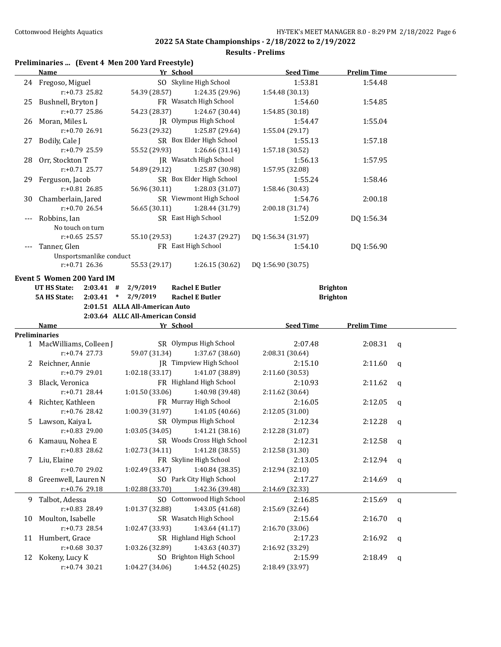## **Results - Prelims**

## **Preliminaries ... (Event 4 Men 200 Yard Freestyle)**

|    | <b>Name</b>                                      | Yr School                        |                                            | <b>Seed Time</b>           | <b>Prelim Time</b> |             |
|----|--------------------------------------------------|----------------------------------|--------------------------------------------|----------------------------|--------------------|-------------|
|    | 24 Fregoso, Miguel                               |                                  | SO Skyline High School                     | 1:53.81                    | 1:54.48            |             |
|    | $r: +0.73$ 25.82                                 | 54.39 (28.57)                    | 1:24.35 (29.96)                            | 1:54.48 (30.13)            |                    |             |
|    | 25 Bushnell, Bryton J                            |                                  | FR Wasatch High School                     | 1:54.60                    | 1:54.85            |             |
|    | $r: +0.77$ 25.86                                 | 54.23 (28.37)                    | 1:24.67 (30.44)                            | 1:54.85 (30.18)            |                    |             |
|    | 26 Moran, Miles L                                |                                  | <b>IR</b> Olympus High School              | 1:54.47                    | 1:55.04            |             |
|    | $r: +0.7026.91$                                  | 56.23 (29.32)                    | 1:25.87 (29.64)                            | 1:55.04 (29.17)            |                    |             |
|    | 27 Bodily, Cale J                                |                                  | SR Box Elder High School                   | 1:55.13                    | 1:57.18            |             |
|    | r:+0.79 25.59                                    | 55.52 (29.93)                    | 1:26.66 (31.14)                            | 1:57.18 (30.52)            |                    |             |
|    | 28 Orr, Stockton T                               |                                  | <b>IR</b> Wasatch High School              | 1:56.13                    | 1:57.95            |             |
|    | $r: +0.71$ 25.77                                 | 54.89 (29.12)                    | 1:25.87 (30.98)                            | 1:57.95 (32.08)            |                    |             |
|    | 29 Ferguson, Jacob                               |                                  | SR Box Elder High School                   | 1:55.24                    | 1:58.46            |             |
|    | $r: +0.81$ 26.85                                 | 56.96 (30.11)                    | 1:28.03(31.07)                             | 1:58.46 (30.43)            |                    |             |
|    | 30 Chamberlain, Jared                            |                                  | SR Viewmont High School                    | 1:54.76                    | 2:00.18            |             |
|    | $r: +0.70$ 26.54                                 | 56.65 (30.11)                    | 1:28.44 (31.79)                            | 2:00.18 (31.74)            |                    |             |
|    | Robbins, Ian                                     | SR East High School              |                                            | 1:52.09                    | DQ 1:56.34         |             |
|    | No touch on turn                                 |                                  |                                            |                            |                    |             |
|    | r:+0.65 25.57                                    | 55.10 (29.53)                    | 1:24.37 (29.27)                            | DQ 1:56.34 (31.97)         |                    |             |
|    | Tanner, Glen                                     | FR East High School              |                                            | 1:54.10                    | DQ 1:56.90         |             |
|    | Unsportsmanlike conduct                          |                                  |                                            |                            |                    |             |
|    | $r: +0.71$ 26.36                                 | 55.53 (29.17)                    | 1:26.15(30.62)                             | DQ 1:56.90 (30.75)         |                    |             |
|    |                                                  |                                  |                                            |                            |                    |             |
|    | Event 5 Women 200 Yard IM                        |                                  |                                            |                            |                    |             |
|    | <b>UT HS State:</b>                              | $2:03.41$ # $2/9/2019$           | <b>Rachel E Butler</b>                     |                            | <b>Brighton</b>    |             |
|    | <b>5A HS State:</b>                              | $2:03.41$ * $2/9/2019$           | <b>Rachel E Butler</b>                     |                            | <b>Brighton</b>    |             |
|    |                                                  | 2:01.51 ALLA All-American Auto   |                                            |                            |                    |             |
|    |                                                  | 2:03.64 ALLC All-American Consid |                                            |                            |                    |             |
|    | Name                                             | Yr School                        |                                            | <b>Seed Time</b>           | <b>Prelim Time</b> |             |
|    | <b>Preliminaries</b><br>1 MacWilliams, Colleen J |                                  | SR Olympus High School                     | 2:07.48                    | 2:08.31            |             |
|    | $r: +0.74$ 27.73                                 | 59.07 (31.34)                    | 1:37.67 (38.60)                            | 2:08.31 (30.64)            |                    | q           |
|    |                                                  |                                  | JR Timpview High School                    | 2:15.10                    |                    |             |
|    | 2 Reichner, Annie<br>$r: +0.79$ 29.01            | 1:02.18 (33.17)                  | 1:41.07 (38.89)                            |                            | 2:11.60            | q           |
|    |                                                  |                                  | FR Highland High School                    | 2:11.60 (30.53)            |                    |             |
| 3  | Black, Veronica<br>$r: +0.71$ 28.44              |                                  |                                            | 2:10.93                    | 2:11.62            | q           |
|    |                                                  | 1:01.50(33.06)                   | 1:40.98 (39.48)                            | 2:11.62 (30.64)            |                    |             |
|    | 4 Richter, Kathleen<br>$r: +0.76$ 28.42          |                                  | FR Murray High School                      | 2:16.05                    | 2:12.05            | $\mathbf q$ |
|    |                                                  | 1:00.39(31.97)                   | 1:41.05 (40.66)                            | 2:12.05 (31.00)            |                    |             |
| 5. | Lawson, Kaiya L                                  |                                  | SR Olympus High School                     | 2:12.34                    | 2:12.28            | q           |
|    | $r: +0.83$ 29.00                                 | 1:03.05 (34.05)                  | 1:41.21 (38.16)                            | 2:12.28 (31.07)            |                    |             |
|    | 6 Kamauu, Nohea E                                |                                  | SR Woods Cross High School                 | 2:12.31                    | 2:12.58            | q           |
|    | r:+0.83 28.62                                    | 1:02.73 (34.11)                  | 1:41.28 (38.55)                            | 2:12.58 (31.30)            |                    |             |
|    | 7 Liu, Elaine                                    |                                  | FR Skyline High School                     | 2:13.05                    | 2:12.94            | q           |
|    | r:+0.70 29.02                                    | 1:02.49 (33.47)                  | 1:40.84 (38.35)                            | 2:12.94 (32.10)            |                    |             |
| 8  | Greenwell, Lauren N                              |                                  | SO Park City High School                   | 2:17.27                    | 2:14.69            | q           |
|    | r:+0.76 29.18                                    | 1:02.88 (33.70)                  | 1:42.36 (39.48)                            | 2:14.69 (32.33)            |                    |             |
| 9. | Talbot, Adessa                                   |                                  | SO Cottonwood High School                  | 2:16.85                    | 2:15.69            | q           |
|    | r:+0.83 28.49                                    | 1:01.37 (32.88)                  | 1:43.05 (41.68)                            | 2:15.69 (32.64)            |                    |             |
| 10 | Moulton, Isabelle                                |                                  | SR Wasatch High School                     | 2:15.64                    | 2:16.70            | q           |
|    | $r: +0.73$ 28.54                                 | 1:02.47 (33.93)                  | 1:43.64 (41.17)                            | 2:16.70 (33.06)            |                    |             |
|    |                                                  |                                  |                                            |                            | 2:16.92            | q           |
|    | 11 Humbert, Grace                                |                                  | SR Highland High School                    | 2:17.23                    |                    |             |
|    | $r: +0.68$ 30.37                                 | 1:03.26 (32.89)                  | 1:43.63 (40.37)                            | 2:16.92 (33.29)            |                    |             |
|    | 12 Kokeny, Lucy K<br>$r: +0.74$ 30.21            | 1:04.27 (34.06)                  | SO Brighton High School<br>1:44.52 (40.25) | 2:15.99<br>2:18.49 (33.97) | 2:18.49            | q           |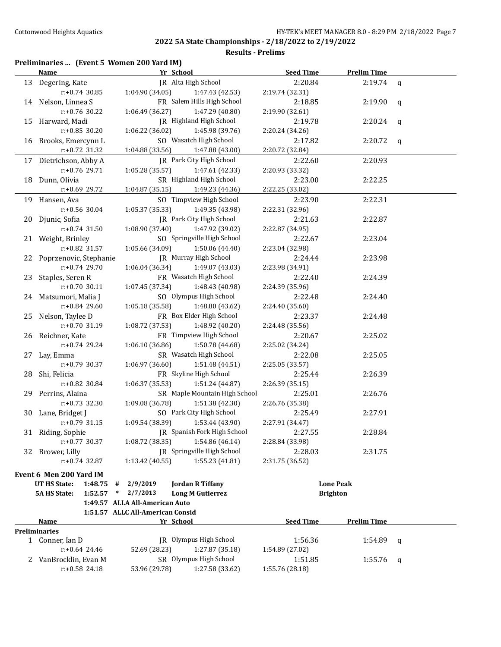**Results - Prelims**

## **Preliminaries ... (Event 5 Women 200 Yard IM)**

|      | <u>Name</u>                              |                                  | Yr School                     | <b>Seed Time</b>           | <b>Prelim Time</b> |              |
|------|------------------------------------------|----------------------------------|-------------------------------|----------------------------|--------------------|--------------|
|      | 13 Degering, Kate                        |                                  | JR Alta High School           | 2:20.84                    | 2:19.74            | $\mathsf{q}$ |
|      | $r: +0.74$ 30.85                         | 1:04.90(34.05)                   | 1:47.43 (42.53)               | 2:19.74 (32.31)            |                    |              |
|      | 14 Nelson, Linnea S                      |                                  | FR Salem Hills High School    | 2:18.85                    | 2:19.90            | q            |
|      | $r: +0.76$ 30.22                         | 1:06.49(36.27)                   | 1:47.29 (40.80)               | 2:19.90 (32.61)            |                    |              |
|      | 15 Harward, Madi                         |                                  | JR Highland High School       | 2:19.78                    | 2:20.24            | $\mathsf{q}$ |
|      | $r: +0.85$ 30.20                         | 1:06.22 (36.02)                  | 1:45.98 (39.76)               | 2:20.24 (34.26)            |                    |              |
|      | 16 Brooks, Emercynn L                    |                                  | SO Wasatch High School        | 2:17.82                    | 2:20.72            | q            |
|      | r:+0.72 31.32                            | 1:04.88 (33.56)                  | 1:47.88 (43.00)               | 2:20.72 (32.84)            |                    |              |
|      | 17 Dietrichson, Abby A                   |                                  | JR Park City High School      | 2:22.60                    | 2:20.93            |              |
|      | $r: +0.76$ 29.71                         | 1:05.28 (35.57)                  | 1:47.61 (42.33)               | 2:20.93 (33.32)            |                    |              |
| 18   | Dunn, Olivia                             |                                  | SR Highland High School       | 2:23.00                    | 2:22.25            |              |
|      | r:+0.69 29.72                            | 1:04.87(35.15)                   | 1:49.23 (44.36)               | 2:22.25 (33.02)            |                    |              |
|      | 19 Hansen, Ava                           |                                  | SO Timpview High School       | 2:23.90                    | 2:22.31            |              |
|      | r:+0.56 30.04                            | 1:05.37(35.33)                   | 1:49.35 (43.98)               | 2:22.31 (32.96)            |                    |              |
| 20 - | Djunic, Sofia                            |                                  | JR Park City High School      | 2:21.63                    | 2:22.87            |              |
|      | $r: +0.74$ 31.50                         | 1:08.90 (37.40)                  | 1:47.92 (39.02)               | 2:22.87 (34.95)            |                    |              |
|      |                                          |                                  | SO Springville High School    |                            |                    |              |
|      | 21 Weight, Brinley<br>r:+0.82 31.57      | 1:05.66 (34.09)                  | 1:50.06 (44.40)               | 2:22.67<br>2:23.04 (32.98) | 2:23.04            |              |
|      |                                          |                                  | <b>IR</b> Murray High School  |                            |                    |              |
| 22   | Poprzenovic, Stephanie<br>r:+0.74 29.70  | 1:06.04(36.34)                   | 1:49.07 (43.03)               | 2:24.44                    | 2:23.98            |              |
|      |                                          |                                  | FR Wasatch High School        | 2:23.98 (34.91)            |                    |              |
| 23   | Staples, Seren R                         |                                  |                               | 2:22.40                    | 2:24.39            |              |
|      | r:+0.70 30.11                            | 1:07.45 (37.34)                  | 1:48.43 (40.98)               | 2:24.39 (35.96)            |                    |              |
|      | 24 Matsumori, Malia J                    |                                  | SO Olympus High School        | 2:22.48                    | 2:24.40            |              |
|      | r:+0.84 29.60                            | 1:05.18 (35.58)                  | 1:48.80 (43.62)               | 2:24.40 (35.60)            |                    |              |
| 25   | Nelson, Taylee D                         |                                  | FR Box Elder High School      | 2:23.37                    | 2:24.48            |              |
|      | r:+0.70 31.19                            | 1:08.72 (37.53)                  | 1:48.92 (40.20)               | 2:24.48 (35.56)            |                    |              |
|      | 26 Reichner, Kate                        |                                  | FR Timpview High School       | 2:20.67                    | 2:25.02            |              |
|      | r:+0.74 29.24                            | 1:06.10 (36.86)                  | 1:50.78 (44.68)               | 2:25.02 (34.24)            |                    |              |
|      | 27 Lay, Emma                             |                                  | SR Wasatch High School        | 2:22.08                    | 2:25.05            |              |
|      | r:+0.79 30.37                            | 1:06.97 (36.60)                  | 1:51.48 (44.51)               | 2:25.05 (33.57)            |                    |              |
|      | 28 Shi, Felicia                          |                                  | FR Skyline High School        | 2:25.44                    | 2:26.39            |              |
|      | r:+0.82 30.84                            | 1:06.37(35.53)                   | 1:51.24 (44.87)               | 2:26.39 (35.15)            |                    |              |
|      | 29 Perrins, Alaina                       |                                  | SR Maple Mountain High School | 2:25.01                    | 2:26.76            |              |
|      | r:+0.73 32.30                            | 1:09.08 (36.78)                  | 1:51.38 (42.30)               | 2:26.76 (35.38)            |                    |              |
|      | 30 Lane, Bridget J                       |                                  | SO Park City High School      | 2:25.49                    | 2:27.91            |              |
|      | $r: +0.79$ 31.15                         | 1:09.54 (38.39)                  | 1:53.44 (43.90)               | 2:27.91 (34.47)            |                    |              |
|      | 31 Riding, Sophie                        |                                  | JR Spanish Fork High School   | 2:27.55                    | 2:28.84            |              |
|      | $r: +0.77$ 30.37                         | 1:08.72 (38.35)                  | 1:54.86 (46.14)               | 2:28.84 (33.98)            |                    |              |
|      | 32 Brower, Lilly                         |                                  | JR Springville High School    | 2:28.03                    | 2:31.75            |              |
|      | $r: +0.74$ 32.87                         | 1:13.42 (40.55)                  | 1:55.23 (41.81)               | 2:31.75 (36.52)            |                    |              |
|      | Event 6 Men 200 Yard IM                  |                                  |                               |                            |                    |              |
|      | <b>UT HS State:</b><br>1:48.75<br>#      | 2/9/2019                         | <b>Jordan R Tiffany</b>       |                            | <b>Lone Peak</b>   |              |
|      | 1:52.57<br><b>5A HS State:</b><br>$\ast$ | 2/7/2013                         | <b>Long M Gutierrez</b>       |                            | <b>Brighton</b>    |              |
|      |                                          | 1:49.57 ALLA All-American Auto   |                               |                            |                    |              |
|      |                                          | 1:51.57 ALLC All-American Consid |                               |                            |                    |              |
|      | Name                                     |                                  | Yr School                     | <b>Seed Time</b>           | <b>Prelim Time</b> |              |
|      | <b>Preliminaries</b>                     |                                  |                               |                            |                    |              |
|      | 1 Conner, Ian D                          |                                  | JR Olympus High School        | 1:56.36                    | 1:54.89            | q            |
|      | $r: +0.64$ 24.46                         | 52.69 (28.23)                    | 1:27.87 (35.18)               | 1:54.89 (27.02)            |                    |              |
|      | 2 VanBrocklin, Evan M                    |                                  | SR Olympus High School        | 1:51.85                    | 1:55.76            | q            |

r:+0.58 24.18 53.96 (29.78) 1:27.58 (33.62) 1:55.76 (28.18)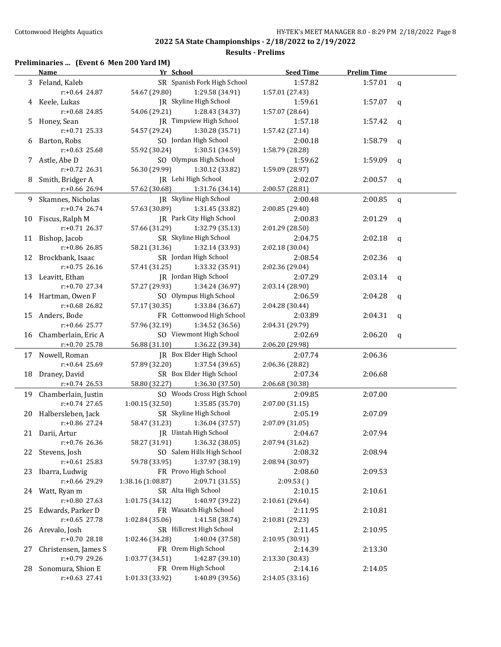#### **Results - Prelims**

## **Preliminaries ... (Event 6 Men 200 Yard IM)**

|    | <b>Name</b>            | Yr School                            | <b>Seed Time</b> | <b>Prelim Time</b> |              |
|----|------------------------|--------------------------------------|------------------|--------------------|--------------|
|    | 3 Feland, Kaleb        | SR Spanish Fork High School          | 1:57.82          | 1:57.01            | $\mathbf q$  |
|    | r:+0.64 24.87          | 54.67 (29.80)<br>1:29.58 (34.91)     | 1:57.01 (27.43)  |                    |              |
|    | 4 Keele, Lukas         | JR Skyline High School               | 1:59.61          | 1:57.07            | $\mathbf{q}$ |
|    | r:+0.68 24.85          | 54.06 (29.21)<br>1:28.43 (34.37)     | 1:57.07 (28.64)  |                    |              |
|    | 5 Honey, Sean          | <b>IR</b> Timpview High School       | 1:57.18          | 1:57.42            | q            |
|    | r:+0.71 25.33          | 54.57 (29.24)<br>1:30.28 (35.71)     | 1:57.42 (27.14)  |                    |              |
| 6  | Barton, Robs           | SO Jordan High School                | 2:00.18          | 1:58.79            | q            |
|    | $r: +0.63$ 25.68       | 55.92 (30.24)<br>1:30.51 (34.59)     | 1:58.79 (28.28)  |                    |              |
| 7  | Astle, Abe D           | SO Olympus High School               | 1:59.62          | 1:59.09            | q            |
|    | r:+0.72 26.31          | 56.30 (29.99)<br>1:30.12 (33.82)     | 1:59.09 (28.97)  |                    |              |
| 8  | Smith, Bridger A       | JR Lehi High School                  | 2:02.07          | 2:00.57            | q            |
|    | r:+0.66 26.94          | 57.62 (30.68)<br>1:31.76 (34.14)     | 2:00.57 (28.81)  |                    |              |
| 9. | Skamnes, Nicholas      | JR Skyline High School               | 2:00.48          | 2:00.85            | $\mathbf q$  |
|    | r:+0.74 26.74          | 57.63 (30.89)<br>1:31.45 (33.82)     | 2:00.85 (29.40)  |                    |              |
|    | 10 Fiscus, Ralph M     | JR Park City High School             | 2:00.83          | 2:01.29            | q            |
|    | r:+0.71 26.37          | 57.66 (31.29)<br>1:32.79 (35.13)     | 2:01.29 (28.50)  |                    |              |
|    | 11 Bishop, Jacob       | SR Skyline High School               | 2:04.75          | 2:02.18            | q            |
|    | r:+0.86 26.85          | 58.21 (31.36)<br>1:32.14 (33.93)     | 2:02.18 (30.04)  |                    |              |
|    | 12 Brockbank, Isaac    | SR Jordan High School                | 2:08.54          | 2:02.36            | q            |
|    | $r: +0.75$ 26.16       | 57.41 (31.25)<br>1:33.32 (35.91)     | 2:02.36 (29.04)  |                    |              |
|    | 13 Leavitt, Ethan      | JR Jordan High School                | 2:07.29          | 2:03.14            | $\mathsf{q}$ |
|    | r:+0.70 27.34          | 57.27 (29.93)<br>1:34.24 (36.97)     | 2:03.14 (28.90)  |                    |              |
|    | 14 Hartman, Owen F     | SO Olympus High School               | 2:06.59          | 2:04.28            | $\mathsf{q}$ |
|    | r:+0.68 26.82          | 57.17 (30.35)<br>1:33.84 (36.67)     | 2:04.28 (30.44)  |                    |              |
|    | 15 Anders, Bode        | FR Cottonwood High School            | 2:03.89          | 2:04.31            | $\mathsf{q}$ |
|    | r:+0.66 25.77          | 57.96 (32.19)<br>1:34.52 (36.56)     | 2:04.31 (29.79)  |                    |              |
|    | 16 Chamberlain, Eric A | SO Viewmont High School              | 2:02.69          | 2:06.20            | $\mathsf{q}$ |
|    | r:+0.70 25.78          | 56.88 (31.10)<br>1:36.22 (39.34)     | 2:06.20 (29.98)  |                    |              |
|    | 17 Nowell, Roman       | JR Box Elder High School             | 2:07.74          | 2:06.36            |              |
|    | r:+0.64 25.69          | 57.89 (32.20)<br>1:37.54 (39.65)     | 2:06.36 (28.82)  |                    |              |
|    | 18 Draney, David       | SR Box Elder High School             | 2:07.34          | 2:06.68            |              |
|    | $r: +0.74$ 26.53       | 58.80 (32.27)<br>1:36.30 (37.50)     | 2:06.68 (30.38)  |                    |              |
|    | 19 Chamberlain, Justin | SO Woods Cross High School           | 2:09.85          | 2:07.00            |              |
|    | r:+0.74 27.65          | 1:00.15 (32.50)<br>1:35.85 (35.70)   | 2:07.00 (31.15)  |                    |              |
|    | 20 Halbersleben, Jack  | SR Skyline High School               | 2:05.19          | 2:07.09            |              |
|    | $r: +0.86$ 27.24       | 58.47 (31.23)<br>1:36.04 (37.57)     | 2:07.09 (31.05)  |                    |              |
|    | 21 Darii, Artur        | JR Uintah High School                | 2:04.67          | 2:07.94            |              |
|    | r:+0.76 26.36          | 1:36.32 (38.05)<br>58.27 (31.91)     | 2:07.94 (31.62)  |                    |              |
| 22 | Stevens, Josh          | SO Salem Hills High School           | 2:08.32          | 2:08.94            |              |
|    | $r: +0.61$ 25.83       | 1:37.97 (38.19)<br>59.78 (33.95)     | 2:08.94 (30.97)  |                    |              |
| 23 | Ibarra, Ludwig         | FR Provo High School                 | 2:08.60          | 2:09.53            |              |
|    | r:+0.66 29.29          | 2:09.71 (31.55)<br>1:38.16 (1:08.87) | 2:09.53()        |                    |              |
|    | 24 Watt, Ryan m        | SR Alta High School                  | 2:10.15          | 2:10.61            |              |
|    | r:+0.80 27.63          | 1:40.97 (39.22)<br>1:01.75 (34.12)   | 2:10.61 (29.64)  |                    |              |
| 25 | Edwards, Parker D      | FR Wasatch High School               | 2:11.95          | 2:10.81            |              |
|    | $r: +0.65$ 27.78       | 1:02.84 (35.06)<br>1:41.58 (38.74)   | 2:10.81 (29.23)  |                    |              |
| 26 | Arevalo, Josh          | SR Hillcrest High School             | 2:11.45          | 2:10.95            |              |
|    | r:+0.70 28.18          | 1:02.46 (34.28)<br>1:40.04 (37.58)   | 2:10.95 (30.91)  |                    |              |
| 27 | Christensen, James S   | FR Orem High School                  | 2:14.39          | 2:13.30            |              |
|    | r:+0.79 29.26          | 1:42.87 (39.10)<br>1:03.77 (34.51)   | 2:13.30 (30.43)  |                    |              |
| 28 | Sonomura, Shion E      | FR Orem High School                  | 2:14.16          | 2:14.05            |              |
|    | r:+0.63 27.41          | 1:40.89 (39.56)<br>1:01.33 (33.92)   | 2:14.05 (33.16)  |                    |              |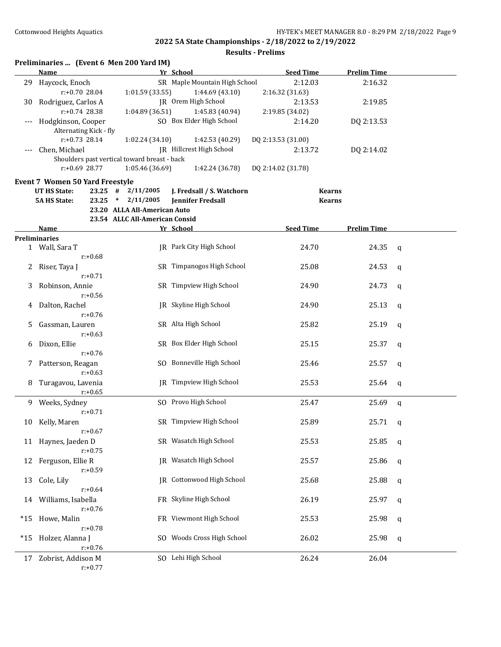|       | Name                                   |                                              | Yr School                     | <b>Seed Time</b>   | <b>Prelim Time</b> |             |
|-------|----------------------------------------|----------------------------------------------|-------------------------------|--------------------|--------------------|-------------|
|       | 29 Haycock, Enoch                      |                                              | SR Maple Mountain High School | 2:12.03            | 2:16.32            |             |
|       | r:+0.70 28.04                          | 1:01.59 (33.55)                              | 1:44.69 (43.10)               | 2:16.32 (31.63)    |                    |             |
| 30    | Rodriguez, Carlos A                    |                                              | JR Orem High School           | 2:13.53            | 2:19.85            |             |
|       | $r: +0.74$ 28.38                       | 1:04.89(36.51)                               | 1:45.83 (40.94)               | 2:19.85 (34.02)    |                    |             |
|       | Hodgkinson, Cooper                     |                                              | SO Box Elder High School      | 2:14.20            | DQ 2:13.53         |             |
|       | Alternating Kick - fly                 |                                              |                               |                    |                    |             |
|       | $r: +0.73$ 28.14                       |                                              |                               | DQ 2:13.53 (31.00) |                    |             |
|       |                                        | 1:02.24(34.10)                               | 1:42.53 (40.29)               |                    |                    |             |
|       | Chen, Michael                          |                                              | JR Hillcrest High School      | 2:13.72            | DQ 2:14.02         |             |
|       |                                        | Shoulders past vertical toward breast - back |                               |                    |                    |             |
|       | $r: +0.69$ 28.77                       | 1:05.46 (36.69)                              | 1:42.24 (36.78)               | DQ 2:14.02 (31.78) |                    |             |
|       | <b>Event 7 Women 50 Yard Freestyle</b> |                                              |                               |                    |                    |             |
|       | <b>UT HS State:</b><br>$23.25$ #       | 2/11/2005                                    | J. Fredsall / S. Watchorn     |                    | <b>Kearns</b>      |             |
|       | <b>5A HS State:</b><br>23.25           | 2/11/2005<br>$\ast$                          | <b>Jennifer Fredsall</b>      |                    | <b>Kearns</b>      |             |
|       |                                        | 23.20 ALLA All-American Auto                 |                               |                    |                    |             |
|       |                                        | 23.54 ALLC All-American Consid               |                               |                    |                    |             |
|       | Name                                   |                                              | Yr School                     | <b>Seed Time</b>   | <b>Prelim Time</b> |             |
|       | <b>Preliminaries</b>                   |                                              |                               |                    |                    |             |
|       | 1 Wall, Sara T                         |                                              | JR Park City High School      | 24.70              | 24.35              | q           |
|       | $r: +0.68$                             |                                              |                               |                    |                    |             |
|       |                                        |                                              | SR Timpanogos High School     | 25.08              |                    |             |
| 2     | Riser, Taya J                          |                                              |                               |                    | 24.53              | q           |
|       | $r: +0.71$                             |                                              |                               |                    |                    |             |
| 3     | Robinson, Annie                        |                                              | SR Timpview High School       | 24.90              | 24.73              | q           |
|       | $r: +0.56$                             |                                              |                               |                    |                    |             |
| 4     | Dalton, Rachel                         |                                              | JR Skyline High School        | 24.90              | 25.13              | q           |
|       | $r: +0.76$                             |                                              |                               |                    |                    |             |
| 5.    | Gassman, Lauren                        |                                              | SR Alta High School           | 25.82              | 25.19              | q           |
|       | $r: +0.63$                             |                                              |                               |                    |                    |             |
| 6     | Dixon, Ellie                           |                                              | SR Box Elder High School      | 25.15              | 25.37              | q           |
|       | $r: +0.76$                             |                                              |                               |                    |                    |             |
|       | 7 Patterson, Reagan                    |                                              | SO Bonneville High School     | 25.46              | 25.57              | q           |
|       | $r: +0.63$                             |                                              |                               |                    |                    |             |
|       | 8 Turagavou, Lavenia                   |                                              | JR Timpview High School       | 25.53              |                    |             |
|       |                                        |                                              |                               |                    | 25.64              | q           |
|       | $r: +0.65$                             |                                              |                               |                    |                    |             |
|       | 9 Weeks, Sydney                        |                                              | SO Provo High School          | 25.47              | 25.69              | $\mathbf q$ |
|       | $r: +0.71$                             |                                              |                               |                    |                    |             |
| 10    | Kelly, Maren                           |                                              | SR Timpview High School       | 25.89              | 25.71              | q           |
|       | $r: +0.67$                             |                                              |                               |                    |                    |             |
|       | 11 Haynes, Jaeden D                    |                                              | SR Wasatch High School        | 25.53              | 25.85              | q           |
|       | $r: +0.75$                             |                                              |                               |                    |                    |             |
| 12    | Ferguson, Ellie R                      |                                              | <b>IR</b> Wasatch High School | 25.57              | 25.86              | q           |
|       | $r: +0.59$                             |                                              |                               |                    |                    |             |
| 13    | Cole, Lily                             |                                              | JR Cottonwood High School     | 25.68              | 25.88              | q           |
|       | $r: +0.64$                             |                                              |                               |                    |                    |             |
|       | Williams, Isabella                     |                                              | FR Skyline High School        | 26.19              | 25.97              |             |
| 14    |                                        |                                              |                               |                    |                    | q           |
|       | $r: +0.76$                             |                                              |                               |                    |                    |             |
| $*15$ | Howe, Malin                            |                                              | FR Viewmont High School       | 25.53              | 25.98              | q           |
|       | $r: +0.78$                             |                                              |                               |                    |                    |             |
| *15   | Holzer, Alanna J                       |                                              | SO Woods Cross High School    | 26.02              | 25.98              | q           |
|       | $r: +0.76$                             |                                              |                               |                    |                    |             |
| 17    | Zobrist, Addison M                     |                                              | SO Lehi High School           | 26.24              | 26.04              |             |
|       | $r: +0.77$                             |                                              |                               |                    |                    |             |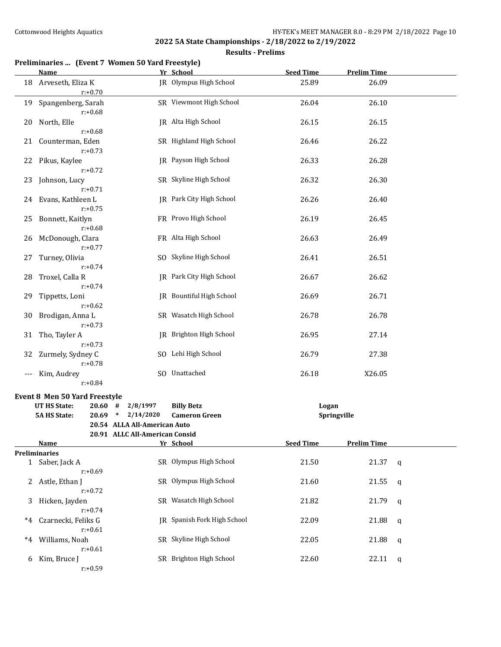## **Results - Prelims**

# **Preliminaries ... (Event 7 Women 50 Yard Freestyle)**

|     | Name                                 |                                                                | Yr School                     | <b>Seed Time</b> | <b>Prelim Time</b> |   |
|-----|--------------------------------------|----------------------------------------------------------------|-------------------------------|------------------|--------------------|---|
|     | 18 Arveseth, Eliza K<br>$r: +0.70$   |                                                                | <b>IR</b> Olympus High School | 25.89            | 26.09              |   |
| 19  | Spangenberg, Sarah<br>$r: +0.68$     |                                                                | SR Viewmont High School       | 26.04            | 26.10              |   |
| 20  | North, Elle<br>$r: +0.68$            |                                                                | JR Alta High School           | 26.15            | 26.15              |   |
| 21  | Counterman, Eden<br>$r: +0.73$       |                                                                | SR Highland High School       | 26.46            | 26.22              |   |
| 22  | Pikus, Kaylee<br>$r: +0.72$          |                                                                | JR Payson High School         | 26.33            | 26.28              |   |
| 23  | Johnson, Lucy<br>$r: +0.71$          |                                                                | SR Skyline High School        | 26.32            | 26.30              |   |
|     | 24 Evans, Kathleen L<br>$r: +0.75$   |                                                                | JR Park City High School      | 26.26            | 26.40              |   |
| 25  | Bonnett, Kaitlyn<br>$r: +0.68$       |                                                                | FR Provo High School          | 26.19            | 26.45              |   |
| 26  | McDonough, Clara<br>$r: +0.77$       |                                                                | FR Alta High School           | 26.63            | 26.49              |   |
| 27  | Turney, Olivia<br>$r: +0.74$         |                                                                | SO Skyline High School        | 26.41            | 26.51              |   |
| 28  | Troxel, Calla R<br>$r: +0.74$        |                                                                | JR Park City High School      | 26.67            | 26.62              |   |
| 29  | Tippetts, Loni<br>$r: +0.62$         |                                                                | IR Bountiful High School      | 26.69            | 26.71              |   |
| 30  | Brodigan, Anna L<br>$r: +0.73$       |                                                                | SR Wasatch High School        | 26.78            | 26.78              |   |
| 31  | Tho, Tayler A<br>$r: +0.73$          |                                                                | JR Brighton High School       | 26.95            | 27.14              |   |
| 32  | Zurmely, Sydney C<br>$r: +0.78$      |                                                                | SO Lehi High School           | 26.79            | 27.38              |   |
| --- | Kim, Audrey<br>$r: +0.84$            |                                                                | SO Unattached                 | 26.18            | X26.05             |   |
|     | <b>Event 8 Men 50 Yard Freestyle</b> |                                                                |                               |                  |                    |   |
|     | <b>UT HS State:</b>                  | $20.60$ # $2/8/1997$                                           | <b>Billy Betz</b>             |                  | Logan              |   |
|     | <b>5A HS State:</b>                  | 20.69 * 2/14/2020                                              | <b>Cameron Green</b>          |                  | Springville        |   |
|     |                                      | 20.54 ALLA All-American Auto<br>20.91 ALLC All-American Consid |                               |                  |                    |   |
|     | <b>Name</b>                          |                                                                | Yr School                     | <b>Seed Time</b> | <b>Prelim Time</b> |   |
|     | <b>Preliminaries</b>                 |                                                                |                               |                  |                    |   |
|     | 1 Saber, Jack A<br>$r: +0.69$        |                                                                | SR Olympus High School        | 21.50            | 21.37              | q |
| 2   | Astle, Ethan J<br>$r: +0.72$         |                                                                | SR Olympus High School        | 21.60            | 21.55              | q |
| 3   | Hicken, Jayden<br>$r: +0.74$         |                                                                | SR Wasatch High School        | 21.82            | 21.79              | q |
| *4  | Czarnecki, Feliks G<br>$r: +0.61$    |                                                                | JR Spanish Fork High School   | 22.09            | 21.88              | q |
| *4  | Williams, Noah<br>$r: +0.61$         |                                                                | SR Skyline High School        | 22.05            | 21.88              | q |
| 6   | Kim, Bruce J<br>$r: +0.59$           |                                                                | SR Brighton High School       | 22.60            | 22.11              | q |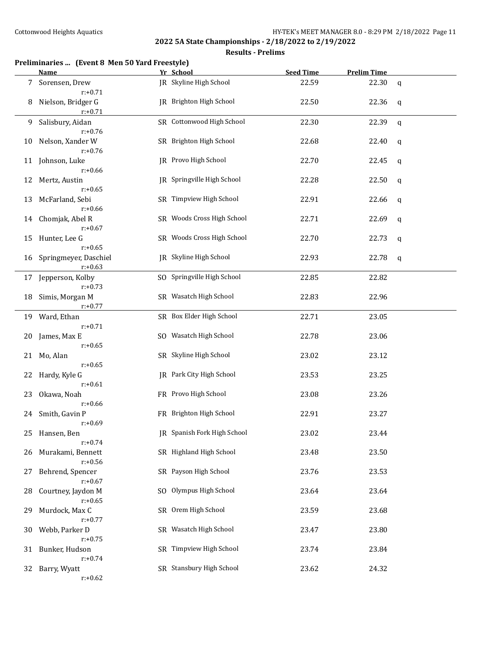### **Results - Prelims**

## **Preliminaries ... (Event 8 Men 50 Yard Freestyle)**

|    | <b>Name</b>                         | Yr School                      | <b>Seed Time</b> | <b>Prelim Time</b> |   |
|----|-------------------------------------|--------------------------------|------------------|--------------------|---|
| 7  | Sorensen, Drew<br>$r: +0.71$        | JR Skyline High School         | 22.59            | 22.30              | q |
| 8  | Nielson, Bridger G<br>$r: +0.71$    | <b>IR</b> Brighton High School | 22.50            | 22.36              | q |
| 9  | Salisbury, Aidan<br>$r: +0.76$      | SR Cottonwood High School      | 22.30            | 22.39              | q |
| 10 | Nelson, Xander W<br>$r: +0.76$      | SR Brighton High School        | 22.68            | 22.40              | q |
| 11 | Johnson, Luke<br>$r: +0.66$         | JR Provo High School           | 22.70            | 22.45              | q |
| 12 | Mertz, Austin<br>$r: +0.65$         | IR Springville High School     | 22.28            | 22.50              | q |
| 13 | McFarland, Sebi<br>$r: +0.66$       | SR Timpview High School        | 22.91            | 22.66              | q |
| 14 | Chomjak, Abel R<br>$r: +0.67$       | SR Woods Cross High School     | 22.71            | 22.69              | q |
| 15 | Hunter, Lee G<br>$r: +0.65$         | SR Woods Cross High School     | 22.70            | 22.73              | q |
| 16 | Springmeyer, Daschiel<br>$r: +0.63$ | JR Skyline High School         | 22.93            | 22.78              | q |
| 17 | Jepperson, Kolby<br>$r: +0.73$      | SO Springville High School     | 22.85            | 22.82              |   |
| 18 | Simis, Morgan M<br>$r: +0.77$       | SR Wasatch High School         | 22.83            | 22.96              |   |
| 19 | Ward, Ethan<br>$r: +0.71$           | SR Box Elder High School       | 22.71            | 23.05              |   |
| 20 | James, Max E<br>$r: +0.65$          | SO Wasatch High School         | 22.78            | 23.06              |   |
| 21 | Mo, Alan<br>$r: +0.65$              | SR Skyline High School         | 23.02            | 23.12              |   |
| 22 | Hardy, Kyle G<br>$r: +0.61$         | JR Park City High School       | 23.53            | 23.25              |   |
| 23 | Okawa, Noah<br>$r: +0.66$           | FR Provo High School           | 23.08            | 23.26              |   |
| 24 | Smith, Gavin P<br>$r: +0.69$        | FR Brighton High School        | 22.91            | 23.27              |   |
|    | 25 Hansen, Ben<br>$r: +0.74$        | JR Spanish Fork High School    | 23.02            | 23.44              |   |
| 26 | Murakami, Bennett<br>$r: +0.56$     | SR Highland High School        | 23.48            | 23.50              |   |
| 27 | Behrend, Spencer<br>$r: +0.67$      | SR Payson High School          | 23.76            | 23.53              |   |
| 28 | Courtney, Jaydon M<br>$r: +0.65$    | SO Olympus High School         | 23.64            | 23.64              |   |
| 29 | Murdock, Max C<br>$r: +0.77$        | SR Orem High School            | 23.59            | 23.68              |   |
| 30 | Webb, Parker D<br>$r: +0.75$        | SR Wasatch High School         | 23.47            | 23.80              |   |
| 31 | Bunker, Hudson<br>$r: +0.74$        | SR Timpview High School        | 23.74            | 23.84              |   |
| 32 | Barry, Wyatt<br>$r: +0.62$          | SR Stansbury High School       | 23.62            | 24.32              |   |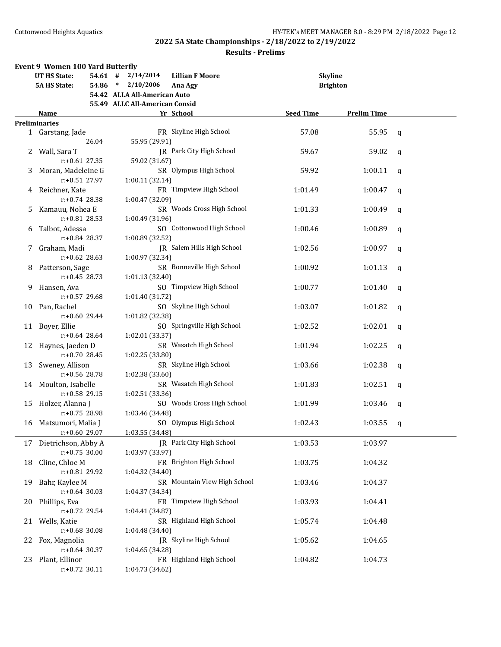|    | <b>Event 9 Women 100 Yard Butterfly</b> |                                     |                                        |             |
|----|-----------------------------------------|-------------------------------------|----------------------------------------|-------------|
|    | <b>UT HS State:</b><br>$54.61$ #        | <b>Lillian F Moore</b><br>2/14/2014 | <b>Skyline</b>                         |             |
|    | <b>5A HS State:</b><br>$54.86$ *        | 2/10/2006<br>Ana Agy                | <b>Brighton</b>                        |             |
|    |                                         | 54.42 ALLA All-American Auto        |                                        |             |
|    |                                         | 55.49 ALLC All-American Consid      |                                        |             |
|    | Name                                    | Yr School                           | <b>Seed Time</b><br><b>Prelim Time</b> |             |
|    | <b>Preliminaries</b>                    |                                     |                                        |             |
|    | 1 Garstang, Jade                        | FR Skyline High School              | 57.08<br>55.95                         | q           |
|    | 26.04                                   | 55.95 (29.91)                       |                                        |             |
|    |                                         | JR Park City High School            |                                        |             |
|    | Wall, Sara T                            |                                     | 59.67<br>59.02                         | q           |
|    | $r: +0.61$ 27.35                        | 59.02 (31.67)                       |                                        |             |
| 3. | Moran, Madeleine G                      | SR Olympus High School              | 59.92<br>1:00.11                       | q           |
|    | $r: +0.51$ 27.97                        | 1:00.11 (32.14)                     |                                        |             |
| 4  | Reichner, Kate                          | FR Timpview High School             | 1:01.49<br>1:00.47                     | q           |
|    | $r: +0.74$ 28.38                        | 1:00.47 (32.09)                     |                                        |             |
| 5. | Kamauu, Nohea E                         | SR Woods Cross High School          | 1:01.33<br>1:00.49                     | q           |
|    | $r: +0.81$ 28.53                        | 1:00.49 (31.96)                     |                                        |             |
| 6  | Talbot, Adessa                          | SO Cottonwood High School           | 1:00.46<br>1:00.89                     | q           |
|    | $r: +0.84$ 28.37                        | 1:00.89 (32.52)                     |                                        |             |
| 7. | Graham, Madi                            | JR Salem Hills High School          | 1:02.56<br>1:00.97                     | $\mathbf q$ |
|    | $r: +0.62$ 28.63                        | 1:00.97 (32.34)                     |                                        |             |
| 8  | Patterson, Sage                         | SR Bonneville High School           | 1:00.92<br>1:01.13                     | $\mathbf q$ |
|    | $r: +0.45$ 28.73                        | 1:01.13 (32.40)                     |                                        |             |
|    |                                         |                                     |                                        |             |
| 9  | Hansen, Ava                             | SO Timpview High School             | 1:00.77<br>1:01.40                     | $\mathbf q$ |
|    | $r: +0.57$ 29.68                        | 1:01.40 (31.72)                     |                                        |             |
| 10 | Pan, Rachel                             | SO Skyline High School              | 1:03.07<br>1:01.82                     | q           |
|    | r:+0.60 29.44                           | 1:01.82 (32.38)                     |                                        |             |
| 11 | Boyer, Ellie                            | SO Springville High School          | 1:02.01<br>1:02.52                     | q           |
|    | $r: +0.64$ 28.64                        | 1:02.01 (33.37)                     |                                        |             |
| 12 | Haynes, Jaeden D                        | SR Wasatch High School              | 1:02.25<br>1:01.94                     | q           |
|    | $r: +0.70$ 28.45                        | 1:02.25 (33.80)                     |                                        |             |
| 13 | Sweney, Allison                         | SR Skyline High School              | 1:03.66<br>1:02.38                     | q           |
|    | $r: +0.56$ 28.78                        | 1:02.38 (33.60)                     |                                        |             |
| 14 | Moulton, Isabelle                       | SR Wasatch High School              | 1:01.83<br>1:02.51                     | q           |
|    | $r: +0.58$ 29.15                        | 1:02.51 (33.36)                     |                                        |             |
| 15 | Holzer, Alanna J                        | SO Woods Cross High School          | 1:03.46<br>1:01.99                     | q           |
|    | $r: +0.75$ 28.98                        | 1:03.46 (34.48)                     |                                        |             |
|    | 16 Matsumori, Malia J                   | SO Olympus High School              | 1:02.43<br>1:03.55                     |             |
|    |                                         |                                     |                                        | q           |
|    | r:+0.60 29.07                           | 1:03.55 (34.48)                     |                                        |             |
| 17 | Dietrichson, Abby A                     | JR Park City High School            | 1:03.53<br>1:03.97                     |             |
|    | $r: +0.75$ 30.00                        | 1:03.97 (33.97)                     |                                        |             |
| 18 | Cline, Chloe M                          | FR Brighton High School             | 1:03.75<br>1:04.32                     |             |
|    | r:+0.81 29.92                           | 1:04.32 (34.40)                     |                                        |             |
| 19 | Bahr, Kaylee M                          | SR Mountain View High School        | 1:03.46<br>1:04.37                     |             |
|    | $r: +0.64$ 30.03                        | 1:04.37 (34.34)                     |                                        |             |
| 20 | Phillips, Eva                           | FR Timpview High School             | 1:03.93<br>1:04.41                     |             |
|    | $r: +0.72$ 29.54                        | 1:04.41 (34.87)                     |                                        |             |
| 21 | Wells, Katie                            | SR Highland High School             | 1:05.74<br>1:04.48                     |             |
|    | $r: +0.68$ 30.08                        | 1:04.48 (34.40)                     |                                        |             |
| 22 | Fox, Magnolia                           | JR Skyline High School              | 1:05.62<br>1:04.65                     |             |
|    | $r: +0.64$ 30.37                        | 1:04.65 (34.28)                     |                                        |             |
| 23 | Plant, Ellinor                          | FR Highland High School             | 1:04.82<br>1:04.73                     |             |
|    | $r.+0.72$ 30.11                         | 1:04.73 (34.62)                     |                                        |             |
|    |                                         |                                     |                                        |             |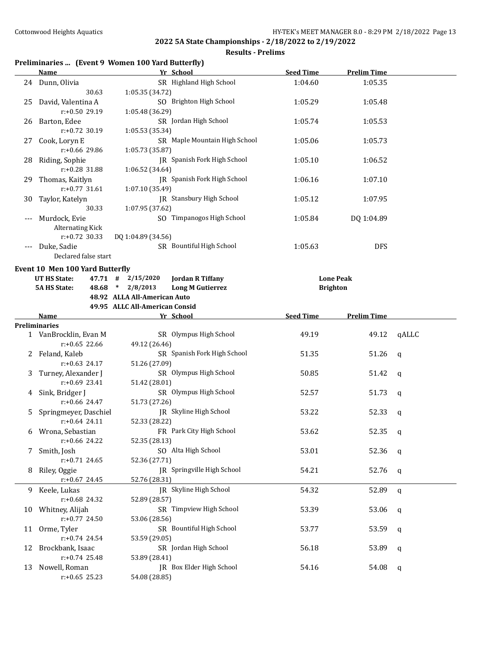## **Results - Prelims**

# **Preliminaries ... (Event 9 Women 100 Yard Butterfly)**

|     | <b>Name</b>                            | Yr School                                    | <b>Seed Time</b> | <b>Prelim Time</b> |              |
|-----|----------------------------------------|----------------------------------------------|------------------|--------------------|--------------|
|     | 24 Dunn, Olivia                        | SR Highland High School                      | 1:04.60          | 1:05.35            |              |
|     | 30.63                                  | 1:05.35 (34.72)                              |                  |                    |              |
| 25  | David, Valentina A                     | SO Brighton High School                      | 1:05.29          | 1:05.48            |              |
|     | r:+0.50 29.19                          | 1:05.48 (36.29)                              |                  |                    |              |
|     | 26 Barton, Edee                        | SR Jordan High School                        | 1:05.74          | 1:05.53            |              |
|     | r:+0.72 30.19                          | 1:05.53 (35.34)                              |                  |                    |              |
| 27  | Cook, Loryn E                          | SR Maple Mountain High School                | 1:05.06          | 1:05.73            |              |
|     | r:+0.66 29.86                          | 1:05.73 (35.87)                              |                  |                    |              |
| 28  | Riding, Sophie                         | JR Spanish Fork High School                  | 1:05.10          | 1:06.52            |              |
|     | r:+0.28 31.88                          | 1:06.52 (34.64)                              |                  |                    |              |
| 29. | Thomas, Kaitlyn                        | JR Spanish Fork High School                  | 1:06.16          | 1:07.10            |              |
|     | $r: +0.77$ 31.61                       | 1:07.10 (35.49)                              |                  |                    |              |
| 30  | Taylor, Katelyn                        | JR Stansbury High School                     | 1:05.12          | 1:07.95            |              |
|     | 30.33                                  | 1:07.95 (37.62)                              |                  |                    |              |
|     | Murdock, Evie                          | SO Timpanogos High School                    | 1:05.84          | DQ 1:04.89         |              |
|     | Alternating Kick                       |                                              |                  |                    |              |
|     | $r: +0.72$ 30.33                       | DQ 1:04.89 (34.56)                           |                  |                    |              |
|     | Duke, Sadie                            | SR Bountiful High School                     | 1:05.63          | <b>DFS</b>         |              |
|     | Declared false start                   |                                              |                  |                    |              |
|     |                                        |                                              |                  |                    |              |
|     | <b>Event 10 Men 100 Yard Butterfly</b> |                                              |                  |                    |              |
|     | UT HS State:                           | 47.71 # 2/15/2020<br><b>Jordan R Tiffany</b> |                  | <b>Lone Peak</b>   |              |
|     | <b>5A HS State:</b>                    | 48.68 * 2/8/2013<br><b>Long M Gutierrez</b>  | <b>Brighton</b>  |                    |              |
|     |                                        | 48.92 ALLA All-American Auto                 |                  |                    |              |
|     |                                        | 49.95 ALLC All-American Consid               |                  |                    |              |
|     | Name                                   | Yr School                                    | <b>Seed Time</b> | <b>Prelim Time</b> |              |
|     | <b>Preliminaries</b>                   |                                              |                  |                    |              |
|     | 1 VanBrocklin, Evan M                  | SR Olympus High School                       | 49.19            | 49.12              | qALLC        |
|     | $r: +0.65$ 22.66                       | 49.12 (26.46)                                |                  |                    |              |
|     | 2 Feland, Kaleb                        | SR Spanish Fork High School                  | 51.35            | 51.26              | $\mathsf{q}$ |
|     | $r: +0.63$ 24.17                       | 51.26 (27.09)                                |                  |                    |              |
| 3   | Turney, Alexander J                    | SR Olympus High School                       | 50.85            | 51.42              | q            |
|     | $r: +0.69$ 23.41                       | 51.42 (28.01)                                |                  |                    |              |
| 4   | Sink, Bridger J                        | SR Olympus High School                       | 52.57            | 51.73              | q            |
|     | $r: +0.66$ 24.47                       | 51.73 (27.26)                                |                  |                    |              |
| 5   | Springmeyer, Daschiel                  | JR Skyline High School                       | 53.22            | 52.33              | q            |
|     | $r: +0.64$ 24.11                       | 52.33 (28.22)                                |                  |                    |              |
| 6   | Wrona, Sebastian                       | FR Park City High School                     | 53.62            | 52.35              | q            |
|     | r:+0.66 24.22                          | 52.35 (28.13)                                |                  |                    |              |
| 7   | Smith, Josh                            | SO Alta High School                          | 53.01            | 52.36              | q            |
|     | $r: +0.71$ 24.65                       | 52.36 (27.71)                                |                  |                    |              |
| 8   | Riley, Oggie                           | JR Springville High School                   | 54.21            | 52.76              | q            |
|     | $r+0.67$ 24.45                         | 52.76 (28.31)                                |                  |                    |              |
| 9.  | Keele, Lukas                           | JR Skyline High School                       | 54.32            | 52.89              | q            |
|     | r:+0.68 24.32                          | 52.89 (28.57)                                |                  |                    |              |
| 10  | Whitney, Alijah                        | SR Timpview High School                      | 53.39            | 53.06              | q            |
|     | r:+0.77 24.50                          | 53.06 (28.56)                                |                  |                    |              |
| 11  | Orme, Tyler                            | SR Bountiful High School                     | 53.77            | 53.59              | q            |
|     | r:+0.74 24.54                          | 53.59 (29.05)                                |                  |                    |              |
| 12  | Brockbank, Isaac                       | SR Jordan High School                        | 56.18            | 53.89              | q            |
|     |                                        |                                              |                  |                    |              |
|     | r:+0.74 25.48                          | 53.89 (28.41)                                |                  |                    |              |
| 13  | Nowell, Roman                          | JR Box Elder High School                     | 54.16            | 54.08              | q            |
|     | $r: +0.65$ 25.23                       | 54.08 (28.85)                                |                  |                    |              |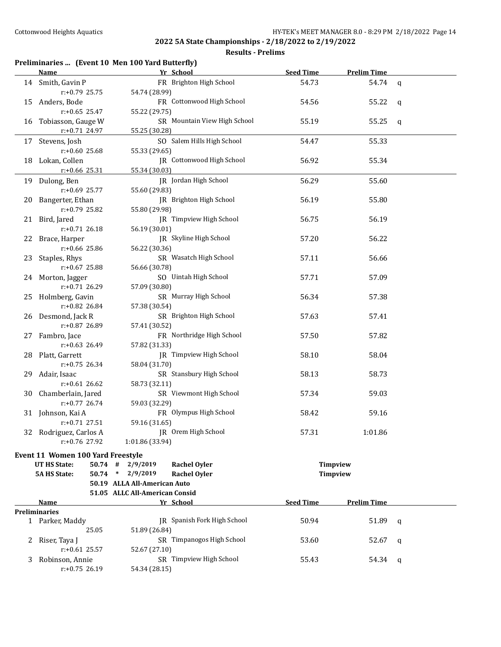| Preliminaries  (Event 10 Men 100 Yard Butterfly) |  |  |  |  |
|--------------------------------------------------|--|--|--|--|
|--------------------------------------------------|--|--|--|--|

|   | <b>Name</b>                       | Yr School                                 | <b>Seed Time</b> | <b>Prelim Time</b> |              |
|---|-----------------------------------|-------------------------------------------|------------------|--------------------|--------------|
|   | 14 Smith, Gavin P                 | FR Brighton High School                   | 54.73            | 54.74              | $\mathbf{q}$ |
|   | $r: +0.79$ 25.75                  | 54.74 (28.99)                             |                  |                    |              |
|   | 15 Anders, Bode                   | FR Cottonwood High School                 | 54.56            | 55.22              | q            |
|   | $r: +0.65$ 25.47                  | 55.22 (29.75)                             |                  |                    |              |
|   | 16 Tobiasson, Gauge W             | SR Mountain View High School              | 55.19            | 55.25              | q            |
|   | r:+0.71 24.97                     |                                           |                  |                    |              |
|   |                                   | 55.25 (30.28)                             |                  |                    |              |
|   | 17 Stevens, Josh                  | SO Salem Hills High School                | 54.47            | 55.33              |              |
|   | $r: +0.60$ 25.68                  | 55.33 (29.65)                             |                  |                    |              |
|   | 18 Lokan, Collen                  | JR Cottonwood High School                 | 56.92            | 55.34              |              |
|   | $r$ :+0.66 25.31                  | 55.34 (30.03)                             |                  |                    |              |
|   | 19 Dulong, Ben                    | JR Jordan High School                     | 56.29            | 55.60              |              |
|   | r:+0.69 25.77                     | 55.60 (29.83)                             |                  |                    |              |
|   | 20 Bangerter, Ethan               | JR Brighton High School                   | 56.19            | 55.80              |              |
|   | r:+0.79 25.82                     | 55.80 (29.98)                             |                  |                    |              |
|   | 21 Bird, Jared                    | JR Timpview High School                   | 56.75            | 56.19              |              |
|   | $r: +0.71$ 26.18                  | 56.19 (30.01)                             |                  |                    |              |
|   | 22 Brace, Harper                  | JR Skyline High School                    | 57.20            | 56.22              |              |
|   | r:+0.66 25.86                     | 56.22 (30.36)                             |                  |                    |              |
|   | 23 Staples, Rhys                  | SR Wasatch High School                    | 57.11            | 56.66              |              |
|   | r:+0.67 25.88                     | 56.66 (30.78)                             |                  |                    |              |
|   |                                   | SO Uintah High School                     |                  |                    |              |
|   | 24 Morton, Jagger                 |                                           | 57.71            | 57.09              |              |
|   | r:+0.71 26.29                     | 57.09 (30.80)                             |                  |                    |              |
|   | 25 Holmberg, Gavin                | SR Murray High School                     | 56.34            | 57.38              |              |
|   | r:+0.82 26.84                     | 57.38 (30.54)                             |                  |                    |              |
|   | 26 Desmond, Jack R                | SR Brighton High School                   | 57.63            | 57.41              |              |
|   | r:+0.87 26.89                     | 57.41 (30.52)                             |                  |                    |              |
|   | 27 Fambro, Jace                   | FR Northridge High School                 | 57.50            | 57.82              |              |
|   | $r: +0.63$ 26.49                  | 57.82 (31.33)                             |                  |                    |              |
|   | 28 Platt, Garrett                 | JR Timpview High School                   | 58.10            | 58.04              |              |
|   | $r: +0.75$ 26.34                  | 58.04 (31.70)                             |                  |                    |              |
|   | 29 Adair, Isaac                   | SR Stansbury High School                  | 58.13            | 58.73              |              |
|   | $r: +0.61$ 26.62                  | 58.73 (32.11)                             |                  |                    |              |
|   | 30 Chamberlain, Jared             | SR Viewmont High School                   | 57.34            | 59.03              |              |
|   | $r: +0.77$ 26.74                  | 59.03 (32.29)                             |                  |                    |              |
|   | 31 Johnson, Kai A                 | FR Olympus High School                    | 58.42            | 59.16              |              |
|   | $r: +0.71$ 27.51                  | 59.16 (31.65)                             |                  |                    |              |
|   | 32 Rodriguez, Carlos A            | JR Orem High School                       | 57.31            | 1:01.86            |              |
|   | r:+0.76 27.92                     | 1:01.86 (33.94)                           |                  |                    |              |
|   |                                   |                                           |                  |                    |              |
|   | Event 11 Women 100 Yard Freestyle |                                           |                  |                    |              |
|   | <b>UT HS State:</b>               | $50.74$ # 2/9/2019<br><b>Rachel Oyler</b> |                  | Timpview           |              |
|   | <b>5A HS State:</b>               | 50.74 * 2/9/2019<br><b>Rachel Oyler</b>   |                  | Timpview           |              |
|   |                                   | 50.19 ALLA All-American Auto              |                  |                    |              |
|   |                                   | 51.05 ALLC All-American Consid            |                  |                    |              |
|   | Name                              | Yr School                                 | <b>Seed Time</b> | <b>Prelim Time</b> |              |
|   | <b>Preliminaries</b>              |                                           |                  |                    |              |
|   | 1 Parker, Maddy                   | <b>IR</b> Spanish Fork High School        | 50.94            | 51.89              | q            |
|   | 25.05                             | 51.89 (26.84)                             |                  |                    |              |
| 2 | Riser, Taya J                     | SR Timpanogos High School                 | 53.60            | 52.67              | q            |
|   | $r: +0.61$ 25.57                  | 52.67 (27.10)                             |                  |                    |              |
| 3 | Robinson, Annie                   | SR Timpview High School                   | 55.43            | 54.34              | q            |
|   | $r: +0.75$ 26.19                  | 54.34 (28.15)                             |                  |                    |              |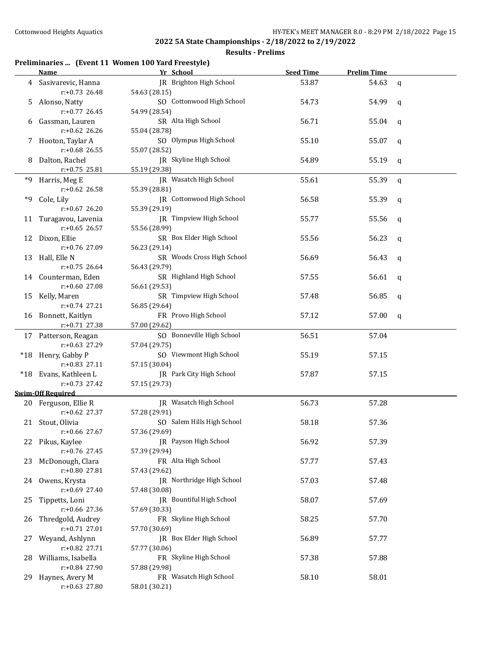## **Results - Prelims**

## **Preliminaries ... (Event 11 Women 100 Yard Freestyle)**

|    | <b>Name</b>                       | Yr School                                  | <b>Seed Time</b> | <b>Prelim Time</b> |             |
|----|-----------------------------------|--------------------------------------------|------------------|--------------------|-------------|
| 4  | Sasivarevic, Hanna                | JR Brighton High School                    | 53.87            | 54.63              | $\mathbf q$ |
|    | $r: +0.73$ 26.48                  | 54.63 (28.15)                              |                  |                    |             |
| 5  | Alonso, Natty                     | SO Cottonwood High School                  | 54.73            | 54.99              | q           |
|    | $r: +0.77$ 26.45                  | 54.99 (28.54)                              |                  |                    |             |
| 6  | Gassman, Lauren                   | SR Alta High School                        | 56.71            | 55.04              | q           |
|    | $r: +0.62$ 26.26                  | 55.04 (28.78)                              |                  |                    |             |
|    | 7 Hooton, Taylar A                | SO Olympus High School                     | 55.10            | 55.07              | q           |
|    | $r: +0.68$ 26.55                  | 55.07 (28.52)                              |                  |                    |             |
| 8  | Dalton, Rachel                    | JR Skyline High School                     | 54.89            | 55.19              | q           |
|    | $r: +0.75$ 25.81                  | 55.19 (29.38)                              |                  |                    |             |
| *9 | Harris, Meg E                     | JR Wasatch High School                     | 55.61            | 55.39              | $\mathbf q$ |
|    | r:+0.62 26.58                     | 55.39 (28.81)                              |                  |                    |             |
| *9 | Cole, Lily                        | JR Cottonwood High School                  | 56.58            | 55.39              | q           |
|    | $r: +0.67$ 26.20                  | 55.39 (29.19)                              |                  |                    |             |
| 11 | Turagavou, Lavenia                | JR Timpview High School                    | 55.77            | 55.56              | q           |
|    | $r: +0.65$ 26.57                  | 55.56 (28.99)                              |                  |                    |             |
|    | 12 Dixon, Ellie                   | SR Box Elder High School                   | 55.56            | 56.23              | q           |
|    | r:+0.76 27.09                     | 56.23 (29.14)                              |                  |                    |             |
| 13 | Hall, Elle N                      | SR Woods Cross High School                 | 56.69            | 56.43              | q           |
|    | $r: +0.75$ 26.64                  | 56.43 (29.79)                              |                  |                    |             |
|    | 14 Counterman, Eden               | SR Highland High School                    | 57.55            | 56.61              | q           |
|    | $r: +0.60$ 27.08                  | 56.61 (29.53)<br>SR Timpview High School   |                  |                    |             |
|    | 15 Kelly, Maren<br>r:+0.74 27.21  | 56.85 (29.64)                              | 57.48            | 56.85              | q           |
|    | 16 Bonnett, Kaitlyn               | FR Provo High School                       | 57.12            | 57.00              | q           |
|    | $r+0.71$ 27.38                    | 57.00 (29.62)                              |                  |                    |             |
|    | 17 Patterson, Reagan              | SO Bonneville High School                  | 56.51            | 57.04              |             |
|    | r:+0.63 27.29                     | 57.04 (29.75)                              |                  |                    |             |
|    | *18 Henry, Gabby P                | SO Viewmont High School                    | 55.19            | 57.15              |             |
|    | $r: +0.83$ 27.11                  | 57.15 (30.04)                              |                  |                    |             |
|    | *18 Evans, Kathleen L             | JR Park City High School                   | 57.87            | 57.15              |             |
|    | $r: +0.73$ 27.42                  | 57.15 (29.73)                              |                  |                    |             |
|    | <b>Swim-Off Required</b>          |                                            |                  |                    |             |
|    | 20 Ferguson, Ellie R              | JR Wasatch High School                     | 56.73            | 57.28              |             |
|    | $r: +0.62$ 27.37                  | 57.28 (29.91)                              |                  |                    |             |
|    | 21 Stout, Olivia                  | SO Salem Hills High School                 | 58.18            | 57.36              |             |
|    | r:+0.66 27.67                     | 57.36 (29.69)                              |                  |                    |             |
|    | 22 Pikus, Kaylee                  | JR Payson High School                      | 56.92            | 57.39              |             |
|    | r:+0.76 27.45                     | 57.39 (29.94)                              |                  |                    |             |
| 23 | McDonough, Clara                  | FR Alta High School                        | 57.77            | 57.43              |             |
|    | r:+0.80 27.81                     | 57.43 (29.62)                              |                  | 57.48              |             |
| 24 | Owens, Krysta<br>$r: +0.69$ 27.40 | JR Northridge High School<br>57.48 (30.08) | 57.03            |                    |             |
| 25 | Tippetts, Loni                    | JR Bountiful High School                   | 58.07            | 57.69              |             |
|    | r:+0.66 27.36                     | 57.69 (30.33)                              |                  |                    |             |
| 26 | Thredgold, Audrey                 | FR Skyline High School                     | 58.25            | 57.70              |             |
|    | $r: +0.71$ 27.01                  | 57.70 (30.69)                              |                  |                    |             |
| 27 | Weyand, Ashlynn                   | JR Box Elder High School                   | 56.89            | 57.77              |             |
|    | r:+0.82 27.71                     | 57.77 (30.06)                              |                  |                    |             |
| 28 | Williams, Isabella                | FR Skyline High School                     | 57.38            | 57.88              |             |
|    | r:+0.84 27.90                     | 57.88 (29.98)                              |                  |                    |             |
| 29 | Haynes, Avery M                   | FR Wasatch High School                     | 58.10            | 58.01              |             |
|    | r:+0.63 27.80                     | 58.01 (30.21)                              |                  |                    |             |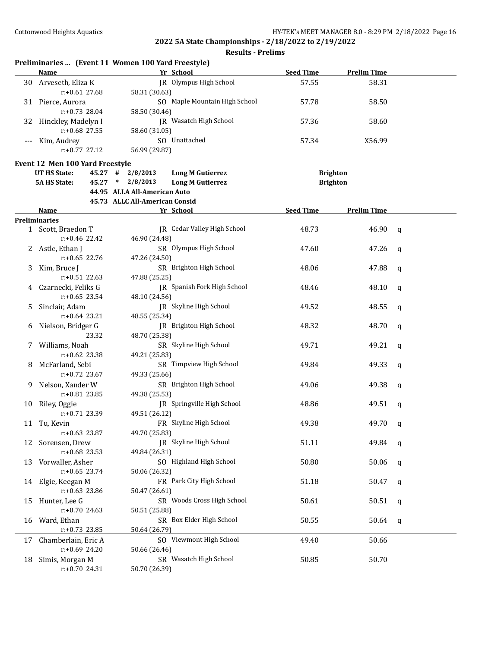| Preliminaries  (Event 11 Women 100 Yard Freestyle) |  |  |  |
|----------------------------------------------------|--|--|--|
|----------------------------------------------------|--|--|--|

|    | <b>Name</b>                     | Yr School                      |                                    | <b>Seed Time</b> | <b>Prelim Time</b> |             |
|----|---------------------------------|--------------------------------|------------------------------------|------------------|--------------------|-------------|
|    | 30 Arveseth, Eliza K            |                                | JR Olympus High School             | 57.55            | 58.31              |             |
|    | $r: +0.61$ 27.68                | 58.31 (30.63)                  |                                    |                  |                    |             |
|    | 31 Pierce, Aurora               |                                | SO Maple Mountain High School      | 57.78            | 58.50              |             |
|    | $r: +0.73$ 28.04                | 58.50 (30.46)                  |                                    |                  |                    |             |
|    |                                 |                                | JR Wasatch High School             | 57.36            | 58.60              |             |
| 32 | Hinckley, Madelyn I             |                                |                                    |                  |                    |             |
|    | $r: +0.68$ 27.55                | 58.60 (31.05)                  |                                    |                  |                    |             |
|    | Kim, Audrey                     | SO Unattached                  |                                    | 57.34            | X56.99             |             |
|    | $r: +0.77$ 27.12                | 56.99 (29.87)                  |                                    |                  |                    |             |
|    | Event 12 Men 100 Yard Freestyle |                                |                                    |                  |                    |             |
|    | <b>UT HS State:</b><br>45.27 #  | 2/8/2013                       | <b>Long M Gutierrez</b>            |                  | <b>Brighton</b>    |             |
|    | <b>5A HS State:</b><br>45.27    | 2/8/2013<br>$\ast$             | <b>Long M Gutierrez</b>            |                  | <b>Brighton</b>    |             |
|    |                                 | 44.95 ALLA All-American Auto   |                                    |                  |                    |             |
|    |                                 | 45.73 ALLC All-American Consid |                                    |                  |                    |             |
|    | Name                            | Yr School                      |                                    | <b>Seed Time</b> | <b>Prelim Time</b> |             |
|    | <b>Preliminaries</b>            |                                |                                    |                  |                    |             |
|    | 1 Scott, Braedon T              |                                | <b>IR</b> Cedar Valley High School | 48.73            | 46.90              | q           |
|    | r:+0.46 22.42                   | 46.90 (24.48)                  |                                    |                  |                    |             |
|    | 2 Astle, Ethan J                |                                | SR Olympus High School             | 47.60            | 47.26              | $\mathbf q$ |
|    | $r: +0.65$ 22.76                | 47.26 (24.50)                  |                                    |                  |                    |             |
|    |                                 |                                | SR Brighton High School            |                  |                    |             |
| 3. | Kim, Bruce J                    |                                |                                    | 48.06            | 47.88              | $\mathbf q$ |
|    | $r: +0.51$ 22.63                | 47.88 (25.25)                  |                                    |                  |                    |             |
| 4  | Czarnecki, Feliks G             |                                | JR Spanish Fork High School        | 48.46            | 48.10              | q           |
|    | $r: +0.65$ 23.54                | 48.10 (24.56)                  |                                    |                  |                    |             |
| 5. | Sinclair, Adam                  |                                | JR Skyline High School             | 49.52            | 48.55              | q           |
|    | $r: +0.64$ 23.21                | 48.55 (25.34)                  |                                    |                  |                    |             |
| 6  | Nielson, Bridger G              |                                | JR Brighton High School            | 48.32            | 48.70              | q           |
|    | 23.32                           | 48.70 (25.38)                  |                                    |                  |                    |             |
| 7  | Williams, Noah                  |                                | SR Skyline High School             | 49.71            | 49.21              | $\mathbf q$ |
|    | $r: +0.62$ 23.38                | 49.21 (25.83)                  |                                    |                  |                    |             |
| 8  | McFarland, Sebi                 |                                | SR Timpview High School            | 49.84            | 49.33              | $\mathbf q$ |
|    | $r: +0.72$ 23.67                | 49.33 (25.66)                  |                                    |                  |                    |             |
| 9. | Nelson, Xander W                |                                | SR Brighton High School            | 49.06            | 49.38              | q           |
|    | $r: +0.81$ 23.85                | 49.38 (25.53)                  |                                    |                  |                    |             |
| 10 | Riley, Oggie                    |                                | JR Springville High School         | 48.86            | 49.51              | q           |
|    | r:+0.71 23.39                   | 49.51 (26.12)                  |                                    |                  |                    |             |
|    | 11 Tu, Kevin                    |                                | FR Skyline High School             |                  |                    |             |
|    |                                 |                                |                                    | 49.38            | 49.70              | q           |
|    | r:+0.63 23.87                   | 49.70 (25.83)                  |                                    |                  |                    |             |
|    | 12 Sorensen, Drew               |                                | JR Skyline High School             | 51.11            | 49.84              | q           |
|    | $r: +0.68$ 23.53                | 49.84 (26.31)                  |                                    |                  |                    |             |
| 13 | Vorwaller, Asher                |                                | SO Highland High School            | 50.80            | 50.06              | q           |
|    | $r: +0.65$ 23.74                | 50.06 (26.32)                  |                                    |                  |                    |             |
| 14 | Elgie, Keegan M                 |                                | FR Park City High School           | 51.18            | 50.47              | q           |
|    | r:+0.63 23.86                   | 50.47 (26.61)                  |                                    |                  |                    |             |
| 15 | Hunter, Lee G                   |                                | SR Woods Cross High School         | 50.61            | 50.51              | q           |
|    | $r: +0.70$ 24.63                | 50.51 (25.88)                  |                                    |                  |                    |             |
| 16 | Ward, Ethan                     |                                | SR Box Elder High School           | 50.55            | 50.64              | q           |
|    | $r: +0.73$ 23.85                | 50.64 (26.79)                  |                                    |                  |                    |             |
| 17 | Chamberlain, Eric A             |                                | SO Viewmont High School            | 49.40            | 50.66              |             |
|    | $r: +0.69$ 24.20                | 50.66 (26.46)                  |                                    |                  |                    |             |
| 18 | Simis, Morgan M                 |                                | SR Wasatch High School             | 50.85            | 50.70              |             |
|    | $r+0.70$ 24.31                  | 50.70 (26.39)                  |                                    |                  |                    |             |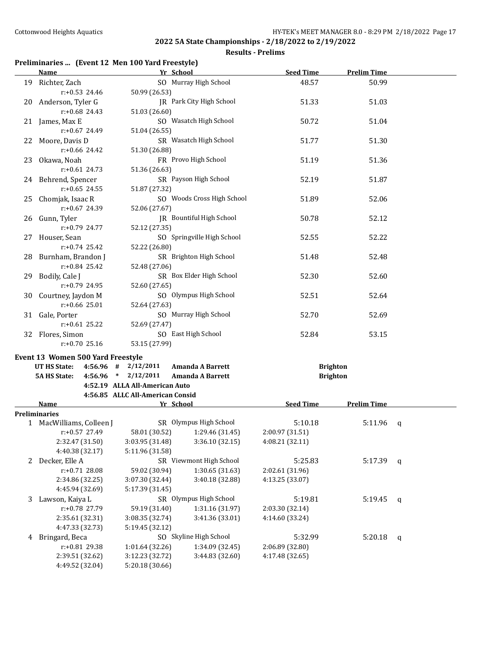## **Results - Prelims**

## **Preliminaries ... (Event 12 Men 100 Yard Freestyle)**

|   | Name and the second state of the second state of the second state of the second state of the second state of the second state of the second state of the second state of the second state of the second state of the second st | Yr School                               |                                           | <b>Seed Time</b>                   | <b>Prelim Time</b> |              |
|---|--------------------------------------------------------------------------------------------------------------------------------------------------------------------------------------------------------------------------------|-----------------------------------------|-------------------------------------------|------------------------------------|--------------------|--------------|
|   | 19 Richter, Zach                                                                                                                                                                                                               |                                         | SO Murray High School                     | 48.57                              | 50.99              |              |
|   | $r: +0.53$ 24.46                                                                                                                                                                                                               | 50.99 (26.53)                           |                                           |                                    |                    |              |
|   | 20 Anderson, Tyler G                                                                                                                                                                                                           |                                         | JR Park City High School                  | 51.33                              | 51.03              |              |
|   | $r: +0.68$ 24.43                                                                                                                                                                                                               | 51.03 (26.60)                           |                                           |                                    |                    |              |
|   | 21 James, Max E                                                                                                                                                                                                                |                                         | SO Wasatch High School                    | 50.72                              | 51.04              |              |
|   | r:+0.67 24.49                                                                                                                                                                                                                  | 51.04 (26.55)                           |                                           |                                    |                    |              |
|   | 22 Moore, Davis D                                                                                                                                                                                                              |                                         | SR Wasatch High School                    | 51.77                              | 51.30              |              |
|   | $r$ :+0.66 24.42                                                                                                                                                                                                               | 51.30 (26.88)                           |                                           |                                    |                    |              |
|   | 23 Okawa, Noah                                                                                                                                                                                                                 |                                         | FR Provo High School                      | 51.19                              | 51.36              |              |
|   | $r.+0.61$ 24.73                                                                                                                                                                                                                | 51.36 (26.63)                           |                                           |                                    |                    |              |
|   | 24 Behrend, Spencer                                                                                                                                                                                                            |                                         | SR Payson High School                     | 52.19                              | 51.87              |              |
|   | $r: +0.65$ 24.55                                                                                                                                                                                                               | 51.87 (27.32)                           |                                           |                                    |                    |              |
|   | 25 Chomjak, Isaac R                                                                                                                                                                                                            |                                         | SO Woods Cross High School                | 51.89                              | 52.06              |              |
|   | r:+0.67 24.39                                                                                                                                                                                                                  | 52.06 (27.67)                           |                                           |                                    |                    |              |
|   | 26 Gunn, Tyler                                                                                                                                                                                                                 |                                         | JR Bountiful High School                  | 50.78                              | 52.12              |              |
|   | r:+0.79 24.77                                                                                                                                                                                                                  | 52.12 (27.35)                           |                                           |                                    |                    |              |
|   | 27 Houser, Sean                                                                                                                                                                                                                |                                         | SO Springville High School                | 52.55                              | 52.22              |              |
|   | $r: +0.74$ 25.42                                                                                                                                                                                                               | 52.22 (26.80)                           |                                           |                                    |                    |              |
|   | 28 Burnham, Brandon J                                                                                                                                                                                                          |                                         | SR Brighton High School                   | 51.48                              | 52.48              |              |
|   | $r.+0.84$ 25.42                                                                                                                                                                                                                | 52.48 (27.06)                           |                                           |                                    |                    |              |
|   | 29 Bodily, Cale J                                                                                                                                                                                                              |                                         | SR Box Elder High School                  | 52.30                              | 52.60              |              |
|   | r:+0.79 24.95                                                                                                                                                                                                                  | 52.60 (27.65)<br>SO Olympus High School |                                           | 52.51                              | 52.64              |              |
|   | 30 Courtney, Jaydon M<br>r:+0.66 25.01                                                                                                                                                                                         | 52.64 (27.63)                           |                                           |                                    |                    |              |
|   | 31 Gale, Porter                                                                                                                                                                                                                | SO Murray High School                   |                                           | 52.70                              | 52.69              |              |
|   | $r: +0.61$ 25.22                                                                                                                                                                                                               | 52.69 (27.47)                           |                                           |                                    |                    |              |
|   | 32 Flores, Simon                                                                                                                                                                                                               |                                         | SO East High School                       | 52.84                              | 53.15              |              |
|   | $r: +0.70$ 25.16                                                                                                                                                                                                               | 53.15 (27.99)                           |                                           |                                    |                    |              |
|   |                                                                                                                                                                                                                                |                                         |                                           |                                    |                    |              |
|   | Event 13 Women 500 Yard Freestyle<br><b>UT HS State:</b>                                                                                                                                                                       | $4:56.96$ # $2/12/2011$                 | Amanda A Barrett                          | <b>Brighton</b>                    |                    |              |
|   | <b>5A HS State:</b>                                                                                                                                                                                                            | $4:56.96$ * $2/12/2011$                 | <b>Amanda A Barrett</b>                   | <b>Brighton</b>                    |                    |              |
|   |                                                                                                                                                                                                                                | 4:52.19 ALLA All-American Auto          |                                           |                                    |                    |              |
|   |                                                                                                                                                                                                                                | 4:56.85 ALLC All-American Consid        |                                           |                                    |                    |              |
|   | Name                                                                                                                                                                                                                           | Yr School                               |                                           | <b>Seed Time</b>                   | <b>Prelim Time</b> |              |
|   | Preliminaries                                                                                                                                                                                                                  |                                         |                                           |                                    |                    |              |
|   | 1 MacWilliams, Colleen J                                                                                                                                                                                                       |                                         | SR Olympus High School                    | 5:10.18                            | 5:11.96            | $\mathbf{q}$ |
|   | r:+0.57 27.49                                                                                                                                                                                                                  |                                         | 58.01 (30.52) 1:29.46 (31.45)             | 2:00.97 (31.51)                    |                    |              |
|   | 2:32.47 (31.50)                                                                                                                                                                                                                | 3:03.95 (31.48)                         | 3:36.10 (32.15)                           | 4:08.21 (32.11)                    |                    |              |
|   | 4:40.38 (32.17)                                                                                                                                                                                                                | 5:11.96 (31.58)                         |                                           |                                    |                    |              |
| 2 | Decker, Elle A                                                                                                                                                                                                                 |                                         | SR Viewmont High School                   | 5:25.83                            | 5:17.39            | q            |
|   | $r: +0.71$ 28.08                                                                                                                                                                                                               | 59.02 (30.94)                           | 1:30.65 (31.63)                           | 2:02.61 (31.96)                    |                    |              |
|   | 2:34.86 (32.25)                                                                                                                                                                                                                | 3:07.30 (32.44)                         | 3:40.18 (32.88)                           | 4:13.25 (33.07)                    |                    |              |
|   | 4:45.94 (32.69)                                                                                                                                                                                                                | 5:17.39 (31.45)                         |                                           |                                    |                    |              |
| 3 | Lawson, Kaiya L<br>r:+0.78 27.79                                                                                                                                                                                               |                                         | SR Olympus High School<br>1:31.16 (31.97) | 5:19.81                            | 5:19.45            | $\mathbf{q}$ |
|   | 2:35.61 (32.31)                                                                                                                                                                                                                | 59.19 (31.40)<br>3:08.35 (32.74)        | 3:41.36 (33.01)                           | 2:03.30 (32.14)<br>4:14.60 (33.24) |                    |              |
|   | 4:47.33 (32.73)                                                                                                                                                                                                                | 5:19.45 (32.12)                         |                                           |                                    |                    |              |
| 4 | Bringard, Beca                                                                                                                                                                                                                 |                                         | SO Skyline High School                    | 5:32.99                            | 5:20.18            | $\mathbf{q}$ |
|   | r:+0.81 29.38                                                                                                                                                                                                                  | 1:01.64 (32.26)                         | 1:34.09 (32.45)                           | 2:06.89 (32.80)                    |                    |              |
|   | 2:39.51 (32.62)                                                                                                                                                                                                                | 3:12.23 (32.72)                         | 3:44.83 (32.60)                           | 4:17.48 (32.65)                    |                    |              |
|   | 4:49.52 (32.04)                                                                                                                                                                                                                | 5:20.18 (30.66)                         |                                           |                                    |                    |              |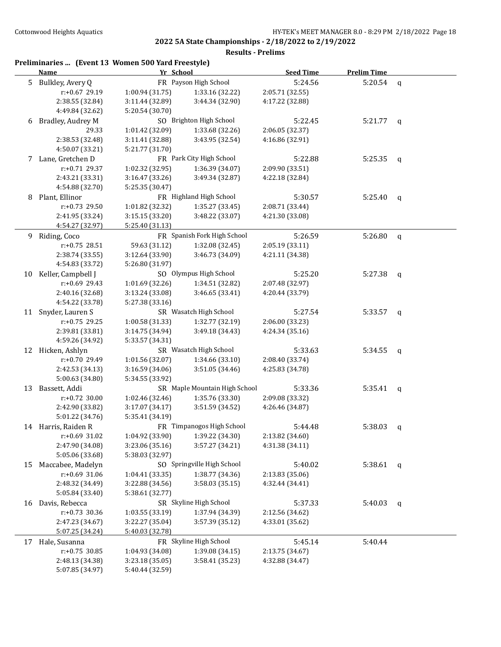|      | Preliminaries  (Event 13 Women 500 Yard Freestyle) |
|------|----------------------------------------------------|
| Namo | Vr School                                          |

|    | <b>Name</b>                        | Yr School                           |                               | <b>Seed Time</b> | <b>Prelim Time</b> |              |
|----|------------------------------------|-------------------------------------|-------------------------------|------------------|--------------------|--------------|
|    | 5 Bulkley, Avery Q                 |                                     | FR Payson High School         | 5:24.56          | 5:20.54            | q            |
|    | r:+0.67 29.19                      | 1:00.94 (31.75)                     | 1:33.16 (32.22)               | 2:05.71 (32.55)  |                    |              |
|    | 2:38.55 (32.84)                    | 3:11.44 (32.89)                     | 3:44.34 (32.90)               | 4:17.22 (32.88)  |                    |              |
|    | 4:49.84 (32.62)                    | 5:20.54 (30.70)                     |                               |                  |                    |              |
| 6  | Bradley, Audrey M                  |                                     | SO Brighton High School       | 5:22.45          | 5:21.77            | q            |
|    | 29.33                              | 1:01.42 (32.09)                     | 1:33.68 (32.26)               | 2:06.05 (32.37)  |                    |              |
|    | 2:38.53 (32.48)                    | 3:11.41 (32.88)                     | 3:43.95 (32.54)               | 4:16.86 (32.91)  |                    |              |
|    | 4:50.07 (33.21)                    | 5:21.77 (31.70)                     |                               |                  |                    |              |
|    | 7 Lane, Gretchen D                 |                                     | FR Park City High School      | 5:22.88          | 5:25.35            | q            |
|    | r:+0.71 29.37                      | 1:02.32 (32.95)                     | 1:36.39 (34.07)               | 2:09.90 (33.51)  |                    |              |
|    | 2:43.21 (33.31)                    | 3:16.47 (33.26)                     | 3:49.34 (32.87)               | 4:22.18 (32.84)  |                    |              |
|    | 4:54.88 (32.70)                    | 5:25.35 (30.47)                     |                               |                  |                    |              |
| 8  | Plant, Ellinor                     |                                     | FR Highland High School       | 5:30.57          | 5:25.40            | q            |
|    | r:+0.73 29.50                      | 1:01.82 (32.32)                     | 1:35.27 (33.45)               | 2:08.71 (33.44)  |                    |              |
|    | 2:41.95 (33.24)                    | 3:15.15 (33.20)                     | 3:48.22 (33.07)               | 4:21.30 (33.08)  |                    |              |
|    | 4:54.27 (32.97)                    | 5:25.40 (31.13)                     |                               |                  |                    |              |
|    | 9 Riding, Coco                     |                                     | FR Spanish Fork High School   | 5:26.59          | 5:26.80            | $\mathsf{q}$ |
|    | $r: +0.75$ 28.51                   | 59.63 (31.12)                       | 1:32.08 (32.45)               | 2:05.19 (33.11)  |                    |              |
|    |                                    | 3:12.64 (33.90)                     | 3:46.73 (34.09)               | 4:21.11 (34.38)  |                    |              |
|    | 2:38.74 (33.55)<br>4:54.83 (33.72) | 5:26.80 (31.97)                     |                               |                  |                    |              |
| 10 | Keller, Campbell J                 |                                     | SO Olympus High School        | 5:25.20          | 5:27.38            |              |
|    | r:+0.69 29.43                      |                                     | 1:34.51 (32.82)               |                  |                    | q            |
|    |                                    | 1:01.69 (32.26)                     | 3:46.65(33.41)                | 2:07.48 (32.97)  |                    |              |
|    | 2:40.16 (32.68)                    | 3:13.24 (33.08)                     |                               | 4:20.44 (33.79)  |                    |              |
|    | 4:54.22 (33.78)                    | 5:27.38 (33.16)                     |                               |                  |                    |              |
|    | 11 Snyder, Lauren S                |                                     | SR Wasatch High School        | 5:27.54          | 5:33.57            | q            |
|    | r:+0.75 29.25                      | 1:00.58 (31.33)                     | 1:32.77 (32.19)               | 2:06.00 (33.23)  |                    |              |
|    | 2:39.81 (33.81)                    | 3:14.75 (34.94)                     | 3:49.18 (34.43)               | 4:24.34 (35.16)  |                    |              |
|    | 4:59.26 (34.92)                    | 5:33.57 (34.31)                     |                               |                  |                    |              |
|    | 12 Hicken, Ashlyn                  |                                     | SR Wasatch High School        | 5:33.63          | 5:34.55            | q            |
|    | r:+0.70 29.49                      | 1:01.56 (32.07)                     | 1:34.66 (33.10)               | 2:08.40 (33.74)  |                    |              |
|    | 2:42.53 (34.13)                    | 3:16.59 (34.06)                     | 3:51.05 (34.46)               | 4:25.83 (34.78)  |                    |              |
|    | 5:00.63 (34.80)                    | 5:34.55 (33.92)                     |                               |                  |                    |              |
| 13 | Bassett, Addi                      |                                     | SR Maple Mountain High School | 5:33.36          | 5:35.41            | q            |
|    | r:+0.72 30.00                      | 1:02.46 (32.46)                     | 1:35.76 (33.30)               | 2:09.08 (33.32)  |                    |              |
|    | 2:42.90 (33.82)                    | 3:17.07 (34.17)                     | 3:51.59 (34.52)               | 4:26.46 (34.87)  |                    |              |
|    | 5:01.22 (34.76)                    | 5:35.41 (34.19)                     |                               |                  |                    |              |
|    | 14 Harris, Raiden R                |                                     | FR Timpanogos High School     | 5:44.48          | 5:38.03            | q            |
|    | r:+0.69 31.02                      | $1:04.92$ (33.90) $1:39.22$ (34.30) |                               | 2:13.82 (34.60)  |                    |              |
|    | 2:47.90 (34.08)                    | 3:23.06 (35.16)                     | 3:57.27 (34.21)               | 4:31.38 (34.11)  |                    |              |
|    | 5:05.06 (33.68)                    | 5:38.03 (32.97)                     |                               |                  |                    |              |
| 15 | Maccabee, Madelyn                  |                                     | SO Springville High School    | 5:40.02          | 5:38.61            | q            |
|    | r:+0.69 31.06                      | 1:04.41(33.35)                      | 1:38.77 (34.36)               | 2:13.83 (35.06)  |                    |              |
|    | 2:48.32 (34.49)                    | 3:22.88 (34.56)                     | 3:58.03 (35.15)               | 4:32.44 (34.41)  |                    |              |
|    | 5:05.84 (33.40)                    | 5:38.61 (32.77)                     |                               |                  |                    |              |
| 16 | Davis, Rebecca                     |                                     | SR Skyline High School        | 5:37.33          | 5:40.03            | q            |
|    | $r: +0.73$ 30.36                   | 1:03.55 (33.19)                     | 1:37.94 (34.39)               | 2:12.56 (34.62)  |                    |              |
|    | 2:47.23 (34.67)                    | 3:22.27 (35.04)                     | 3:57.39 (35.12)               | 4:33.01 (35.62)  |                    |              |
|    | 5:07.25 (34.24)                    | 5:40.03 (32.78)                     |                               |                  |                    |              |
| 17 | Hale, Susanna                      |                                     | FR Skyline High School        | 5:45.14          | 5:40.44            |              |
|    | r:+0.75 30.85                      | 1:04.93 (34.08)                     | 1:39.08 (34.15)               | 2:13.75 (34.67)  |                    |              |
|    | 2:48.13 (34.38)                    | 3:23.18 (35.05)                     | 3:58.41 (35.23)               | 4:32.88 (34.47)  |                    |              |
|    | 5:07.85 (34.97)                    | 5:40.44 (32.59)                     |                               |                  |                    |              |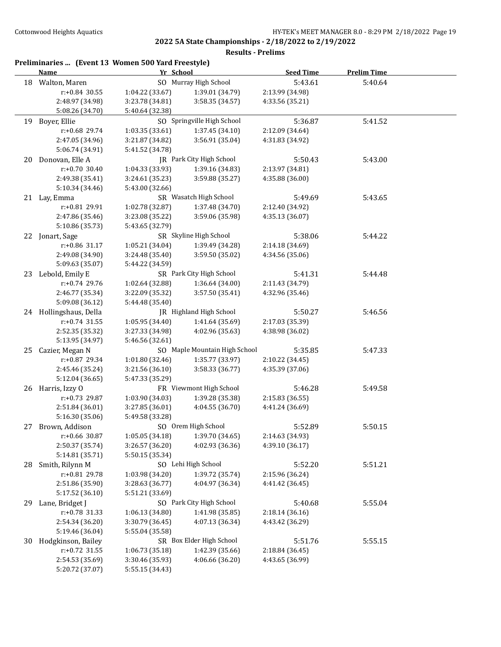**2022 5A State Championships - 2/18/2022 to 2/19/2022 Results - Prelims**

|     | <b>Name</b>            | Yr School           |                               | <b>Seed Time</b> | <b>Prelim Time</b> |  |
|-----|------------------------|---------------------|-------------------------------|------------------|--------------------|--|
|     | 18 Walton, Maren       |                     | SO Murray High School         | 5:43.61          | 5:40.64            |  |
|     | $r: +0.84$ 30.55       | 1:04.22 (33.67)     | 1:39.01 (34.79)               | 2:13.99 (34.98)  |                    |  |
|     | 2:48.97 (34.98)        | 3:23.78 (34.81)     | 3:58.35 (34.57)               | 4:33.56 (35.21)  |                    |  |
|     | 5:08.26 (34.70)        | 5:40.64 (32.38)     |                               |                  |                    |  |
|     | 19 Boyer, Ellie        |                     | SO Springville High School    | 5:36.87          | 5:41.52            |  |
|     | r:+0.68 29.74          | 1:03.35 (33.61)     | 1:37.45 (34.10)               | 2:12.09 (34.64)  |                    |  |
|     | 2:47.05 (34.96)        | 3:21.87 (34.82)     | 3:56.91 (35.04)               | 4:31.83 (34.92)  |                    |  |
|     | 5:06.74 (34.91)        | 5:41.52 (34.78)     |                               |                  |                    |  |
| 20  | Donovan, Elle A        |                     | JR Park City High School      | 5:50.43          | 5:43.00            |  |
|     | $r: +0.70$ 30.40       | 1:04.33 (33.93)     | 1:39.16 (34.83)               | 2:13.97 (34.81)  |                    |  |
|     | 2:49.38 (35.41)        | 3:24.61 (35.23)     | 3:59.88 (35.27)               | 4:35.88 (36.00)  |                    |  |
|     | 5:10.34 (34.46)        | 5:43.00 (32.66)     |                               |                  |                    |  |
|     | 21 Lay, Emma           |                     | SR Wasatch High School        | 5:49.69          | 5:43.65            |  |
|     | r:+0.81 29.91          | 1:02.78 (32.87)     | 1:37.48 (34.70)               | 2:12.40 (34.92)  |                    |  |
|     | 2:47.86 (35.46)        | 3:23.08 (35.22)     | 3:59.06 (35.98)               | 4:35.13 (36.07)  |                    |  |
|     | 5:10.86 (35.73)        | 5:43.65 (32.79)     |                               |                  |                    |  |
|     | 22 Jonart, Sage        |                     | SR Skyline High School        | 5:38.06          | 5:44.22            |  |
|     | r:+0.86 31.17          | 1:05.21 (34.04)     | 1:39.49 (34.28)               | 2:14.18 (34.69)  |                    |  |
|     | 2:49.08 (34.90)        | 3:24.48 (35.40)     | 3:59.50 (35.02)               | 4:34.56 (35.06)  |                    |  |
|     | 5:09.63 (35.07)        | 5:44.22 (34.59)     |                               |                  |                    |  |
| 23  | Lebold, Emily E        |                     | SR Park City High School      | 5:41.31          | 5:44.48            |  |
|     | $r: +0.74$ 29.76       | 1:02.64 (32.88)     | 1:36.64 (34.00)               | 2:11.43 (34.79)  |                    |  |
|     | 2:46.77 (35.34)        | 3:22.09 (35.32)     | 3:57.50 (35.41)               | 4:32.96 (35.46)  |                    |  |
|     | 5:09.08 (36.12)        | 5:44.48 (35.40)     |                               |                  |                    |  |
|     | 24 Hollingshaus, Della |                     | JR Highland High School       | 5:50.27          | 5:46.56            |  |
|     | $r: +0.74$ 31.55       | 1:05.95 (34.40)     | 1:41.64 (35.69)               | 2:17.03 (35.39)  |                    |  |
|     | 2:52.35 (35.32)        | 3:27.33 (34.98)     | 4:02.96 (35.63)               | 4:38.98 (36.02)  |                    |  |
|     | 5:13.95 (34.97)        | 5:46.56 (32.61)     |                               |                  |                    |  |
| 25  | Cazier, Megan N        |                     | SO Maple Mountain High School | 5:35.85          | 5:47.33            |  |
|     | r:+0.87 29.34          | 1:01.80 (32.46)     | 1:35.77 (33.97)               | 2:10.22 (34.45)  |                    |  |
|     | 2:45.46 (35.24)        | 3:21.56 (36.10)     | 3:58.33 (36.77)               | 4:35.39 (37.06)  |                    |  |
|     | 5:12.04 (36.65)        | 5:47.33 (35.29)     |                               |                  |                    |  |
|     | 26 Harris, Izzy O      |                     | FR Viewmont High School       | 5:46.28          | 5:49.58            |  |
|     | r:+0.73 29.87          | 1:03.90 (34.03)     | 1:39.28 (35.38)               | 2:15.83 (36.55)  |                    |  |
|     | 2:51.84 (36.01)        | 3:27.85 (36.01)     | 4:04.55 (36.70)               | 4:41.24 (36.69)  |                    |  |
|     | 5:16.30 (35.06)        | 5:49.58 (33.28)     |                               |                  |                    |  |
|     | 27 Brown, Addison      | SO Orem High School |                               | 5:52.89          | 5:50.15            |  |
|     | r:+0.66 30.87          | 1:05.05 (34.18)     | 1:39.70 (34.65)               | 2:14.63 (34.93)  |                    |  |
|     | 2:50.37 (35.74)        | 3:26.57 (36.20)     | 4:02.93 (36.36)               | 4:39.10 (36.17)  |                    |  |
|     | 5:14.81 (35.71)        | 5:50.15 (35.34)     |                               |                  |                    |  |
| 28  | Smith, Rilynn M        |                     | SO Lehi High School           | 5:52.20          | 5:51.21            |  |
|     | r:+0.81 29.78          | 1:03.98 (34.20)     | 1:39.72 (35.74)               | 2:15.96 (36.24)  |                    |  |
|     | 2:51.86 (35.90)        | 3:28.63 (36.77)     | 4:04.97 (36.34)               | 4:41.42 (36.45)  |                    |  |
|     | 5:17.52 (36.10)        | 5:51.21 (33.69)     |                               |                  |                    |  |
| 29. | Lane, Bridget J        |                     | SO Park City High School      | 5:40.68          | 5:55.04            |  |
|     | $r: +0.78$ 31.33       | 1:06.13 (34.80)     | 1:41.98 (35.85)               | 2:18.14 (36.16)  |                    |  |
|     | 2:54.34 (36.20)        | 3:30.79 (36.45)     | 4:07.13 (36.34)               | 4:43.42 (36.29)  |                    |  |
|     | 5:19.46 (36.04)        | 5:55.04 (35.58)     |                               |                  |                    |  |
| 30  | Hodgkinson, Bailey     |                     | SR Box Elder High School      | 5:51.76          | 5:55.15            |  |
|     | $r: +0.72$ 31.55       | 1:06.73 (35.18)     | 1:42.39 (35.66)               | 2:18.84 (36.45)  |                    |  |
|     | 2:54.53 (35.69)        | 3:30.46 (35.93)     | 4:06.66 (36.20)               | 4:43.65 (36.99)  |                    |  |
|     | 5:20.72 (37.07)        | 5:55.15 (34.43)     |                               |                  |                    |  |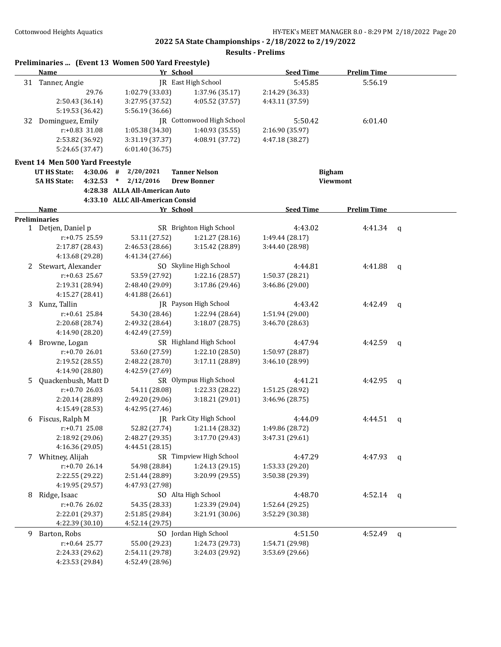|    | Preliminaries  (Event 13 Women 500 Yard Freestyle)<br><b>Name</b> | Yr School                                             |                            | <b>Seed Time</b> | <b>Prelim Time</b> |   |
|----|-------------------------------------------------------------------|-------------------------------------------------------|----------------------------|------------------|--------------------|---|
|    | 31 Tanner, Angie                                                  |                                                       | <b>IR</b> East High School | 5:45.85          | 5:56.19            |   |
|    | 29.76                                                             | 1:02.79 (33.03)                                       | 1:37.96 (35.17)            | 2:14.29 (36.33)  |                    |   |
|    | 2:50.43 (36.14)                                                   | 3:27.95 (37.52)                                       | 4:05.52 (37.57)            | 4:43.11 (37.59)  |                    |   |
|    | 5:19.53 (36.42)                                                   | 5:56.19 (36.66)                                       |                            |                  |                    |   |
| 32 | Dominguez, Emily                                                  |                                                       | JR Cottonwood High School  | 5:50.42          | 6:01.40            |   |
|    | $r: +0.83$ 31.08                                                  | 1:05.38 (34.30)                                       | 1:40.93 (35.55)            | 2:16.90 (35.97)  |                    |   |
|    | 2:53.82 (36.92)                                                   | 3:31.19 (37.37)                                       | 4:08.91 (37.72)            | 4:47.18 (38.27)  |                    |   |
|    | 5:24.65 (37.47)                                                   | 6:01.40 (36.75)                                       |                            |                  |                    |   |
|    |                                                                   |                                                       |                            |                  |                    |   |
|    | Event 14 Men 500 Yard Freestyle                                   |                                                       |                            |                  |                    |   |
|    | <b>UT HS State:</b><br>$4:30.06$ #                                | 2/20/2021                                             | <b>Tanner Nelson</b>       | <b>Bigham</b>    |                    |   |
|    | <b>5A HS State:</b><br>4:32.53                                    | 2/12/2016<br>$\ast$<br>4:28.38 ALLA All-American Auto | <b>Drew Bonner</b>         |                  | <b>Viewmont</b>    |   |
|    |                                                                   | 4:33.10 ALLC All-American Consid                      |                            |                  |                    |   |
|    | <b>Name</b>                                                       | Yr School                                             |                            | <b>Seed Time</b> | <b>Prelim Time</b> |   |
|    | <b>Preliminaries</b>                                              |                                                       |                            |                  |                    |   |
|    | 1 Detjen, Daniel p                                                |                                                       | SR Brighton High School    | 4:43.02          | 4:41.34            | q |
|    | r:+0.75 25.59                                                     | 53.11 (27.52)                                         | 1:21.27 (28.16)            | 1:49.44 (28.17)  |                    |   |
|    | 2:17.87 (28.43)                                                   | 2:46.53 (28.66)                                       | 3:15.42 (28.89)            | 3:44.40 (28.98)  |                    |   |
|    | 4:13.68 (29.28)                                                   | 4:41.34 (27.66)                                       |                            |                  |                    |   |
|    | 2 Stewart, Alexander                                              |                                                       | SO Skyline High School     | 4:44.81          | 4:41.88            | q |
|    | $r: +0.63$ 25.67                                                  | 53.59 (27.92)                                         | 1:22.16 (28.57)            | 1:50.37 (28.21)  |                    |   |
|    | 2:19.31 (28.94)                                                   | 2:48.40 (29.09)                                       | 3:17.86 (29.46)            | 3:46.86 (29.00)  |                    |   |
|    | 4:15.27 (28.41)                                                   | 4:41.88 (26.61)                                       |                            |                  |                    |   |
| 3  | Kunz, Tallin                                                      |                                                       | JR Payson High School      | 4:43.42          | 4:42.49            | q |
|    | $r: +0.61$ 25.84                                                  | 54.30 (28.46)                                         | 1:22.94 (28.64)            | 1:51.94 (29.00)  |                    |   |
|    | 2:20.68 (28.74)                                                   | 2:49.32 (28.64)                                       | 3:18.07(28.75)             | 3:46.70 (28.63)  |                    |   |
|    | 4:14.90 (28.20)                                                   | 4:42.49 (27.59)                                       |                            |                  |                    |   |
|    | 4 Browne, Logan                                                   |                                                       | SR Highland High School    | 4:47.94          | 4:42.59            | q |
|    | r:+0.70 26.01                                                     | 53.60 (27.59)                                         | 1:22.10 (28.50)            | 1:50.97 (28.87)  |                    |   |
|    | 2:19.52 (28.55)                                                   | 2:48.22 (28.70)                                       | 3:17.11 (28.89)            | 3:46.10 (28.99)  |                    |   |
|    | 4:14.90 (28.80)                                                   | 4:42.59 (27.69)                                       |                            |                  |                    |   |
| 5  | Quackenbush, Matt D                                               |                                                       | SR Olympus High School     | 4:41.21          | 4:42.95            | q |
|    | $r: +0.7026.03$                                                   | 54.11 (28.08)                                         | 1:22.33 (28.22)            | 1:51.25 (28.92)  |                    |   |
|    | 2:20.14 (28.89)                                                   | 2:49.20 (29.06)                                       | 3:18.21 (29.01)            | 3:46.96 (28.75)  |                    |   |
|    | 4:15.49 (28.53)                                                   | 4:42.95 (27.46)                                       |                            |                  |                    |   |
| 6  | Fiscus, Ralph M                                                   |                                                       | JR Park City High School   | 4:44.09          | 4:44.51            | q |
|    | $r: +0.71$ 25.08                                                  | 52.82 (27.74)                                         | 1:21.14 (28.32)            | 1:49.86 (28.72)  |                    |   |
|    | 2:18.92 (29.06)                                                   | 2:48.27 (29.35)                                       | 3:17.70 (29.43)            | 3:47.31 (29.61)  |                    |   |
|    | 4:16.36 (29.05)                                                   | 4:44.51 (28.15)                                       |                            |                  |                    |   |
|    | 7 Whitney, Alijah                                                 |                                                       | SR Timpview High School    | 4:47.29          | 4:47.93            | q |
|    | $r: +0.70$ 26.14                                                  | 54.98 (28.84)                                         | 1:24.13 (29.15)            | 1:53.33 (29.20)  |                    |   |
|    | 2:22.55 (29.22)                                                   | 2:51.44 (28.89)                                       | 3:20.99 (29.55)            | 3:50.38 (29.39)  |                    |   |
|    | 4:19.95 (29.57)                                                   | 4:47.93 (27.98)                                       |                            |                  |                    |   |
| 8  | Ridge, Isaac                                                      |                                                       | SO Alta High School        | 4:48.70          | 4:52.14 $q$        |   |
|    | r:+0.76 26.02                                                     | 54.35 (28.33)                                         | 1:23.39 (29.04)            | 1:52.64 (29.25)  |                    |   |
|    | 2:22.01 (29.37)                                                   | 2:51.85 (29.84)                                       | 3:21.91 (30.06)            | 3:52.29 (30.38)  |                    |   |
|    | 4:22.39 (30.10)                                                   | 4:52.14 (29.75)                                       |                            |                  |                    |   |
| 9  | Barton, Robs                                                      |                                                       | SO Jordan High School      | 4:51.50          | 4:52.49            | q |
|    | $r$ :+0.64 25.77                                                  | 55.00 (29.23)                                         | 1:24.73 (29.73)            | 1:54.71 (29.98)  |                    |   |
|    | 2:24.33 (29.62)                                                   | 2:54.11 (29.78)                                       | 3:24.03 (29.92)            | 3:53.69 (29.66)  |                    |   |
|    | 4:23.53 (29.84)                                                   | 4:52.49 (28.96)                                       |                            |                  |                    |   |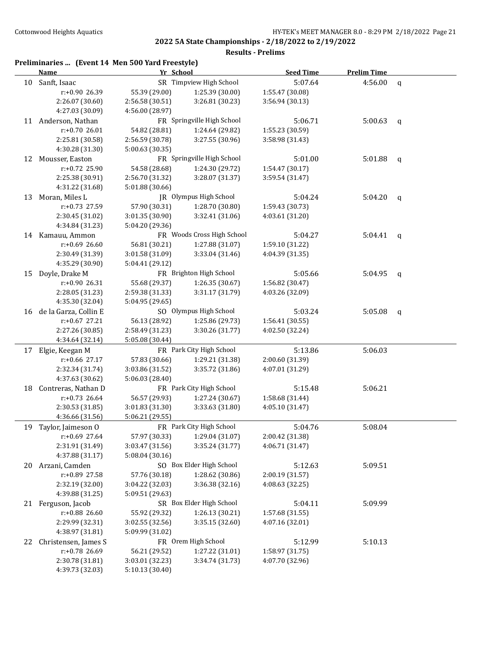| Preliminaries  (Event 14 Men 500 Yard Freestyle) |  |  |  |
|--------------------------------------------------|--|--|--|
|--------------------------------------------------|--|--|--|

|    | <b>Name</b>           | Yr School       |                            | <b>Seed Time</b> | <b>Prelim Time</b> |              |
|----|-----------------------|-----------------|----------------------------|------------------|--------------------|--------------|
|    | 10 Sanft, Isaac       |                 | SR Timpview High School    | 5:07.64          | 4:56.00            | $\mathbf q$  |
|    | r:+0.90 26.39         | 55.39 (29.00)   | 1:25.39 (30.00)            | 1:55.47 (30.08)  |                    |              |
|    | 2:26.07 (30.60)       | 2:56.58 (30.51) | 3:26.81 (30.23)            | 3:56.94 (30.13)  |                    |              |
|    | 4:27.03 (30.09)       | 4:56.00 (28.97) |                            |                  |                    |              |
| 11 | Anderson, Nathan      |                 | FR Springville High School | 5:06.71          | 5:00.63            | $\mathsf{q}$ |
|    | $r: +0.7026.01$       | 54.82 (28.81)   | 1:24.64 (29.82)            | 1:55.23 (30.59)  |                    |              |
|    | 2:25.81 (30.58)       | 2:56.59 (30.78) | 3:27.55 (30.96)            | 3:58.98 (31.43)  |                    |              |
|    | 4:30.28 (31.30)       | 5:00.63 (30.35) |                            |                  |                    |              |
| 12 | Mousser, Easton       |                 | FR Springville High School | 5:01.00          | 5:01.88            | $\mathbf q$  |
|    | $r: +0.72$ 25.90      | 54.58 (28.68)   | 1:24.30 (29.72)            | 1:54.47 (30.17)  |                    |              |
|    | 2:25.38 (30.91)       | 2:56.70 (31.32) | 3:28.07 (31.37)            | 3:59.54 (31.47)  |                    |              |
|    | 4:31.22 (31.68)       | 5:01.88 (30.66) |                            |                  |                    |              |
| 13 | Moran, Miles L        |                 | JR Olympus High School     | 5:04.24          | 5:04.20            | $\mathbf q$  |
|    | r:+0.73 27.59         | 57.90 (30.31)   | 1:28.70 (30.80)            | 1:59.43 (30.73)  |                    |              |
|    | 2:30.45 (31.02)       | 3:01.35 (30.90) | 3:32.41 (31.06)            | 4:03.61 (31.20)  |                    |              |
|    | 4:34.84 (31.23)       | 5:04.20 (29.36) |                            |                  |                    |              |
| 14 | Kamauu, Ammon         |                 | FR Woods Cross High School | 5:04.27          | 5:04.41            | q            |
|    | $r: +0.69$ 26.60      | 56.81 (30.21)   | 1:27.88 (31.07)            | 1:59.10 (31.22)  |                    |              |
|    | 2:30.49 (31.39)       | 3:01.58 (31.09) | 3:33.04 (31.46)            | 4:04.39 (31.35)  |                    |              |
|    | 4:35.29 (30.90)       | 5:04.41 (29.12) |                            |                  |                    |              |
| 15 | Doyle, Drake M        |                 | FR Brighton High School    | 5:05.66          | 5:04.95            | q            |
|    | r:+0.90 26.31         | 55.68 (29.37)   | 1:26.35 (30.67)            | 1:56.82 (30.47)  |                    |              |
|    | 2:28.05 (31.23)       | 2:59.38 (31.33) | 3:31.17 (31.79)            | 4:03.26 (32.09)  |                    |              |
|    | 4:35.30 (32.04)       | 5:04.95 (29.65) |                            |                  |                    |              |
| 16 | de la Garza, Collin E |                 | SO Olympus High School     | 5:03.24          | 5:05.08            | q            |
|    | $r: +0.67$ 27.21      | 56.13 (28.92)   | 1:25.86 (29.73)            | 1:56.41 (30.55)  |                    |              |
|    | 2:27.26 (30.85)       | 2:58.49 (31.23) | 3:30.26 (31.77)            | 4:02.50 (32.24)  |                    |              |
|    | 4:34.64 (32.14)       | 5:05.08 (30.44) |                            |                  |                    |              |
| 17 | Elgie, Keegan M       |                 | FR Park City High School   | 5:13.86          | 5:06.03            |              |
|    | $r: +0.66$ 27.17      | 57.83 (30.66)   | 1:29.21 (31.38)            | 2:00.60 (31.39)  |                    |              |
|    | 2:32.34 (31.74)       | 3:03.86 (31.52) | 3:35.72 (31.86)            | 4:07.01 (31.29)  |                    |              |
|    | 4:37.63 (30.62)       | 5:06.03 (28.40) |                            |                  |                    |              |
| 18 | Contreras, Nathan D   |                 | FR Park City High School   | 5:15.48          | 5:06.21            |              |
|    | $r: +0.73$ 26.64      | 56.57 (29.93)   | 1:27.24 (30.67)            | 1:58.68 (31.44)  |                    |              |
|    | 2:30.53 (31.85)       | 3:01.83 (31.30) | 3:33.63 (31.80)            | 4:05.10 (31.47)  |                    |              |
|    | 4:36.66 (31.56)       | 5:06.21 (29.55) |                            |                  |                    |              |
| 19 | Taylor, Jaimeson O    |                 | FR Park City High School   | 5:04.76          | 5:08.04            |              |
|    | r:+0.69 27.64         | 57.97 (30.33)   | 1:29.04 (31.07)            | 2:00.42 (31.38)  |                    |              |
|    | 2:31.91 (31.49)       | 3:03.47 (31.56) | 3:35.24 (31.77)            | 4:06.71 (31.47)  |                    |              |
|    | 4:37.88 (31.17)       | 5:08.04 (30.16) |                            |                  |                    |              |
| 20 | Arzani, Camden        |                 | SO Box Elder High School   | 5:12.63          | 5:09.51            |              |
|    | r:+0.89 27.58         | 57.76 (30.18)   | 1:28.62 (30.86)            | 2:00.19 (31.57)  |                    |              |
|    | 2:32.19 (32.00)       | 3:04.22 (32.03) | 3:36.38 (32.16)            | 4:08.63 (32.25)  |                    |              |
|    | 4:39.88 (31.25)       | 5:09.51 (29.63) |                            |                  |                    |              |
|    | 21 Ferguson, Jacob    |                 | SR Box Elder High School   | 5:04.11          | 5:09.99            |              |
|    | r:+0.88 26.60         | 55.92 (29.32)   | 1:26.13 (30.21)            | 1:57.68 (31.55)  |                    |              |
|    | 2:29.99 (32.31)       | 3:02.55 (32.56) | 3:35.15(32.60)             | 4:07.16 (32.01)  |                    |              |
|    | 4:38.97 (31.81)       | 5:09.99 (31.02) |                            |                  |                    |              |
| 22 | Christensen, James S  |                 | FR Orem High School        | 5:12.99          | 5:10.13            |              |
|    | r:+0.78 26.69         | 56.21 (29.52)   | 1:27.22 (31.01)            | 1:58.97 (31.75)  |                    |              |
|    | 2:30.78 (31.81)       | 3:03.01 (32.23) | 3:34.74 (31.73)            | 4:07.70 (32.96)  |                    |              |
|    | 4:39.73 (32.03)       | 5:10.13 (30.40) |                            |                  |                    |              |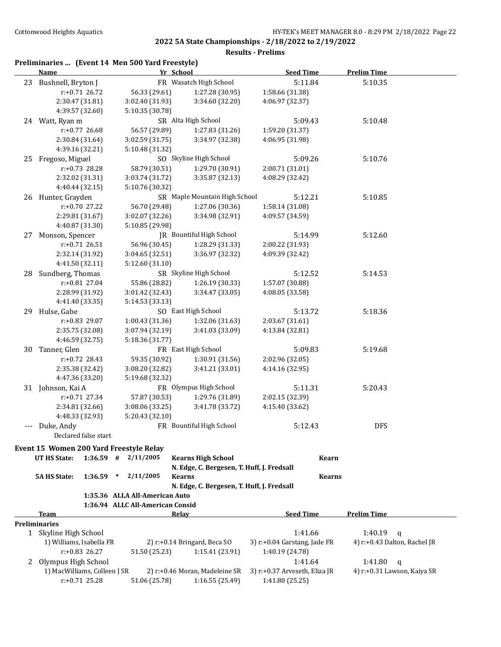|    | Preliminaries  (Event 14 Men 500 Yard Freestyle)<br>Name |                      |        |                                  | Yr School                                  | <b>Seed Time</b>              | <b>Prelim Time</b>                         |
|----|----------------------------------------------------------|----------------------|--------|----------------------------------|--------------------------------------------|-------------------------------|--------------------------------------------|
|    | 23 Bushnell, Bryton J                                    |                      |        |                                  | FR Wasatch High School                     | 5:11.84                       | 5:10.35                                    |
|    |                                                          | r:+0.71 26.72        |        | 56.33 (29.61)                    | 1:27.28 (30.95)                            | 1:58.66 (31.38)               |                                            |
|    | 2:30.47 (31.81)                                          |                      |        | 3:02.40 (31.93)                  | 3:34.60 (32.20)                            | 4:06.97 (32.37)               |                                            |
|    | 4:39.57 (32.60)                                          |                      |        | 5:10.35 (30.78)                  |                                            |                               |                                            |
|    | 24 Watt, Ryan m                                          |                      |        |                                  | SR Alta High School                        | 5:09.43                       | 5:10.48                                    |
|    |                                                          | r:+0.77 26.68        |        | 56.57 (29.89)                    | 1:27.83 (31.26)                            | 1:59.20 (31.37)               |                                            |
|    | 2:30.84 (31.64)                                          |                      |        | 3:02.59 (31.75)                  | 3:34.97 (32.38)                            | 4:06.95 (31.98)               |                                            |
|    | 4:39.16 (32.21)                                          |                      |        | 5:10.48 (31.32)                  |                                            |                               |                                            |
| 25 | Fregoso, Miguel                                          |                      |        |                                  | SO Skyline High School                     | 5:09.26                       | 5:10.76                                    |
|    |                                                          | $r: +0.73$ 28.28     |        | 58.79 (30.51)                    | 1:29.70 (30.91)                            | 2:00.71 (31.01)               |                                            |
|    | 2:32.02 (31.31)                                          |                      |        | 3:03.74 (31.72)                  | 3:35.87 (32.13)                            | 4:08.29 (32.42)               |                                            |
|    | 4:40.44 (32.15)                                          |                      |        | 5:10.76 (30.32)                  |                                            |                               |                                            |
|    | 26 Hunter, Grayden                                       |                      |        |                                  | SR Maple Mountain High School              | 5:12.21                       | 5:10.85                                    |
|    |                                                          | $r: +0.70$ 27.22     |        | 56.70 (29.48)                    | 1:27.06 (30.36)                            | 1:58.14 (31.08)               |                                            |
|    | 2:29.81 (31.67)                                          |                      |        | 3:02.07 (32.26)                  | 3:34.98 (32.91)                            | 4:09.57 (34.59)               |                                            |
|    | 4:40.87 (31.30)                                          |                      |        | 5:10.85 (29.98)                  |                                            |                               |                                            |
| 27 | Monson, Spencer                                          |                      |        |                                  | <b>IR</b> Bountiful High School            | 5:14.99                       | 5:12.60                                    |
|    |                                                          | r:+0.71 26.51        |        | 56.96 (30.45)                    | 1:28.29 (31.33)                            | 2:00.22 (31.93)               |                                            |
|    |                                                          | 2:32.14 (31.92)      |        | 3:04.65 (32.51)                  | 3:36.97 (32.32)                            | 4:09.39 (32.42)               |                                            |
|    | 4:41.50 (32.11)                                          |                      |        | 5:12.60 (31.10)                  |                                            |                               |                                            |
|    | Sundberg, Thomas                                         |                      |        |                                  | SR Skyline High School                     | 5:12.52                       | 5:14.53                                    |
| 28 |                                                          | $r: +0.81$ 27.04     |        |                                  |                                            |                               |                                            |
|    |                                                          |                      |        | 55.86 (28.82)                    | 1:26.19 (30.33)                            | 1:57.07 (30.88)               |                                            |
|    | 2:28.99 (31.92)                                          |                      |        | 3:01.42 (32.43)                  | 3:34.47 (33.05)                            | 4:08.05 (33.58)               |                                            |
|    | 4:41.40 (33.35)                                          |                      |        | 5:14.53 (33.13)                  |                                            |                               |                                            |
|    | 29 Hulse, Gabe                                           |                      |        |                                  | SO East High School                        | 5:13.72                       | 5:18.36                                    |
|    |                                                          | r:+0.83 29.07        |        | 1:00.43 (31.36)                  | 1:32.06 (31.63)                            | 2:03.67 (31.61)               |                                            |
|    | 2:35.75 (32.08)                                          |                      |        | 3:07.94 (32.19)                  | 3:41.03 (33.09)                            | 4:13.84 (32.81)               |                                            |
|    | 4:46.59 (32.75)                                          |                      |        | 5:18.36 (31.77)                  |                                            |                               |                                            |
| 30 | Tanner, Glen                                             |                      |        |                                  | FR East High School                        | 5:09.83                       | 5:19.68                                    |
|    |                                                          | $r: +0.72$ 28.43     |        | 59.35 (30.92)                    | 1:30.91 (31.56)                            | 2:02.96 (32.05)               |                                            |
|    | 2:35.38 (32.42)                                          |                      |        | 3:08.20 (32.82)                  | 3:41.21 (33.01)                            | 4:14.16 (32.95)               |                                            |
|    | 4:47.36 (33.20)                                          |                      |        | 5:19.68 (32.32)                  |                                            |                               |                                            |
|    | 31 Johnson, Kai A                                        |                      |        |                                  | FR Olympus High School                     | 5:11.31                       | 5:20.43                                    |
|    |                                                          | $r: +0.71$ 27.34     |        | 57.87 (30.53)                    | 1:29.76 (31.89)                            | 2:02.15 (32.39)               |                                            |
|    | 2:34.81 (32.66)                                          |                      |        | 3:08.06 (33.25)                  | 3:41.78 (33.72)                            | 4:15.40 (33.62)               |                                            |
|    | 4:48.33 (32.93)                                          |                      |        | 5:20.43 (32.10)                  |                                            |                               |                                            |
|    | --- Duke, Andy                                           |                      |        |                                  | FR Bountiful High School                   | 5:12.43                       | <b>DFS</b>                                 |
|    |                                                          | Declared false start |        |                                  |                                            |                               |                                            |
|    | Event 15 Women 200 Yard Freestyle Relay                  |                      |        |                                  |                                            |                               |                                            |
|    | <b>UT HS State:</b>                                      | $1:36.59$ #          |        | 2/11/2005                        | <b>Kearns High School</b>                  |                               | Kearn                                      |
|    |                                                          |                      |        |                                  | N. Edge, C. Bergesen, T. Huff, J. Fredsall |                               |                                            |
|    | <b>5A HS State:</b>                                      | 1:36.59              | $\ast$ | 2/11/2005                        | <b>Kearns</b>                              |                               | <b>Kearns</b>                              |
|    |                                                          |                      |        |                                  | N. Edge, C. Bergesen, T. Huff, J. Fredsall |                               |                                            |
|    |                                                          |                      |        | 1:35.36 ALLA All-American Auto   |                                            |                               |                                            |
|    |                                                          |                      |        | 1:36.94 ALLC All-American Consid |                                            |                               |                                            |
|    | Team<br><b>Preliminaries</b>                             |                      |        |                                  | <b>Relay</b>                               | <b>Seed Time</b>              | <b>Prelim Time</b>                         |
|    | 1 Skyline High School                                    |                      |        |                                  |                                            | 1:41.66                       | 1:40.19<br>q                               |
|    | 1) Williams, Isabella FR                                 |                      |        |                                  | 2) r:+0.14 Bringard, Beca SO               | 3) r:+0.04 Garstang, Jade FR  | 4) r:+0.43 Dalton, Rachel JR               |
|    |                                                          | $r: +0.83$ 26.27     |        | 51.50 (25.23)                    | 1:15.41(23.91)                             | 1:40.19 (24.78)               |                                            |
|    | Olympus High School                                      |                      |        |                                  |                                            | 1:41.64                       | 1:41.80                                    |
| 2  | 1) MacWilliams, Colleen J SR                             |                      |        |                                  | 2) r:+0.46 Moran, Madeleine SR             | 3) r:+0.37 Arveseth, Eliza JR | $\mathbf q$<br>4) r:+0.31 Lawson, Kaiya SR |
|    |                                                          |                      |        |                                  |                                            |                               |                                            |
|    |                                                          | $r: +0.71$ 25.28     |        | 51.06 (25.78)                    | 1:16.55 (25.49)                            | 1:41.80 (25.25)               |                                            |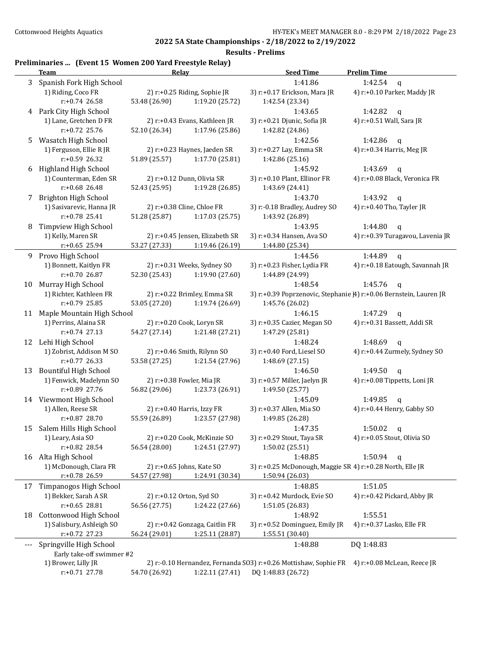**Results - Prelims**

# **Preliminaries ... (Event 15 Women 200 Yard Freestyle Relay)**

|     | <b>Team</b>                                      | Relay         |                                 | <b>Seed Time</b>                                                 | <b>Prelim Time</b>                                                 |
|-----|--------------------------------------------------|---------------|---------------------------------|------------------------------------------------------------------|--------------------------------------------------------------------|
| 3   | Spanish Fork High School                         |               |                                 | 1:41.86                                                          | 1:42.54<br>$\mathbf{q}$                                            |
|     | 1) Riding, Coco FR                               |               | 2) r:+0.25 Riding, Sophie JR    | 3) r:+0.17 Erickson, Mara JR                                     | 4) r:+0.10 Parker, Maddy JR                                        |
|     | $r: +0.74$ 26.58                                 | 53.48 (26.90) | 1:19.20 (25.72)                 | 1:42.54 (23.34)                                                  |                                                                    |
|     | 4 Park City High School                          |               |                                 | 1:43.65                                                          | 1:42.82<br>q                                                       |
|     | 1) Lane, Gretchen D FR                           |               | 2) r:+0.43 Evans, Kathleen JR   | 3) r:+0.21 Djunic, Sofia JR                                      | 4) r:+0.51 Wall, Sara JR                                           |
|     | r:+0.72 25.76                                    | 52.10 (26.34) | 1:17.96 (25.86)                 | 1:42.82 (24.86)                                                  |                                                                    |
| 5.  | Wasatch High School                              |               |                                 | 1:42.56                                                          | 1:42.86<br>q                                                       |
|     | 1) Ferguson, Ellie R JR                          |               | 2) r:+0.23 Haynes, Jaeden SR    | 3) r:+0.27 Lay, Emma SR                                          | 4) r:+0.34 Harris, Meg JR                                          |
|     | r:+0.59 26.32                                    | 51.89 (25.57) | 1:17.70 (25.81)                 | 1:42.86 (25.16)                                                  |                                                                    |
| 6   | Highland High School                             |               |                                 | 1:45.92                                                          | 1:43.69<br>$\mathbf q$                                             |
|     | 1) Counterman, Eden SR                           |               | 2) r:+0.12 Dunn, Olivia SR      | 3) r:+0.10 Plant, Ellinor FR                                     | 4) r:+0.08 Black, Veronica FR                                      |
|     | r:+0.68 26.48                                    | 52.43 (25.95) | 1:19.28 (26.85)                 | 1:43.69 (24.41)                                                  |                                                                    |
| 7   | Brighton High School                             |               |                                 | 1:43.70                                                          | 1:43.92<br>$\mathbf q$                                             |
|     | 1) Sasivarevic, Hanna JR                         |               | 2) r:+0.38 Cline, Chloe FR      | 3) r:-0.18 Bradley, Audrey SO                                    | 4) r:+0.40 Tho, Tayler JR                                          |
|     | r:+0.78 25.41                                    | 51.28 (25.87) | 1:17.03 (25.75)                 | 1:43.92 (26.89)                                                  |                                                                    |
| 8   | Timpview High School                             |               |                                 | 1:43.95                                                          | 1:44.80<br>$\mathbf q$                                             |
|     | 1) Kelly, Maren SR                               |               | 2) r:+0.45 Jensen, Elizabeth SR | 3) r:+0.34 Hansen, Ava SO                                        | 4) r:+0.39 Turagavou, Lavenia JR                                   |
|     | $r: +0.65$ 25.94                                 | 53.27 (27.33) | 1:19.46 (26.19)                 | 1:44.80 (25.34)                                                  |                                                                    |
| 9.  | Provo High School                                |               |                                 | 1:44.56                                                          | 1:44.89<br>$\mathbf{q}$                                            |
|     | 1) Bonnett, Kaitlyn FR                           |               | 2) r:+0.31 Weeks, Sydney SO     | 3) r:+0.23 Fisher, Lydia FR                                      | 4) r:+0.18 Eatough, Savannah JR                                    |
|     | $r: +0.70$ 26.87                                 | 52.30 (25.43) | 1:19.90 (27.60)                 | 1:44.89 (24.99)                                                  |                                                                    |
| 10  | Murray High School                               |               |                                 | 1:48.54                                                          | 1:45.76<br>$\mathbf{q}$                                            |
|     | 1) Richter, Kathleen FR                          |               | 2) r:+0.22 Brimley, Emma SR     |                                                                  | 3) r:+0.39 Poprzenovic, Stephanie [4] r:+0.06 Bernstein, Lauren JR |
|     | r:+0.79 25.85                                    | 53.05 (27.20) | 1:19.74 (26.69)                 | 1:45.76 (26.02)                                                  |                                                                    |
| 11  | Maple Mountain High School                       |               |                                 | 1:46.15                                                          | 1:47.29<br>$\mathbf q$                                             |
|     | 1) Perrins, Alaina SR                            |               | 2) r:+0.20 Cook, Loryn SR       | 3) r:+0.35 Cazier, Megan SO                                      | 4) r:+0.31 Bassett, Addi SR                                        |
|     | $r: +0.74$ 27.13                                 | 54.27 (27.14) | 1:21.48 (27.21)                 | 1:47.29 (25.81)                                                  |                                                                    |
|     | 12 Lehi High School                              |               |                                 | 1:48.24                                                          | 1:48.69<br>$\mathbf q$                                             |
|     | 1) Zobrist, Addison M SO                         |               | 2) r:+0.46 Smith, Rilynn SO     | 3) r:+0.40 Ford, Liesel SO                                       | 4) r:+0.44 Zurmely, Sydney SO                                      |
|     | r:+0.77 26.33                                    | 53.58 (27.25) | 1:21.54 (27.96)                 | 1:48.69 (27.15)                                                  |                                                                    |
| 13  | <b>Bountiful High School</b>                     |               |                                 | 1:46.50                                                          | 1:49.50<br>$\mathbf{q}$                                            |
|     | 1) Fenwick, Madelynn SO                          |               | 2) r:+0.38 Fowler, Mia JR       | 3) r:+0.57 Miller, Jaelyn JR                                     | 4) r:+0.08 Tippetts, Loni JR                                       |
|     | r:+0.89 27.76                                    | 56.82 (29.06) | 1:23.73 (26.91)                 | 1:49.50 (25.77)                                                  |                                                                    |
|     | 14 Viewmont High School                          |               |                                 | 1:45.09                                                          | 1:49.85<br>q                                                       |
|     | 1) Allen, Reese SR                               |               | 2) r:+0.40 Harris, Izzy FR      | 3) r:+0.37 Allen, Mia SO                                         | 4) r:+0.44 Henry, Gabby SO                                         |
|     | $r: +0.87$ 28.70                                 | 55.59 (26.89) | 1:23.57 (27.98)                 | 1:49.85 (26.28)                                                  |                                                                    |
| 15  | Salem Hills High School                          |               |                                 | 1:47.35                                                          | 1:50.02<br>q                                                       |
|     | 1) Leary, Asia SO                                |               | 2) r:+0.20 Cook, McKinzie SO    | 3) r:+0.29 Stout, Taya SR                                        | 4) r:+0.05 Stout, Olivia SO                                        |
|     | r:+0.82 28.54                                    | 56.54 (28.00) | 1:24.51 (27.97)                 | 1:50.02 (25.51)                                                  |                                                                    |
|     | 16 Alta High School                              |               |                                 | 1:48.85                                                          | 1:50.94<br>$\mathbf{q}$                                            |
|     | 1) McDonough, Clara FR                           |               | 2) r:+0.65 Johns, Kate SO       | 3) r:+0.25 McDonough, Maggie SR 4) r:+0.28 North, Elle JR        |                                                                    |
|     | r:+0.78 26.59                                    | 54.57 (27.98) | 1:24.91 (30.34)                 | 1:50.94 (26.03)                                                  |                                                                    |
| 17  | Timpanogos High School                           |               |                                 | 1:48.85                                                          | 1:51.05                                                            |
|     | 1) Bekker, Sarah A SR                            |               | 2) r:+0.12 Orton, Syd SO        | 3) r:+0.42 Murdock, Evie SO                                      | 4) r:+0.42 Pickard, Abby JR                                        |
|     | $r: +0.65$ 28.81                                 | 56.56 (27.75) | 1:24.22 (27.66)                 | 1:51.05 (26.83)                                                  |                                                                    |
| 18  | Cottonwood High School                           |               |                                 | 1:48.92                                                          | 1:55.51                                                            |
|     | 1) Salisbury, Ashleigh SO                        |               | 2) r:+0.42 Gonzaga, Caitlin FR  | 3) r:+0.52 Dominguez, Emily JR                                   | 4) r:+0.37 Lasko, Elle FR                                          |
|     | r:+0.72 27.23                                    | 56.24 (29.01) | 1:25.11 (28.87)                 | 1:55.51 (30.40)                                                  |                                                                    |
| --- | Springville High School                          |               |                                 | 1:48.88                                                          | DQ 1:48.83                                                         |
|     | Early take-off swimmer #2<br>1) Brower, Lilly JR |               |                                 | 2) r:-0.10 Hernandez, Fernanda SO3) r:+0.26 Mottishaw, Sophie FR | 4) r:+0.08 McLean, Reece JR                                        |
|     | r:+0.71 27.78                                    | 54.70 (26.92) | 1:22.11 (27.41)                 | DQ 1:48.83 (26.72)                                               |                                                                    |
|     |                                                  |               |                                 |                                                                  |                                                                    |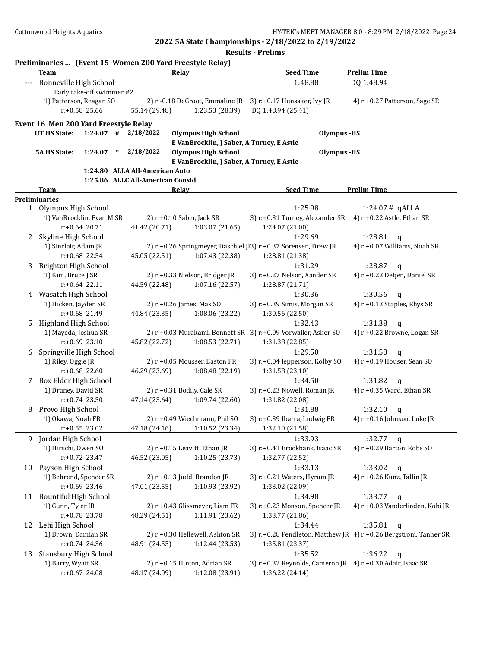|       | Team                                                                        | Preliminaries  (Event 15 Women 200 Yard Freestyle Relay)<br>Relay                                  | <b>Seed Time</b>                                           | <b>Prelim Time</b>                                               |
|-------|-----------------------------------------------------------------------------|----------------------------------------------------------------------------------------------------|------------------------------------------------------------|------------------------------------------------------------------|
| $---$ | Bonneville High School<br>Early take-off swimmer #2                         |                                                                                                    | 1:48.88                                                    | DQ 1:48.94                                                       |
|       | 1) Patterson, Reagan SO<br>r:+0.58 25.66                                    | 2) r:-0.18 DeGroot, Emmaline JR 3) r:+0.17 Hunsaker, Ivy JR<br>1:23.53 (28.39)<br>55.14 (29.48)    | DQ 1:48.94 (25.41)                                         | 4) r:+0.27 Patterson, Sage SR                                    |
|       | Event 16 Men 200 Yard Freestyle Relay<br><b>UT HS State:</b><br>$1:24.07$ # | 2/18/2022                                                                                          | <b>Olympus -HS</b>                                         |                                                                  |
|       |                                                                             | <b>Olympus High School</b><br>E VanBrocklin, J Saber, A Turney, E Astle                            |                                                            |                                                                  |
|       | <b>5A HS State:</b><br>1:24.07<br>$\ast$                                    | 2/18/2022<br><b>Olympus High School</b><br>E VanBrocklin, J Saber, A Turney, E Astle               | <b>Olympus -HS</b>                                         |                                                                  |
|       |                                                                             | 1:24.80 ALLA All-American Auto<br>1:25.86 ALLC All-American Consid                                 |                                                            |                                                                  |
|       | Team                                                                        | <b>Relay</b>                                                                                       | <b>Seed Time</b>                                           | <b>Prelim Time</b>                                               |
|       | <b>Preliminaries</b>                                                        |                                                                                                    |                                                            |                                                                  |
|       | 1 Olympus High School                                                       |                                                                                                    | 1:25.98                                                    | $1:24.07#$ qALLA                                                 |
|       | 1) VanBrocklin, Evan M SR                                                   | 2) r:+0.10 Saber, Jack SR                                                                          | 3) r:+0.31 Turney, Alexander SR                            | 4) r:+0.22 Astle, Ethan SR                                       |
|       | $r: +0.64$ 20.71                                                            | 41.42 (20.71)<br>1:03.07(21.65)                                                                    | 1:24.07 (21.00)                                            |                                                                  |
| 2     | Skyline High School                                                         |                                                                                                    | 1:29.69                                                    | 1:28.81<br>$\mathbf q$                                           |
|       | 1) Sinclair, Adam JR                                                        | 2) r:+0.26 Springmeyer, Daschiel JI3) r:+0.37 Sorensen, Drew JR                                    |                                                            | 4) r:+0.07 Williams, Noah SR                                     |
|       | r:+0.68 22.54                                                               | 1:07.43 (22.38)<br>45.05 (22.51)                                                                   | 1:28.81 (21.38)                                            |                                                                  |
| 3     | Brighton High School                                                        |                                                                                                    | 1:31.29                                                    | 1:28.87<br>$\mathbf{q}$                                          |
|       | 1) Kim, Bruce J SR                                                          | 2) r:+0.33 Nielson, Bridger JR                                                                     | 3) r:+0.27 Nelson, Xander SR                               | 4) r:+0.23 Detjen, Daniel SR                                     |
|       | $r: +0.64$ 22.11                                                            | 44.59 (22.48)<br>1:07.16 (22.57)                                                                   | 1:28.87 (21.71)                                            |                                                                  |
| 4     | Wasatch High School                                                         |                                                                                                    | 1:30.36                                                    | 1:30.56<br>$\mathbf q$                                           |
|       | 1) Hicken, Jayden SR                                                        | 2) r:+0.26 James, Max SO                                                                           | 3) r:+0.39 Simis, Morgan SR                                | 4) r:+0.13 Staples, Rhys SR                                      |
|       | $r: +0.68$ 21.49                                                            | 44.84 (23.35)<br>1:08.06 (23.22)                                                                   | 1:30.56 (22.50)                                            |                                                                  |
| 5.    | Highland High School                                                        |                                                                                                    | 1:32.43                                                    | 1:31.38<br>$\mathsf{q}$                                          |
|       | 1) Mayeda, Joshua SR<br>$r: +0.69$ 23.10                                    | 2) r:+0.03 Murakami, Bennett SR 3) r:+0.09 Vorwaller, Asher SO<br>1:08.53 (22.71)<br>45.82 (22.72) | 1:31.38 (22.85)                                            | 4) r:+0.22 Browne, Logan SR                                      |
| 6     | Springville High School                                                     |                                                                                                    | 1:29.50                                                    | 1:31.58<br>$\mathbf q$                                           |
|       | 1) Riley, Oggie JR                                                          | 2) r:+0.05 Mousser, Easton FR                                                                      | 3) r:+0.04 Jepperson, Kolby SO                             | 4) r:+0.19 Houser, Sean SO                                       |
|       | $r: +0.68$ 22.60                                                            | 46.29 (23.69)<br>1:08.48 (22.19)                                                                   | 1:31.58 (23.10)                                            |                                                                  |
|       | 7 Box Elder High School                                                     |                                                                                                    | 1:34.50                                                    | 1:31.82<br>$\mathbf{q}$                                          |
|       | 1) Draney, David SR                                                         | 2) r:+0.31 Bodily, Cale SR                                                                         | 3) r:+0.23 Nowell, Roman JR                                | 4) r:+0.35 Ward, Ethan SR                                        |
|       | $r: +0.74$ 23.50                                                            | 47.14 (23.64)<br>1:09.74 (22.60)                                                                   | 1:31.82 (22.08)                                            |                                                                  |
| 8     | Provo High School                                                           |                                                                                                    | 1:31.88                                                    | 1:32.10<br>q                                                     |
|       | 1) Okawa, Noah FR                                                           | 2) r:+0.49 Wiechmann, Phil SO                                                                      | 3) r:+0.39 Ibarra, Ludwig FR                               | 4) r:+0.16 Johnson, Luke JR                                      |
|       | $r$ :+0.55 23.02                                                            | 47.18 (24.16)<br>1:10.52 (23.34)                                                                   | 1:32.10 (21.58)                                            |                                                                  |
|       | 9 Jordan High School                                                        |                                                                                                    | 1:33.93                                                    | 1:32.77 $q$                                                      |
|       | 1) Hirschi, Owen SO                                                         | 2) r:+0.15 Leavitt, Ethan JR                                                                       | 3) r:+0.41 Brockbank, Isaac SR                             | 4) r:+0.29 Barton, Robs SO                                       |
|       | r:+0.72 23.47                                                               | 46.52 (23.05)<br>1:10.25 (23.73)                                                                   | 1:32.77 (22.52)                                            |                                                                  |
| 10    | Payson High School                                                          |                                                                                                    | 1:33.13                                                    | 1:33.02<br>$\mathbf q$                                           |
|       | 1) Behrend, Spencer SR                                                      | 2) r:+0.13 Judd, Brandon JR                                                                        | 3) r:+0.21 Waters, Hyrum JR                                | 4) r:+0.26 Kunz, Tallin JR                                       |
|       | r:+0.69 23.46                                                               | 1:10.93 (23.92)<br>47.01 (23.55)                                                                   | 1:33.02 (22.09)                                            |                                                                  |
| 11    | <b>Bountiful High School</b>                                                |                                                                                                    | 1:34.98                                                    | 1:33.77<br>$\mathbf q$                                           |
|       | 1) Gunn, Tyler JR                                                           | 2) r:+0.43 Glissmeyer, Liam FR                                                                     | 3) r:+0.23 Monson, Spencer JR                              | 4) r:+0.03 Vanderlinden, Kobi JR                                 |
|       | r:+0.78 23.78                                                               | 1:11.91 (23.62)<br>48.29 (24.51)                                                                   | 1:33.77 (21.86)                                            |                                                                  |
| 12    | Lehi High School                                                            |                                                                                                    | 1:34.44                                                    | 1:35.81<br>$\mathbf q$                                           |
|       | 1) Brown, Damian SR                                                         | 2) r:+0.30 Hellewell, Ashton SR                                                                    |                                                            | 3) r:+0.28 Pendleton, Matthew JR 4) r:+0.26 Bergstrom, Tanner SR |
|       | $r: +0.74$ 24.36                                                            | 48.91 (24.55)<br>1:12.44 (23.53)                                                                   | 1:35.81 (23.37)                                            |                                                                  |
| 13    | <b>Stansbury High School</b>                                                |                                                                                                    | 1:35.52                                                    | 1:36.22<br>q                                                     |
|       | 1) Barry, Wyatt SR                                                          | 2) r:+0.15 Hinton, Adrian SR                                                                       | 3) r:+0.32 Reynolds, Cameron JR 4) r:+0.30 Adair, Isaac SR |                                                                  |
|       | $r: +0.67$ 24.08                                                            | 48.17 (24.09)<br>1:12.08 (23.91)                                                                   | 1:36.22 (24.14)                                            |                                                                  |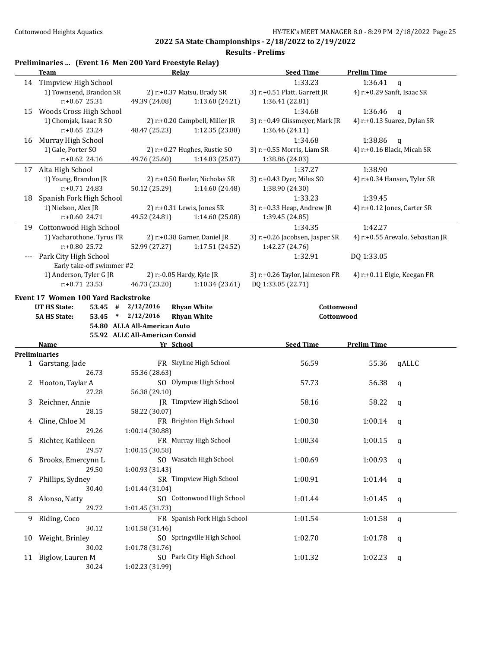**Results - Prelims**

# **Preliminaries ... (Event 16 Men 200 Yard Freestyle Relay)**

|       | <b>Team</b>                            | <b>Relay</b>                                | <b>Seed Time</b>               | <b>Prelim Time</b>               |
|-------|----------------------------------------|---------------------------------------------|--------------------------------|----------------------------------|
|       | 14 Timpview High School                |                                             | 1:33.23                        | 1:36.41<br>$\mathbf{q}$          |
|       | 1) Townsend, Brandon SR                | 2) r:+0.37 Matsu, Brady SR                  | 3) r:+0.51 Platt, Garrett JR   | 4) r:+0.29 Sanft, Isaac SR       |
|       | $r: +0.67$ 25.31                       | 49.39 (24.08)<br>1:13.60 (24.21)            | 1:36.41 (22.81)                |                                  |
| 15    | Woods Cross High School                |                                             | 1:34.68                        | 1:36.46<br>q                     |
|       | 1) Chomjak, Isaac R SO                 | 2) r:+0.20 Campbell, Miller JR              | 3) r:+0.49 Glissmeyer, Mark JR | 4) r:+0.13 Suarez, Dylan SR      |
|       | $r: +0.65$ 23.24                       | 48.47 (25.23)<br>1:12.35 (23.88)            | 1:36.46 (24.11)                |                                  |
| 16    | Murray High School                     |                                             | 1:34.68                        | 1:38.86<br>$\mathbf q$           |
|       | 1) Gale, Porter SO                     | 2) r:+0.27 Hughes, Rustie SO                | 3) r:+0.55 Morris, Liam SR     | 4) $r: +0.16$ Black, Micah SR    |
|       | $r: +0.62$ 24.16                       | 49.76 (25.60)<br>1:14.83(25.07)             | 1:38.86 (24.03)                |                                  |
|       | 17 Alta High School                    |                                             | 1:37.27                        | 1:38.90                          |
|       | 1) Young, Brandon JR                   | 2) r:+0.50 Beeler, Nicholas SR              | 3) r:+0.43 Dyer, Miles SO      | 4) r:+0.34 Hansen, Tyler SR      |
|       | $r: +0.71$ 24.83                       |                                             |                                |                                  |
|       |                                        | 50.12 (25.29)<br>1:14.60 (24.48)            | 1:38.90 (24.30)                |                                  |
| 18    | Spanish Fork High School               |                                             | 1:33.23                        | 1:39.45                          |
|       | 1) Nielson, Alex JR                    | 2) r:+0.31 Lewis, Jones SR                  | 3) r:+0.33 Heap, Andrew JR     | 4) r:+0.12 Jones, Carter SR      |
|       | r:+0.60 24.71                          | 49.52 (24.81)<br>1:14.60(25.08)             | 1:39.45 (24.85)                |                                  |
|       | 19 Cottonwood High School              |                                             | 1:34.35                        | 1:42.27                          |
|       | 1) Vacharothone, Tyrus FR              | 2) r:+0.38 Garner, Daniel JR                | 3) r:+0.26 Jacobsen, Jasper SR | 4) r:+0.55 Arevalo, Sebastian JR |
|       | r:+0.80 25.72                          | 52.99 (27.27)<br>1:17.51 (24.52)            | 1:42.27 (24.76)                |                                  |
| $---$ | Park City High School                  |                                             | 1:32.91                        | DQ 1:33.05                       |
|       | Early take-off swimmer #2              |                                             |                                |                                  |
|       | 1) Anderson, Tyler G JR                | 2) r:-0.05 Hardy, Kyle JR                   | 3) r:+0.26 Taylor, Jaimeson FR | 4) $r: +0.11$ Elgie, Keegan FR   |
|       | $r: +0.71$ 23.53                       | 46.73 (23.20)<br>1:10.34(23.61)             | DQ 1:33.05 (22.71)             |                                  |
|       | Event 17 Women 100 Yard Backstroke     |                                             |                                |                                  |
|       | <b>UT HS State:</b><br>53.45 #         | 2/12/2016<br><b>Rhyan White</b>             | Cottonwood                     |                                  |
|       | <b>5A HS State:</b><br>53.45<br>$\ast$ | <b>Rhyan White</b><br>2/12/2016             | Cottonwood                     |                                  |
|       |                                        |                                             |                                |                                  |
|       |                                        | 54.80 ALLA All-American Auto                |                                |                                  |
|       |                                        | 55.92 ALLC All-American Consid              |                                |                                  |
|       | Name                                   | Yr School                                   | <b>Seed Time</b>               | <b>Prelim Time</b>               |
|       | <b>Preliminaries</b>                   |                                             |                                |                                  |
|       | 1 Garstang, Jade                       | FR Skyline High School                      | 56.59                          | qALLC<br>55.36                   |
|       | 26.73                                  | 55.36 (28.63)                               |                                |                                  |
|       | 2 Hooton, Taylar A                     | SO Olympus High School                      | 57.73                          | 56.38<br>$\mathbf q$             |
|       | 27.28                                  | 56.38 (29.10)                               |                                |                                  |
| 3     | Reichner, Annie                        | JR Timpview High School                     | 58.16                          | 58.22<br>q                       |
|       | 28.15                                  | 58.22 (30.07)                               |                                |                                  |
| 4     |                                        | FR Brighton High School                     |                                | 1:00.14                          |
|       | Cline, Chloe M                         |                                             | 1:00.30                        | q                                |
|       | 29.26                                  | 1:00.14 (30.88)                             |                                |                                  |
| 5     | Richter, Kathleen                      | FR Murray High School                       | 1:00.34                        | 1:00.15<br>q                     |
|       | 29.57                                  | 1:00.15 (30.58)                             |                                |                                  |
| 6     | Brooks, Emercynn L                     | SO Wasatch High School                      | 1:00.69                        | 1:00.93<br>q                     |
|       | 29.50                                  | 1:00.93 (31.43)                             |                                |                                  |
| 7     | Phillips, Sydney                       | SR Timpview High School                     | 1:00.91                        | 1:01.44<br>q                     |
|       | 30.40                                  | 1:01.44(31.04)                              |                                |                                  |
| 8     | Alonso, Natty                          | SO Cottonwood High School                   | 1:01.44                        | 1:01.45<br>q                     |
|       | 29.72                                  | 1:01.45 (31.73)                             |                                |                                  |
| 9     | Riding, Coco                           | FR Spanish Fork High School                 | 1:01.54                        | 1:01.58<br>q                     |
|       | 30.12                                  | 1:01.58 (31.46)                             |                                |                                  |
| 10    | Weight, Brinley                        | SO Springville High School                  | 1:02.70                        | 1:01.78<br>q                     |
|       | 30.02                                  | 1:01.78 (31.76)                             |                                |                                  |
| 11    | Biglow, Lauren M<br>30.24              | SO Park City High School<br>1:02.23 (31.99) | 1:01.32                        | 1:02.23<br>q                     |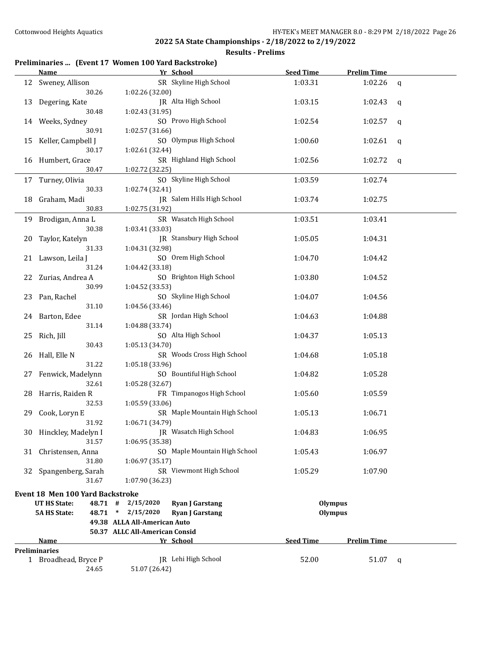**Results - Prelims**

# **Preliminaries ... (Event 17 Women 100 Yard Backstroke)**

|    | Name and the same state of the state of the state of the state of the state of the state of the state of the state of the state of the state of the state of the state of the state of the state of the state of the state of | Yr School                                     | <b>Seed Time</b> | <b>Prelim Time</b> |              |
|----|-------------------------------------------------------------------------------------------------------------------------------------------------------------------------------------------------------------------------------|-----------------------------------------------|------------------|--------------------|--------------|
| 12 | Sweney, Allison                                                                                                                                                                                                               | SR Skyline High School                        | 1:03.31          | 1:02.26            | $\mathsf{q}$ |
|    | 30.26                                                                                                                                                                                                                         | 1:02.26 (32.00)                               |                  |                    |              |
| 13 | Degering, Kate                                                                                                                                                                                                                | JR Alta High School                           | 1:03.15          | 1:02.43            | q            |
|    | 30.48                                                                                                                                                                                                                         | 1:02.43 (31.95)                               |                  |                    |              |
| 14 | Weeks, Sydney                                                                                                                                                                                                                 | SO Provo High School                          | 1:02.54          | 1:02.57            | q            |
|    | 30.91                                                                                                                                                                                                                         | 1:02.57 (31.66)                               |                  |                    |              |
| 15 | Keller, Campbell J                                                                                                                                                                                                            | SO Olympus High School                        | 1:00.60          | 1:02.61            | q            |
|    | 30.17                                                                                                                                                                                                                         | 1:02.61 (32.44)                               |                  |                    |              |
| 16 | Humbert, Grace                                                                                                                                                                                                                | SR Highland High School                       | 1:02.56          | 1:02.72            | q            |
|    | 30.47                                                                                                                                                                                                                         | 1:02.72 (32.25)                               |                  |                    |              |
|    | 17 Turney, Olivia                                                                                                                                                                                                             | SO Skyline High School                        | 1:03.59          | 1:02.74            |              |
|    | 30.33                                                                                                                                                                                                                         | 1:02.74 (32.41)                               |                  |                    |              |
| 18 | Graham, Madi                                                                                                                                                                                                                  | JR Salem Hills High School                    | 1:03.74          | 1:02.75            |              |
|    | 30.83                                                                                                                                                                                                                         | 1:02.75 (31.92)                               |                  |                    |              |
| 19 | Brodigan, Anna L                                                                                                                                                                                                              | SR Wasatch High School                        | 1:03.51          | 1:03.41            |              |
|    | 30.38                                                                                                                                                                                                                         | 1:03.41 (33.03)                               |                  |                    |              |
| 20 | Taylor, Katelyn                                                                                                                                                                                                               | JR Stansbury High School                      | 1:05.05          | 1:04.31            |              |
|    | 31.33                                                                                                                                                                                                                         | 1:04.31 (32.98)                               |                  |                    |              |
|    | 21 Lawson, Leila J                                                                                                                                                                                                            | SO Orem High School                           | 1:04.70          | 1:04.42            |              |
|    | 31.24                                                                                                                                                                                                                         | 1:04.42 (33.18)                               |                  |                    |              |
| 22 | Zurias, Andrea A                                                                                                                                                                                                              | SO Brighton High School                       | 1:03.80          | 1:04.52            |              |
|    | 30.99                                                                                                                                                                                                                         | 1:04.52(33.53)                                |                  |                    |              |
| 23 | Pan, Rachel                                                                                                                                                                                                                   | SO Skyline High School                        | 1:04.07          | 1:04.56            |              |
|    | 31.10                                                                                                                                                                                                                         | 1:04.56 (33.46)                               |                  |                    |              |
|    | 24 Barton, Edee                                                                                                                                                                                                               | SR Jordan High School                         | 1:04.63          | 1:04.88            |              |
|    | 31.14                                                                                                                                                                                                                         | 1:04.88 (33.74)                               |                  |                    |              |
|    | 25 Rich, Jill                                                                                                                                                                                                                 | SO Alta High School                           | 1:04.37          | 1:05.13            |              |
|    | 30.43                                                                                                                                                                                                                         | 1:05.13 (34.70)<br>SR Woods Cross High School |                  |                    |              |
|    | 26 Hall, Elle N<br>31.22                                                                                                                                                                                                      | 1:05.18 (33.96)                               | 1:04.68          | 1:05.18            |              |
| 27 | Fenwick, Madelynn                                                                                                                                                                                                             | SO Bountiful High School                      | 1:04.82          | 1:05.28            |              |
|    | 32.61                                                                                                                                                                                                                         | 1:05.28 (32.67)                               |                  |                    |              |
| 28 | Harris, Raiden R                                                                                                                                                                                                              | FR Timpanogos High School                     | 1:05.60          | 1:05.59            |              |
|    | 32.53                                                                                                                                                                                                                         | 1:05.59 (33.06)                               |                  |                    |              |
| 29 | Cook, Loryn E                                                                                                                                                                                                                 | SR Maple Mountain High School                 | 1:05.13          | 1:06.71            |              |
|    | 31.92                                                                                                                                                                                                                         | 1:06.71 (34.79)                               |                  |                    |              |
|    | 30 Hinckley, Madelyn I                                                                                                                                                                                                        | JR Wasatch High School                        | 1:04.83          | 1:06.95            |              |
|    | 31.57                                                                                                                                                                                                                         | 1:06.95 (35.38)                               |                  |                    |              |
| 31 | Christensen, Anna                                                                                                                                                                                                             | SO Maple Mountain High School                 | 1:05.43          | 1:06.97            |              |
|    | 31.80                                                                                                                                                                                                                         | 1:06.97 (35.17)                               |                  |                    |              |
| 32 | Spangenberg, Sarah                                                                                                                                                                                                            | SR Viewmont High School                       | 1:05.29          | 1:07.90            |              |
|    | 31.67                                                                                                                                                                                                                         | 1:07.90 (36.23)                               |                  |                    |              |
|    | <b>Event 18 Men 100 Yard Backstroke</b>                                                                                                                                                                                       |                                               |                  |                    |              |
|    | <b>UT HS State:</b>                                                                                                                                                                                                           | 48.71 # 2/15/2020<br><b>Ryan J Garstang</b>   | <b>Olympus</b>   |                    |              |
|    | <b>5A HS State:</b>                                                                                                                                                                                                           | 48.71 * 2/15/2020<br><b>Ryan J Garstang</b>   | <b>Olympus</b>   |                    |              |
|    |                                                                                                                                                                                                                               | 49.38 ALLA All-American Auto                  |                  |                    |              |
|    |                                                                                                                                                                                                                               | 50.37 ALLC All-American Consid                |                  |                    |              |
|    | Name                                                                                                                                                                                                                          | Yr School                                     | <b>Seed Time</b> | <b>Prelim Time</b> |              |
|    | <b>Preliminaries</b>                                                                                                                                                                                                          |                                               |                  |                    |              |
|    | 1 Broadhead, Bryce P                                                                                                                                                                                                          | JR Lehi High School                           | 52.00            | 51.07              | q            |
|    | 24.65                                                                                                                                                                                                                         | 51.07 (26.42)                                 |                  |                    |              |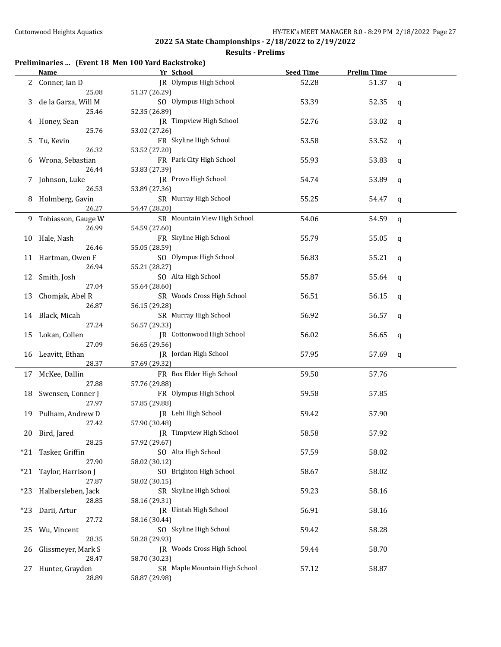## **Results - Prelims**

## **Preliminaries ... (Event 18 Men 100 Yard Backstroke)**

|     | <b>Name</b>              | Yr School                     | <b>Seed Time</b> | <b>Prelim Time</b> |              |
|-----|--------------------------|-------------------------------|------------------|--------------------|--------------|
| 2   | Conner, Ian D            | IR Olympus High School        | 52.28            | 51.37              | $\mathsf{q}$ |
|     | 25.08                    | 51.37 (26.29)                 |                  |                    |              |
| 3   | de la Garza, Will M      | SO Olympus High School        | 53.39            | 52.35              | q            |
|     | 25.46                    | 52.35 (26.89)                 |                  |                    |              |
| 4   | Honey, Sean              | JR Timpview High School       | 52.76            | 53.02              | q            |
|     | 25.76                    | 53.02 (27.26)                 |                  |                    |              |
|     |                          | FR Skyline High School        |                  |                    |              |
| 5   | Tu, Kevin<br>26.32       |                               | 53.58            | 53.52              | q            |
|     |                          | 53.52 (27.20)                 |                  |                    |              |
| 6   | Wrona, Sebastian         | FR Park City High School      | 55.93            | 53.83              | q            |
|     | 26.44                    | 53.83 (27.39)                 |                  |                    |              |
| 7   | Johnson, Luke            | JR Provo High School          | 54.74            | 53.89              | q            |
|     | 26.53                    | 53.89 (27.36)                 |                  |                    |              |
| 8   | Holmberg, Gavin          | SR Murray High School         | 55.25            | 54.47              | q            |
|     | 26.27                    | 54.47 (28.20)                 |                  |                    |              |
|     | 9 Tobiasson, Gauge W     | SR Mountain View High School  | 54.06            | 54.59              | $\mathsf{q}$ |
|     | 26.99                    | 54.59 (27.60)                 |                  |                    |              |
| 10  | Hale, Nash               | FR Skyline High School        | 55.79            | 55.05              | q            |
|     | 26.46                    | 55.05 (28.59)                 |                  |                    |              |
|     | 11 Hartman, Owen F       | SO Olympus High School        | 56.83            | 55.21              | q            |
|     | 26.94                    | 55.21 (28.27)                 |                  |                    |              |
|     | 12 Smith, Josh           | SO Alta High School           | 55.87            | 55.64              | q            |
|     | 27.04                    | 55.64 (28.60)                 |                  |                    |              |
|     |                          | SR Woods Cross High School    | 56.51            |                    |              |
| 13  | Chomjak, Abel R          |                               |                  | 56.15              | q            |
|     | 26.87                    | 56.15 (29.28)                 |                  |                    |              |
|     | 14 Black, Micah          | SR Murray High School         | 56.92            | 56.57              | a            |
|     | 27.24                    | 56.57 (29.33)                 |                  |                    |              |
| 15  | Lokan, Collen            | JR Cottonwood High School     | 56.02            | 56.65              | q            |
|     | 27.09                    | 56.65 (29.56)                 |                  |                    |              |
|     | 16 Leavitt, Ethan        | JR Jordan High School         | 57.95            | 57.69              | q            |
|     | 28.37                    | 57.69 (29.32)                 |                  |                    |              |
|     | 17 McKee, Dallin         | FR Box Elder High School      | 59.50            | 57.76              |              |
|     | 27.88                    | 57.76 (29.88)                 |                  |                    |              |
|     | 18 Swensen, Conner J     | FR Olympus High School        | 59.58            | 57.85              |              |
|     | 27.97                    | 57.85 (29.88)                 |                  |                    |              |
|     | 19 Pulham, Andrew D      | JR Lehi High School           | 59.42            | 57.90              |              |
|     | 27.42                    | 57.90 (30.48)                 |                  |                    |              |
|     | 20 Bird, Jared           | JR Timpview High School       | 58.58            | 57.92              |              |
|     | 28.25                    | 57.92 (29.67)                 |                  |                    |              |
| *21 |                          | SO Alta High School           | 57.59            | 58.02              |              |
|     | Tasker, Griffin<br>27.90 |                               |                  |                    |              |
|     |                          | 58.02 (30.12)                 |                  |                    |              |
| *21 | Taylor, Harrison J       | SO Brighton High School       | 58.67            | 58.02              |              |
|     | 27.87                    | 58.02 (30.15)                 |                  |                    |              |
| *23 | Halbersleben, Jack       | SR Skyline High School        | 59.23            | 58.16              |              |
|     | 28.85                    | 58.16 (29.31)                 |                  |                    |              |
| *23 | Darii, Artur             | JR Uintah High School         | 56.91            | 58.16              |              |
|     | 27.72                    | 58.16 (30.44)                 |                  |                    |              |
| 25  | Wu, Vincent              | SO Skyline High School        | 59.42            | 58.28              |              |
|     | 28.35                    | 58.28 (29.93)                 |                  |                    |              |
| 26  | Glissmeyer, Mark S       | JR Woods Cross High School    | 59.44            | 58.70              |              |
|     | 28.47                    | 58.70 (30.23)                 |                  |                    |              |
| 27. | Hunter, Grayden          | SR Maple Mountain High School | 57.12            | 58.87              |              |
|     | 28.89                    | 58.87 (29.98)                 |                  |                    |              |
|     |                          |                               |                  |                    |              |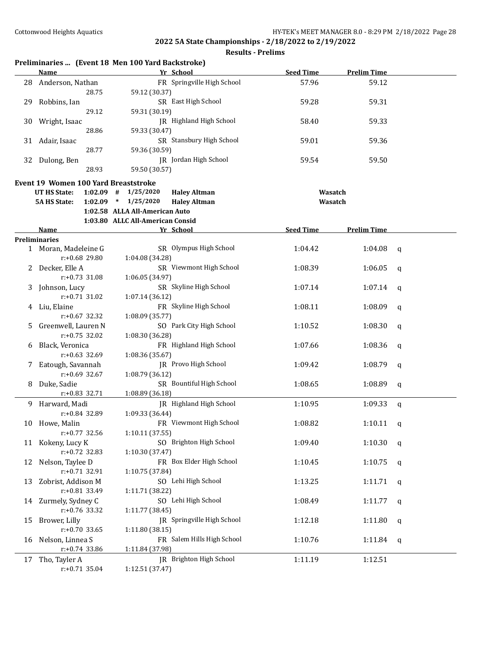|              |                                          | Preliminaries  (Event 18 Men 100 Yard Backstroke) |                                |                  |                    |   |
|--------------|------------------------------------------|---------------------------------------------------|--------------------------------|------------------|--------------------|---|
|              | <b>Name</b>                              |                                                   | Yr School                      | <b>Seed Time</b> | <b>Prelim Time</b> |   |
|              | 28 Anderson, Nathan<br>28.75             | 59.12 (30.37)                                     | FR Springville High School     | 57.96            | 59.12              |   |
| 29           | Robbins, Ian<br>29.12                    | 59.31 (30.19)                                     | SR East High School            | 59.28            | 59.31              |   |
| 30           | Wright, Isaac                            |                                                   | JR Highland High School        | 58.40            | 59.33              |   |
| 31           | 28.86<br>Adair, Isaac                    | 59.33 (30.47)                                     | SR Stansbury High School       | 59.01            | 59.36              |   |
| 32           | 28.77<br>Dulong, Ben                     | 59.36 (30.59)                                     | JR Jordan High School          | 59.54            | 59.50              |   |
|              | 28.93                                    | 59.50 (30.57)                                     |                                |                  |                    |   |
|              | Event 19 Women 100 Yard Breaststroke     |                                                   |                                |                  |                    |   |
|              | UT HS State:                             | $1:02.09$ #<br>1/25/2020                          | <b>Haley Altman</b>            |                  | Wasatch            |   |
|              | <b>5A HS State:</b>                      | $1:02.09$ * $1/25/2020$                           | <b>Haley Altman</b>            |                  | Wasatch            |   |
|              |                                          | 1:02.58 ALLA All-American Auto                    |                                |                  |                    |   |
|              |                                          | 1:03.80 ALLC All-American Consid                  |                                |                  |                    |   |
|              | <b>Name</b>                              |                                                   | Yr School                      | <b>Seed Time</b> | <b>Prelim Time</b> |   |
|              | <b>Preliminaries</b>                     |                                                   |                                |                  |                    |   |
|              | 1 Moran, Madeleine G<br>$r: +0.68$ 29.80 | 1:04.08 (34.28)                                   | SR Olympus High School         | 1:04.42          | 1:04.08            | q |
| $\mathbf{Z}$ | Decker, Elle A                           |                                                   | SR Viewmont High School        | 1:08.39          | 1:06.05            | q |
|              | $r: +0.73$ 31.08                         | 1:06.05 (34.97)                                   |                                |                  |                    |   |
| 3            | Johnson, Lucy                            |                                                   | SR Skyline High School         | 1:07.14          | 1:07.14            | q |
|              | $r: +0.71$ 31.02                         | 1:07.14 (36.12)                                   |                                |                  |                    |   |
| 4            | Liu, Elaine                              |                                                   | FR Skyline High School         | 1:08.11          | 1:08.09            | q |
|              | $r: +0.67$ 32.32                         | 1:08.09 (35.77)                                   |                                |                  |                    |   |
|              | Greenwell, Lauren N                      |                                                   | SO Park City High School       | 1:10.52          | 1:08.30            | q |
|              | $r: +0.75$ 32.02                         | 1:08.30 (36.28)                                   |                                |                  |                    |   |
| 6            | Black, Veronica                          |                                                   | FR Highland High School        | 1:07.66          | 1:08.36            | q |
|              | $r: +0.63$ 32.69                         | 1:08.36 (35.67)                                   |                                |                  |                    |   |
|              | Eatough, Savannah                        |                                                   | JR Provo High School           | 1:09.42          | 1:08.79            | q |
|              | $r: +0.69$ 32.67                         | 1:08.79 (36.12)                                   |                                |                  |                    |   |
| 8            | Duke, Sadie                              |                                                   | SR Bountiful High School       | 1:08.65          | 1:08.89            | q |
|              | $r: +0.83$ 32.71                         | 1:08.89 (36.18)                                   |                                |                  |                    |   |
| 9.           | Harward, Madi                            |                                                   | <b>IR</b> Highland High School | 1:10.95          | 1:09.33            | q |
|              | r:+0.84 32.89                            | 1:09.33 (36.44)                                   |                                |                  |                    |   |
| 10           | Howe, Malin                              |                                                   | FR Viewmont High School        | 1:08.82          | $1:10.11$ q        |   |
|              | $r: +0.77$ 32.56                         | 1:10.11 (37.55)                                   |                                |                  |                    |   |
| 11           | Kokeny, Lucy K                           |                                                   | SO Brighton High School        | 1:09.40          | 1:10.30            | q |
|              | r:+0.72 32.83                            | 1:10.30 (37.47)                                   |                                |                  |                    |   |
| 12           | Nelson, Taylee D                         |                                                   | FR Box Elder High School       | 1:10.45          | 1:10.75            | q |
|              | r:+0.71 32.91                            | 1:10.75 (37.84)                                   |                                |                  |                    |   |
| 13           | Zobrist, Addison M                       |                                                   | SO Lehi High School            | 1:13.25          | 1:11.71            | q |
|              | r:+0.81 33.49                            | 1:11.71 (38.22)                                   |                                |                  |                    |   |
| 14           | Zurmely, Sydney C                        |                                                   | SO Lehi High School            | 1:08.49          | 1:11.77            |   |
|              | r:+0.76 33.32                            | 1:11.77 (38.45)                                   |                                |                  |                    | q |
|              | Brower, Lilly                            |                                                   | JR Springville High School     |                  |                    |   |
| 15           |                                          |                                                   |                                | 1:12.18          | 1:11.80            | q |
|              | $r: +0.70$ 33.65                         | 1:11.80 (38.15)                                   |                                |                  |                    |   |
| 16           | Nelson, Linnea S                         |                                                   | FR Salem Hills High School     | 1:10.76          | 1:11.84            | q |
|              | $r: +0.74$ 33.86                         | 1:11.84 (37.98)                                   |                                |                  |                    |   |
| 17           | Tho, Tayler A                            |                                                   | JR Brighton High School        | 1:11.19          | 1:12.51            |   |
|              | $r: +0.71$ 35.04                         | 1:12.51 (37.47)                                   |                                |                  |                    |   |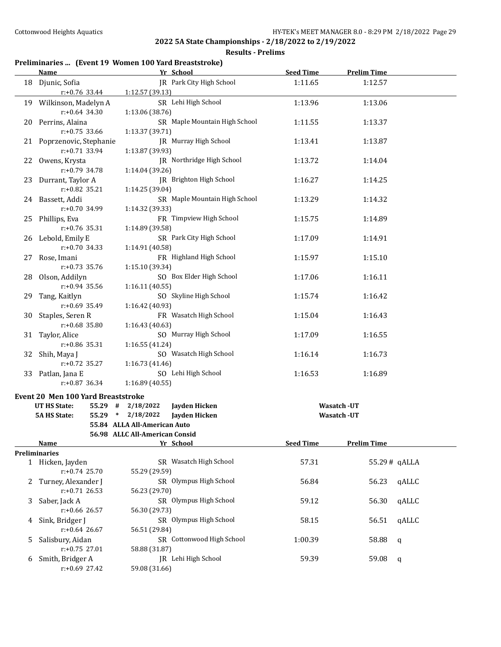### **Results - Prelims**

# **Preliminaries ... (Event 19 Women 100 Yard Breaststroke)**

|   | <b>Name</b>                                 | Yr School                                        | <b>Seed Time</b> | <b>Prelim Time</b>    |  |
|---|---------------------------------------------|--------------------------------------------------|------------------|-----------------------|--|
|   | 18 Djunic, Sofia<br>$r: +0.76$ 33.44        | JR Park City High School<br>1:12.57 (39.13)      | 1:11.65          | 1:12.57               |  |
|   |                                             |                                                  |                  |                       |  |
|   | 19 Wilkinson, Madelyn A<br>$r: +0.64$ 34.30 | SR Lehi High School<br>1:13.06 (38.76)           | 1:13.96          | 1:13.06               |  |
|   | 20 Perrins, Alaina<br>$r: +0.75$ 33.66      | SR Maple Mountain High School<br>1:13.37 (39.71) | 1:11.55          | 1:13.37               |  |
|   | 21 Poprzenovic, Stephanie                   | JR Murray High School                            | 1:13.41          | 1:13.87               |  |
|   | r:+0.71 33.94                               | 1:13.87 (39.93)                                  |                  |                       |  |
|   | 22 Owens, Krysta<br>$r: +0.79$ 34.78        | JR Northridge High School<br>1:14.04 (39.26)     | 1:13.72          | 1:14.04               |  |
|   | 23 Durrant, Taylor A<br>$r: +0.82$ 35.21    | JR Brighton High School<br>1:14.25 (39.04)       | 1:16.27          | 1:14.25               |  |
|   | 24 Bassett, Addi                            | SR Maple Mountain High School                    | 1:13.29          | 1:14.32               |  |
|   | r:+0.70 34.99                               | 1:14.32 (39.33)                                  |                  |                       |  |
|   | 25 Phillips, Eva<br>$r: +0.76$ 35.31        | FR Timpview High School<br>1:14.89 (39.58)       | 1:15.75          | 1:14.89               |  |
|   | 26 Lebold, Emily E<br>$r: +0.70$ 34.33      | SR Park City High School<br>1:14.91 (40.58)      | 1:17.09          | 1:14.91               |  |
|   | 27 Rose, Imani                              | FR Highland High School                          | 1:15.97          | 1:15.10               |  |
|   | $r: +0.73$ 35.76                            | 1:15.10 (39.34)                                  |                  |                       |  |
|   | 28 Olson, Addilyn                           | SO Box Elder High School                         | 1:17.06          | 1:16.11               |  |
|   | $r: +0.94$ 35.56                            | 1:16.11 (40.55)                                  |                  |                       |  |
|   | 29 Tang, Kaitlyn                            | SO Skyline High School                           | 1:15.74          | 1:16.42               |  |
|   | $r: +0.69$ 35.49                            | 1:16.42 (40.93)                                  |                  |                       |  |
|   | 30 Staples, Seren R                         | FR Wasatch High School                           | 1:15.04          | 1:16.43               |  |
|   | r:+0.68 35.80                               | 1:16.43 (40.63)                                  |                  |                       |  |
|   | 31 Taylor, Alice                            | SO Murray High School                            | 1:17.09          | 1:16.55               |  |
|   | r:+0.86 35.31                               | 1:16.55 (41.24)                                  |                  |                       |  |
|   | 32 Shih, Maya J                             | SO Wasatch High School                           | 1:16.14          | 1:16.73               |  |
|   | $r: +0.72$ 35.27                            | 1:16.73 (41.46)                                  |                  |                       |  |
|   | 33 Patlan, Jana E                           | SO Lehi High School                              | 1:16.53          | 1:16.89               |  |
|   | $r: +0.87$ 36.34                            | 1:16.89(40.55)                                   |                  |                       |  |
|   | Event 20 Men 100 Yard Breaststroke          |                                                  |                  |                       |  |
|   | UT HS State:                                | 55.29 # 2/18/2022<br>Jayden Hicken               |                  | Wasatch -UT           |  |
|   | <b>5A HS State:</b>                         | 55.29 * 2/18/2022<br>Jayden Hicken               |                  | Wasatch - UT          |  |
|   |                                             | 55.84 ALLA All-American Auto                     |                  |                       |  |
|   |                                             | 56.98 ALLC All-American Consid                   |                  |                       |  |
|   | <b>Name</b>                                 | Yr School                                        | <b>Seed Time</b> | <b>Prelim Time</b>    |  |
|   | <b>Preliminaries</b>                        |                                                  |                  |                       |  |
|   | 1 Hicken, Jayden<br>$r: +0.74$ 25.70        | SR Wasatch High School<br>55.29 (29.59)          | 57.31            | 55.29# qALLA          |  |
|   | 2 Turney, Alexander J<br>$r: +0.71$ 26.53   | SR Olympus High School<br>56.23 (29.70)          | 56.84            | 56.23<br>qALLC        |  |
| 3 | Saber, Jack A                               | SR Olympus High School                           | 59.12            | qALLC<br>56.30        |  |
|   | r:+0.66 26.57                               | 56.30 (29.73)                                    |                  |                       |  |
| 4 | Sink, Bridger J<br>$r: +0.64$ 26.67         | SR Olympus High School<br>56.51 (29.84)          | 58.15            | qALLC<br>56.51        |  |
| 5 | Salisbury, Aidan<br>r:+0.75 27.01           | SR Cottonwood High School<br>58.88 (31.87)       | 1:00.39          | 58.88<br>$\mathbf q$  |  |
|   | Smith, Bridger A                            | JR Lehi High School                              |                  |                       |  |
| 6 | r:+0.69 27.42                               | 59.08 (31.66)                                    | 59.39            | 59.08<br>$\mathsf{q}$ |  |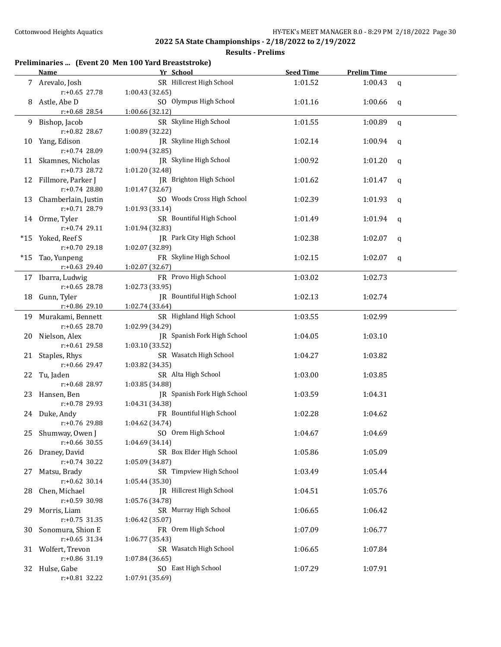## **Results - Prelims**

# **Preliminaries ... (Event 20 Men 100 Yard Breaststroke)**

|     | <b>Name</b>          | Yr School                       | <b>Seed Time</b> | <b>Prelim Time</b> |              |
|-----|----------------------|---------------------------------|------------------|--------------------|--------------|
|     | 7 Arevalo, Josh      | SR Hillcrest High School        | 1:01.52          | 1:00.43            | $\mathsf{q}$ |
|     | $r: +0.65$ 27.78     | 1:00.43 (32.65)                 |                  |                    |              |
| 8   | Astle, Abe D         | SO Olympus High School          | 1:01.16          | 1:00.66            | q            |
|     | r:+0.68 28.54        | 1:00.66 (32.12)                 |                  |                    |              |
| 9   | Bishop, Jacob        | SR Skyline High School          | 1:01.55          | 1:00.89            | $\mathsf{q}$ |
|     | r:+0.82 28.67        | 1:00.89 (32.22)                 |                  |                    |              |
| 10  | Yang, Edison         | JR Skyline High School          | 1:02.14          | 1:00.94            | q            |
|     | r:+0.74 28.09        | 1:00.94 (32.85)                 |                  |                    |              |
| 11  | Skamnes, Nicholas    | JR Skyline High School          | 1:00.92          | 1:01.20            | q            |
|     | r:+0.73 28.72        | 1:01.20 (32.48)                 |                  |                    |              |
| 12  | Fillmore, Parker J   | JR Brighton High School         | 1:01.62          | 1:01.47            | q            |
|     | r:+0.74 28.80        | 1:01.47 (32.67)                 |                  |                    |              |
| 13  | Chamberlain, Justin  | SO Woods Cross High School      | 1:02.39          | 1:01.93            | q            |
|     | r:+0.71 28.79        | 1:01.93 (33.14)                 |                  |                    |              |
|     | 14 Orme, Tyler       | SR Bountiful High School        | 1:01.49          | 1:01.94            | q            |
|     | $r: +0.74$ 29.11     | 1:01.94 (32.83)                 |                  |                    |              |
|     | *15 Yoked, Reef S    | JR Park City High School        | 1:02.38          | 1:02.07            | q            |
|     | r:+0.70 29.18        | 1:02.07 (32.89)                 |                  |                    |              |
| *15 | Tao, Yunpeng         | FR Skyline High School          | 1:02.15          | 1:02.07            | q            |
|     | r:+0.63 29.40        | 1:02.07 (32.67)                 |                  |                    |              |
|     | 17 Ibarra, Ludwig    | FR Provo High School            | 1:03.02          | 1:02.73            |              |
|     | r:+0.65 28.78        | 1:02.73 (33.95)                 |                  |                    |              |
| 18  | Gunn, Tyler          | <b>IR</b> Bountiful High School | 1:02.13          | 1:02.74            |              |
|     | r:+0.86 29.10        | 1:02.74 (33.64)                 |                  |                    |              |
|     | 19 Murakami, Bennett | SR Highland High School         | 1:03.55          | 1:02.99            |              |
|     | r:+0.65 28.70        | 1:02.99 (34.29)                 |                  |                    |              |
| 20  | Nielson, Alex        | JR Spanish Fork High School     | 1:04.05          | 1:03.10            |              |
|     | r:+0.61 29.58        | 1:03.10 (33.52)                 |                  |                    |              |
| 21  | Staples, Rhys        | SR Wasatch High School          | 1:04.27          | 1:03.82            |              |
|     | r:+0.66 29.47        | 1:03.82 (34.35)                 |                  |                    |              |
| 22  | Tu, Jaden            | SR Alta High School             | 1:03.00          | 1:03.85            |              |
|     | r:+0.68 28.97        | 1:03.85 (34.88)                 |                  |                    |              |
| 23  | Hansen, Ben          | JR Spanish Fork High School     | 1:03.59          | 1:04.31            |              |
|     | r:+0.78 29.93        | 1:04.31 (34.38)                 |                  |                    |              |
|     | 24 Duke, Andy        | FR Bountiful High School        | 1:02.28          | 1:04.62            |              |
|     | r:+0.76 29.88        | 1:04.62 (34.74)                 |                  |                    |              |
|     | 25 Shumway, Owen J   | SO Orem High School             | 1:04.67          | 1:04.69            |              |
|     | $r: +0.66$ 30.55     | 1:04.69 (34.14)                 |                  |                    |              |
|     | 26 Draney, David     | SR Box Elder High School        | 1:05.86          | 1:05.09            |              |
|     | $r+0.74$ 30.22       | 1:05.09 (34.87)                 |                  |                    |              |
| 27  | Matsu, Brady         | SR Timpview High School         | 1:03.49          | 1:05.44            |              |
|     | $r: +0.62$ 30.14     | 1:05.44 (35.30)                 |                  |                    |              |
| 28. | Chen, Michael        | JR Hillcrest High School        | 1:04.51          | 1:05.76            |              |
|     | $r: +0.59$ 30.98     | 1:05.76 (34.78)                 |                  |                    |              |
| 29  | Morris, Liam         | SR Murray High School           | 1:06.65          | 1:06.42            |              |
|     | $r: +0.75$ 31.35     | 1:06.42 (35.07)                 |                  |                    |              |
| 30  | Sonomura, Shion E    | FR Orem High School             | 1:07.09          | 1:06.77            |              |
|     | $r: +0.65$ 31.34     | 1:06.77 (35.43)                 |                  |                    |              |
|     | 31 Wolfert, Trevon   | SR Wasatch High School          | 1:06.65          | 1:07.84            |              |
|     | r:+0.86 31.19        | 1:07.84 (36.65)                 |                  |                    |              |
|     | 32 Hulse, Gabe       | SO East High School             | 1:07.29          | 1:07.91            |              |
|     | r:+0.81 32.22        | 1:07.91 (35.69)                 |                  |                    |              |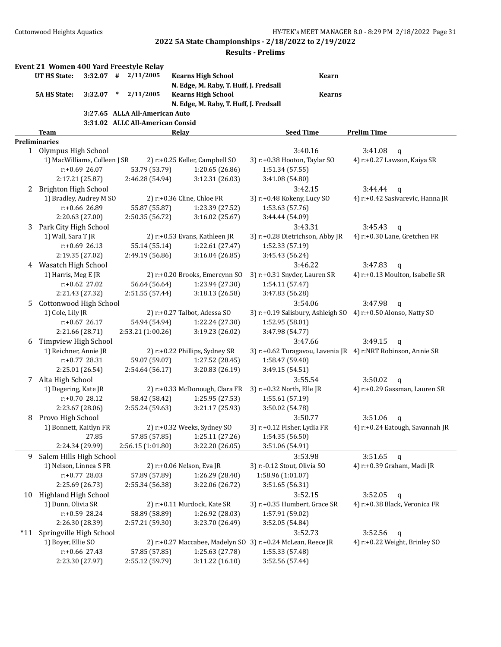|     | Event 21 Women 400 Yard Freestyle Relay<br>UT HS State: |                  |        | $3:32.07$ # $2/11/2005$          | <b>Kearns High School</b>              | <b>Kearn</b>                                                  |                                                              |
|-----|---------------------------------------------------------|------------------|--------|----------------------------------|----------------------------------------|---------------------------------------------------------------|--------------------------------------------------------------|
|     |                                                         |                  |        |                                  | N. Edge, M. Raby, T. Huff, J. Fredsall |                                                               |                                                              |
|     | <b>5A HS State:</b>                                     | 3:32.07          | $\ast$ | 2/11/2005                        | <b>Kearns High School</b>              | <b>Kearns</b>                                                 |                                                              |
|     |                                                         |                  |        |                                  | N. Edge, M. Raby, T. Huff, J. Fredsall |                                                               |                                                              |
|     |                                                         |                  |        | 3:27.65 ALLA All-American Auto   |                                        |                                                               |                                                              |
|     |                                                         |                  |        | 3:31.02 ALLC All-American Consid |                                        |                                                               |                                                              |
|     | <b>Team</b>                                             |                  |        |                                  | <b>Relay</b>                           | <b>Seed Time</b>                                              | <b>Prelim Time</b>                                           |
|     | <b>Preliminaries</b><br>1 Olympus High School           |                  |        |                                  |                                        | 3:40.16                                                       | 3:41.08                                                      |
|     | 1) MacWilliams, Colleen J SR                            |                  |        |                                  | 2) r:+0.25 Keller, Campbell SO         | 3) r:+0.38 Hooton, Taylar SO                                  | $\mathsf{q}$<br>4) r:+0.27 Lawson, Kaiya SR                  |
|     |                                                         | r:+0.69 26.07    |        | 53.79 (53.79)                    | 1:20.65 (26.86)                        | 1:51.34 (57.55)                                               |                                                              |
|     |                                                         | 2:17.21 (25.87)  |        | 2:46.28 (54.94)                  | 3:12.31 (26.03)                        | 3:41.08 (54.80)                                               |                                                              |
| 2   | Brighton High School                                    |                  |        |                                  |                                        | 3:42.15                                                       | 3:44.44<br>$\mathsf{q}$                                      |
|     | 1) Bradley, Audrey M SO                                 |                  |        |                                  | 2) r:+0.36 Cline, Chloe FR             | 3) r:+0.48 Kokeny, Lucy SO                                    | 4) r:+0.42 Sasivarevic, Hanna JR                             |
|     |                                                         | r:+0.66 26.89    |        | 55.87 (55.87)                    | 1:23.39 (27.52)                        | 1:53.63 (57.76)                                               |                                                              |
|     |                                                         | 2:20.63 (27.00)  |        | 2:50.35 (56.72)                  | 3:16.02 (25.67)                        | 3:44.44 (54.09)                                               |                                                              |
| 3   | Park City High School                                   |                  |        |                                  |                                        | 3:43.31                                                       | 3:45.43<br>$\mathbf{q}$                                      |
|     | 1) Wall, Sara T JR                                      |                  |        |                                  | 2) r:+0.53 Evans, Kathleen JR          | 3) r:+0.28 Dietrichson, Abby JR                               | 4) r:+0.30 Lane, Gretchen FR                                 |
|     |                                                         | $r: +0.69$ 26.13 |        | 55.14 (55.14)                    | 1:22.61 (27.47)                        | 1:52.33 (57.19)                                               |                                                              |
|     |                                                         | 2:19.35 (27.02)  |        | 2:49.19 (56.86)                  | 3:16.04(26.85)                         | 3:45.43 (56.24)                                               |                                                              |
|     | 4 Wasatch High School                                   |                  |        |                                  |                                        | 3:46.22                                                       | 3:47.83<br>a                                                 |
|     | 1) Harris, Meg E JR                                     |                  |        |                                  | 2) r:+0.20 Brooks, Emercynn SO         | 3) r:+0.31 Snyder, Lauren SR                                  | 4) r:+0.13 Moulton, Isabelle SR                              |
|     |                                                         | r:+0.62 27.02    |        | 56.64 (56.64)                    | 1:23.94 (27.30)                        | 1:54.11 (57.47)                                               |                                                              |
|     |                                                         | 2:21.43 (27.32)  |        | 2:51.55 (57.44)                  | 3:18.13 (26.58)                        | 3:47.83 (56.28)                                               |                                                              |
| 5   | Cottonwood High School                                  |                  |        |                                  |                                        | 3:54.06                                                       | 3:47.98<br>$\mathbf{q}$                                      |
|     | 1) Cole, Lily JR                                        |                  |        |                                  | 2) r:+0.27 Talbot, Adessa SO           | 3) r:+0.19 Salisbury, Ashleigh SO 4) r:+0.50 Alonso, Natty SO |                                                              |
|     |                                                         | $r: +0.67$ 26.17 |        | 54.94 (54.94)                    | 1:22.24 (27.30)                        | 1:52.95 (58.01)                                               |                                                              |
|     |                                                         | 2:21.66 (28.71)  |        | 2:53.21 (1:00.26)                | 3:19.23 (26.02)                        | 3:47.98 (54.77)                                               |                                                              |
| 6   | Timpview High School                                    |                  |        |                                  |                                        | 3:47.66                                                       | 3:49.15<br>$\mathsf{q}$                                      |
|     | 1) Reichner, Annie JR                                   |                  |        |                                  | 2) r:+0.22 Phillips, Sydney SR         |                                                               | 3) r:+0.62 Turagavou, Lavenia JR 4) r:NRT Robinson, Annie SR |
|     |                                                         | r:+0.77 28.31    |        | 59.07 (59.07)                    | 1:27.52 (28.45)                        | 1:58.47 (59.40)                                               |                                                              |
|     |                                                         | 2:25.01 (26.54)  |        | 2:54.64 (56.17)                  | 3:20.83 (26.19)                        | 3:49.15 (54.51)                                               |                                                              |
| 7   | Alta High School                                        |                  |        |                                  |                                        | 3:55.54                                                       | 3:50.02<br>$\mathbf{q}$                                      |
|     | 1) Degering, Kate JR                                    |                  |        |                                  | 2) r:+0.33 McDonough, Clara FR         | 3) r:+0.32 North, Elle JR                                     | 4) r:+0.29 Gassman, Lauren SR                                |
|     |                                                         | r:+0.70 28.12    |        | 58.42 (58.42)                    | 1:25.95 (27.53)                        | 1:55.61 (57.19)                                               |                                                              |
|     |                                                         | 2:23.67 (28.06)  |        | 2:55.24 (59.63)                  | 3:21.17 (25.93)                        | 3:50.02 (54.78)                                               |                                                              |
| 8   | Provo High School                                       |                  |        |                                  |                                        | 3:50.77                                                       | 3:51.06<br>$\mathbf q$                                       |
|     | 1) Bonnett, Kaitlyn FR                                  |                  |        |                                  | 2) r:+0.32 Weeks, Sydney SO            | 3) r:+0.12 Fisher, Lydia FR                                   | 4) r:+0.24 Eatough, Savannah JR                              |
|     |                                                         | 27.85            |        | 57.85 (57.85)                    | 1:25.11 (27.26)                        | 1:54.35 (56.50)                                               |                                                              |
|     |                                                         | 2:24.34 (29.99)  |        | 2:56.15 (1:01.80)                | 3:22.20 (26.05)                        | 3:51.06 (54.91)                                               |                                                              |
| 9   | Salem Hills High School                                 |                  |        |                                  |                                        | 3:53.98                                                       | 3:51.65<br>$\mathbf q$                                       |
|     | 1) Nelson, Linnea S FR                                  |                  |        |                                  | 2) r:+0.06 Nelson, Eva JR              | 3) r:-0.12 Stout, Olivia SO                                   | 4) r:+0.39 Graham, Madi JR                                   |
|     |                                                         | r:+0.77 28.03    |        | 57.89 (57.89)                    | 1:26.29 (28.40)                        | 1:58.96 (1:01.07)                                             |                                                              |
|     |                                                         | 2:25.69 (26.73)  |        | 2:55.34 (56.38)                  | 3:22.06 (26.72)                        | 3:51.65 (56.31)                                               |                                                              |
| 10  | Highland High School                                    |                  |        |                                  |                                        | 3:52.15                                                       | 3:52.05<br>$\mathbf q$                                       |
|     | 1) Dunn, Olivia SR                                      |                  |        |                                  | 2) r:+0.11 Murdock, Kate SR            | 3) r:+0.35 Humbert, Grace SR                                  | 4) r:+0.38 Black, Veronica FR                                |
|     |                                                         | r:+0.59 28.24    |        | 58.89 (58.89)                    | 1:26.92 (28.03)                        | 1:57.91 (59.02)                                               |                                                              |
|     |                                                         | 2:26.30 (28.39)  |        | 2:57.21 (59.30)                  | 3:23.70 (26.49)                        | 3:52.05 (54.84)                                               |                                                              |
| *11 | Springville High School                                 |                  |        |                                  |                                        | 3:52.73                                                       | 3:52.56<br>$\mathsf{q}$                                      |
|     | 1) Boyer, Ellie SO                                      |                  |        |                                  |                                        | 2) r:+0.27 Maccabee, Madelyn SO 3) r:+0.24 McLean, Reece JR   | 4) r:+0.22 Weight, Brinley SO                                |
|     |                                                         | r:+0.66 27.43    |        | 57.85 (57.85)                    | 1:25.63 (27.78)                        | 1:55.33 (57.48)                                               |                                                              |
|     |                                                         | 2:23.30 (27.97)  |        | 2:55.12 (59.79)                  | 3:11.22 (16.10)                        | 3:52.56 (57.44)                                               |                                                              |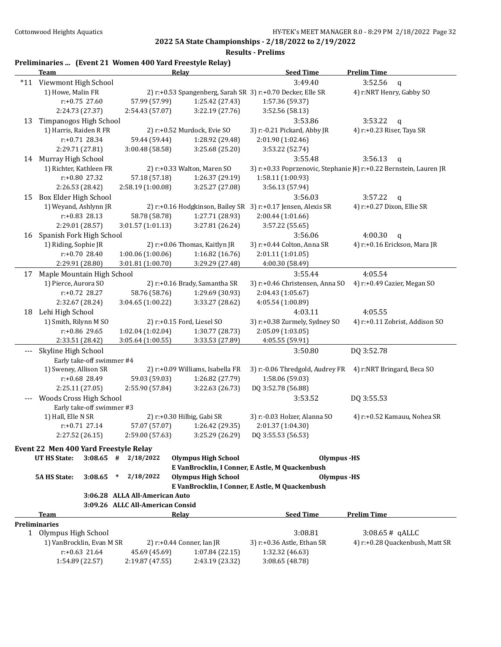|  |  |  | Preliminaries  (Event 21 Women 400 Yard Freestyle Relay) |
|--|--|--|----------------------------------------------------------|
|--|--|--|----------------------------------------------------------|

|                       | <b>Team</b>                                            |                                  | <b>Relay</b>                     | <b>Seed Time</b>                                              | <b>Prelim Time</b>                                                 |
|-----------------------|--------------------------------------------------------|----------------------------------|----------------------------------|---------------------------------------------------------------|--------------------------------------------------------------------|
| $*11$                 | Viewmont High School                                   |                                  |                                  | 3:49.40                                                       | 3:52.56<br>$\mathbf q$                                             |
|                       | 1) Howe, Malin FR                                      |                                  |                                  | 2) r:+0.53 Spangenberg, Sarah SR 3) r:+0.70 Decker, Elle SR   | 4) r:NRT Henry, Gabby SO                                           |
|                       | r:+0.75 27.60                                          | 57.99 (57.99)                    | 1:25.42 (27.43)                  | 1:57.36 (59.37)                                               |                                                                    |
|                       | 2:24.73 (27.37)                                        | 2:54.43 (57.07)                  | 3:22.19 (27.76)                  | 3:52.56 (58.13)                                               |                                                                    |
| 13                    | Timpanogos High School                                 |                                  |                                  | 3:53.86                                                       | 3:53.22<br>$\mathsf{q}$                                            |
|                       | 1) Harris, Raiden R FR                                 |                                  | 2) r:+0.52 Murdock, Evie SO      | 3) r:-0.21 Pickard, Abby JR                                   | 4) r:+0.23 Riser, Taya SR                                          |
|                       | r:+0.71 28.34                                          | 59.44 (59.44)                    | 1:28.92 (29.48)                  | 2:01.90 (1:02.46)                                             |                                                                    |
|                       | 2:29.71 (27.81)                                        | 3:00.48 (58.58)                  | 3:25.68 (25.20)                  | 3:53.22 (52.74)                                               |                                                                    |
|                       | 14 Murray High School                                  |                                  |                                  | 3:55.48                                                       | 3:56.13<br>$\mathsf{q}$                                            |
|                       | 1) Richter, Kathleen FR                                |                                  | 2) r:+0.33 Walton, Maren SO      |                                                               | 3) r:+0.33 Poprzenovic, Stephanie [4] r:+0.22 Bernstein, Lauren JR |
|                       | r:+0.80 27.32                                          | 57.18 (57.18)                    | 1:26.37 (29.19)                  | 1:58.11 (1:00.93)                                             |                                                                    |
|                       | 2:26.53 (28.42)                                        | 2:58.19 (1:00.08)                | 3:25.27 (27.08)                  | 3:56.13 (57.94)                                               |                                                                    |
| 15                    | Box Elder High School                                  |                                  |                                  | 3:56.03                                                       | 3:57.22<br>$\mathbf q$                                             |
|                       | 1) Weyand, Ashlynn JR                                  |                                  |                                  | 2) r:+0.16 Hodgkinson, Bailey SR 3) r:+0.17 Jensen, Alexis SR | 4) r:+0.27 Dixon, Ellie SR                                         |
|                       | $r: +0.83$ 28.13                                       | 58.78 (58.78)                    | 1:27.71 (28.93)                  | 2:00.44 (1:01.66)                                             |                                                                    |
|                       | 2:29.01 (28.57)                                        | 3:01.57(1:01.13)                 | 3:27.81 (26.24)                  | 3:57.22 (55.65)                                               |                                                                    |
| 16                    | Spanish Fork High School                               |                                  |                                  | 3:56.06                                                       | 4:00.30<br>$\mathbf q$                                             |
|                       | 1) Riding, Sophie JR                                   |                                  | 2) r:+0.06 Thomas, Kaitlyn JR    | 3) r:+0.44 Colton, Anna SR                                    | 4) r:+0.16 Erickson, Mara JR                                       |
|                       | r:+0.70 28.40                                          | 1:00.06 (1:00.06)                | 1:16.82(16.76)                   | 2:01.11 (1:01.05)                                             |                                                                    |
|                       | 2:29.91 (28.80)                                        | 3:01.81 (1:00.70)                | 3:29.29 (27.48)                  | 4:00.30 (58.49)                                               |                                                                    |
| 17                    | Maple Mountain High School                             |                                  |                                  | 3:55.44                                                       | 4:05.54                                                            |
|                       | 1) Pierce, Aurora SO                                   |                                  | 2) r:+0.16 Brady, Samantha SR    | 3) r:+0.46 Christensen, Anna SO                               | 4) r:+0.49 Cazier, Megan SO                                        |
|                       | r:+0.72 28.27                                          | 58.76 (58.76)                    | 1:29.69 (30.93)                  | 2:04.43 (1:05.67)                                             |                                                                    |
|                       | 2:32.67 (28.24)                                        | 3:04.65 (1:00.22)                | 3:33.27 (28.62)                  | 4:05.54 (1:00.89)                                             |                                                                    |
| 18                    | Lehi High School                                       |                                  |                                  | 4:03.11                                                       | 4:05.55                                                            |
|                       | 1) Smith, Rilynn M SO                                  |                                  | 2) r:+0.15 Ford, Liesel SO       | 3) r:+0.38 Zurmely, Sydney SO                                 | 4) r:+0.11 Zobrist, Addison SO                                     |
|                       | r:+0.86 29.65                                          | 1:02.04 (1:02.04)                | 1:30.77 (28.73)                  | 2:05.09 (1:03.05)                                             |                                                                    |
|                       | 2:33.51 (28.42)                                        | 3:05.64(1:00.55)                 | 3:33.53 (27.89)                  | 4:05.55 (59.91)                                               |                                                                    |
| $---$                 | Skyline High School                                    |                                  |                                  | 3:50.80                                                       | DQ 3:52.78                                                         |
|                       | Early take-off swimmer #4                              |                                  |                                  |                                                               |                                                                    |
|                       | 1) Sweney, Allison SR                                  |                                  | 2) r:+0.09 Williams, Isabella FR | 3) r:-0.06 Thredgold, Audrey FR                               | 4) r:NRT Bringard, Beca SO                                         |
|                       | r:+0.68 28.49                                          | 59.03 (59.03)                    | 1:26.82 (27.79)                  | 1:58.06 (59.03)                                               |                                                                    |
|                       | 2:25.11 (27.05)                                        | 2:55.90 (57.84)                  | 3:22.63 (26.73)                  | DQ 3:52.78 (56.88)                                            |                                                                    |
|                       | Woods Cross High School                                |                                  |                                  | 3:53.52                                                       | DQ 3:55.53                                                         |
|                       | Early take-off swimmer #3                              |                                  |                                  |                                                               |                                                                    |
|                       | 1) Hall, Elle N SR                                     |                                  | 2) $r: +0.30$ Hilbig, Gabi SR    | 3) r:-0.03 Holzer, Alanna SO                                  | 4) r:+0.52 Kamauu, Nohea SR                                        |
|                       | $r: +0.71$ 27.14                                       | 57.07 (57.07)                    | 1:26.42 (29.35)                  | 2:01.37 (1:04.30)                                             |                                                                    |
|                       | 2:27.52 (26.15)                                        | 2:59.00 (57.63)                  | 3:25.29 (26.29)                  | DQ 3:55.53 (56.53)                                            |                                                                    |
|                       | Event 22 Men 400 Yard Freestyle Relay                  |                                  |                                  |                                                               |                                                                    |
|                       | <b>UT HS State:</b>                                    | $3:08.65$ # $2/18/2022$          | <b>Olympus High School</b>       | <b>Olympus</b> -HS                                            |                                                                    |
|                       |                                                        |                                  |                                  | E VanBrocklin, I Conner, E Astle, M Quackenbush               |                                                                    |
|                       | <b>5A HS State:</b><br>3:08.65                         | 2/18/2022<br>$\ast$              | <b>Olympus High School</b>       | Olympus -HS                                                   |                                                                    |
|                       |                                                        |                                  |                                  | E VanBrocklin, I Conner, E Astle, M Quackenbush               |                                                                    |
|                       |                                                        | 3:06.28 ALLA All-American Auto   |                                  |                                                               |                                                                    |
|                       |                                                        | 3:09.26 ALLC All-American Consid |                                  |                                                               |                                                                    |
|                       | Team                                                   |                                  | Relay                            | <b>Seed Time</b>                                              | <b>Prelim Time</b>                                                 |
|                       | <b>Preliminaries</b>                                   |                                  |                                  |                                                               |                                                                    |
| 1 Olympus High School |                                                        |                                  |                                  | 3:08.81                                                       | $3:08.65#$ qALLC                                                   |
|                       | 1) VanBrocklin, Evan M SR<br>2) r:+0.44 Conner, Ian JR |                                  |                                  | 3) r:+0.36 Astle, Ethan SR                                    | 4) r:+0.28 Quackenbush, Matt SR                                    |
|                       | $r: +0.63$ 21.64                                       | 45.69 (45.69)                    | 1:07.84 (22.15)                  | 1:32.32 (46.63)                                               |                                                                    |
|                       | 1:54.89 (22.57)                                        | 2:19.87 (47.55)                  | 2:43.19 (23.32)                  | 3:08.65 (48.78)                                               |                                                                    |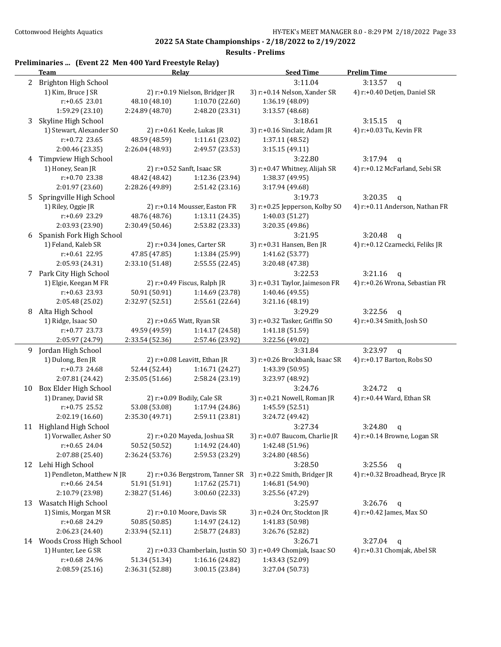**Results - Prelims**

## **Preliminaries ... (Event 22 Men 400 Yard Freestyle Relay)**

|    | <u>Team</u>                | <u>Relav</u>                    |                                  | <b>Seed Time</b>                                               | <b>Prelim Time</b>                           |
|----|----------------------------|---------------------------------|----------------------------------|----------------------------------------------------------------|----------------------------------------------|
|    | 2 Brighton High School     |                                 |                                  | 3:11.04                                                        | 3:13.57<br>$\mathbf q$                       |
|    | 1) Kim, Bruce J SR         |                                 | 2) $r.+0.19$ Nielson, Bridger JR | 3) r:+0.14 Nelson, Xander SR                                   | 4) r:+0.40 Detjen, Daniel SR                 |
|    | $r: +0.65$ 23.01           | 48.10 (48.10)                   | 1:10.70 (22.60)                  | 1:36.19 (48.09)                                                |                                              |
|    | 1:59.29 (23.10)            | 2:24.89 (48.70)                 | 2:48.20 (23.31)                  | 3:13.57 (48.68)                                                |                                              |
| 3  | Skyline High School        |                                 |                                  | 3:18.61                                                        | 3:15.15<br>$\mathsf{q}$                      |
|    | 1) Stewart, Alexander SO   |                                 | 2) r:+0.61 Keele, Lukas JR       | 3) r:+0.16 Sinclair, Adam JR                                   | 4) r:+0.03 Tu, Kevin FR                      |
|    | $r: +0.72$ 23.65           | 48.59 (48.59)                   | 1:11.61 (23.02)                  | 1:37.11 (48.52)                                                |                                              |
|    | 2:00.46 (23.35)            | 2:26.04 (48.93)                 | 2:49.57 (23.53)                  | 3:15.15 (49.11)                                                |                                              |
|    | 4 Timpview High School     |                                 |                                  | 3:22.80                                                        | 3:17.94                                      |
|    | 1) Honey, Sean JR          |                                 | 2) r:+0.52 Sanft, Isaac SR       | 3) r:+0.47 Whitney, Alijah SR                                  | $\mathbf q$<br>4) r:+0.12 McFarland, Sebi SR |
|    | r:+0.70 23.38              | 48.42 (48.42)                   | 1:12.36 (23.94)                  | 1:38.37 (49.95)                                                |                                              |
|    |                            | 2:28.26 (49.89)                 | 2:51.42 (23.16)                  |                                                                |                                              |
|    | 2:01.97 (23.60)            |                                 |                                  | 3:17.94 (49.68)                                                |                                              |
| 5  | Springville High School    |                                 |                                  | 3:19.73                                                        | 3:20.35<br>$\mathsf{q}$                      |
|    | 1) Riley, Oggie JR         | 2) r:+0.14 Mousser, Easton FR   |                                  | 3) r:+0.25 Jepperson, Kolby SO                                 | 4) r:+0.11 Anderson, Nathan FR               |
|    | r:+0.69 23.29              | 48.76 (48.76)                   | 1:13.11 (24.35)                  | 1:40.03 (51.27)                                                |                                              |
|    | 2:03.93 (23.90)            | 2:30.49 (50.46)                 | 2:53.82 (23.33)                  | 3:20.35 (49.86)                                                |                                              |
| 6  | Spanish Fork High School   |                                 |                                  | 3:21.95                                                        | 3:20.48<br>$\mathsf{q}$                      |
|    | 1) Feland, Kaleb SR        |                                 | 2) r:+0.34 Jones, Carter SR      | 3) r:+0.31 Hansen, Ben JR                                      | 4) r:+0.12 Czarnecki, Feliks JR              |
|    | $r: +0.61$ 22.95           | 47.85 (47.85)                   | 1:13.84 (25.99)                  | 1:41.62 (53.77)                                                |                                              |
|    | 2:05.93 (24.31)            | 2:33.10 (51.48)                 | 2:55.55 (22.45)                  | 3:20.48 (47.38)                                                |                                              |
|    | 7 Park City High School    |                                 |                                  | 3:22.53                                                        | 3:21.16<br>$\mathsf{q}$                      |
|    | 1) Elgie, Keegan M FR      |                                 | 2) r:+0.49 Fiscus, Ralph JR      | 3) r:+0.31 Taylor, Jaimeson FR                                 | 4) r:+0.26 Wrona, Sebastian FR               |
|    | $r: +0.63$ 23.93           | 50.91 (50.91)                   | 1:14.69 (23.78)                  | 1:40.46 (49.55)                                                |                                              |
|    | 2:05.48 (25.02)            | 2:32.97 (52.51)                 | 2:55.61 (22.64)                  | 3:21.16 (48.19)                                                |                                              |
| 8  | Alta High School           |                                 |                                  | 3:29.29                                                        | 3:22.56<br>$\mathbf q$                       |
|    | 1) Ridge, Isaac SO         | 2) r:+0.65 Watt, Ryan SR        |                                  | 3) r:+0.32 Tasker, Griffin SO                                  | 4) r:+0.34 Smith, Josh SO                    |
|    | $r: +0.77$ 23.73           | 49.59 (49.59)                   | 1:14.17 (24.58)                  | 1:41.18 (51.59)                                                |                                              |
|    | 2:05.97 (24.79)            | 2:33.54 (52.36)                 | 2:57.46 (23.92)                  | 3:22.56 (49.02)                                                |                                              |
|    | 9 Jordan High School       |                                 |                                  | 3:31.84                                                        | 3:23.97<br>$\mathbf q$                       |
|    | 1) Dulong, Ben JR          |                                 | 2) r:+0.08 Leavitt, Ethan JR     | 3) r:+0.26 Brockbank, Isaac SR                                 | 4) r:+0.17 Barton, Robs SO                   |
|    | r:+0.73 24.68              | 52.44 (52.44)                   | 1:16.71 (24.27)                  | 1:43.39 (50.95)                                                |                                              |
|    | 2:07.81 (24.42)            | 2:35.05(51.66)                  | 2:58.24 (23.19)                  | 3:23.97 (48.92)                                                |                                              |
| 10 | Box Elder High School      |                                 |                                  | 3:24.76                                                        | 3:24.72<br>q                                 |
|    | 1) Draney, David SR        |                                 | 2) r:+0.09 Bodily, Cale SR       | 3) r:+0.21 Nowell, Roman JR                                    | 4) r:+0.44 Ward, Ethan SR                    |
|    | $r: +0.75$ 25.52           | 53.08 (53.08)                   | 1:17.94 (24.86)                  | 1:45.59 (52.51)                                                |                                              |
|    | 2:02.19 (16.60)            | 2:35.30 (49.71)                 | 2:59.11 (23.81)                  | 3:24.72 (49.42)                                                |                                              |
|    | 11 Highland High School    |                                 |                                  | 3:27.34                                                        | 3:24.80<br>q                                 |
|    | 1) Vorwaller, Asher SO     |                                 | 2) r:+0.20 Mayeda, Joshua SR     | 3) r:+0.07 Baucom, Charlie JR                                  | 4) r:+0.14 Browne, Logan SR                  |
|    | $r: +0.65$ 24.04           | 50.52 (50.52)                   | 1:14.92 (24.40)                  | 1:42.48 (51.96)                                                |                                              |
|    | 2:07.88 (25.40)            | 2:36.24 (53.76)                 | 2:59.53 (23.29)                  | 3:24.80 (48.56)                                                |                                              |
|    | 12 Lehi High School        |                                 |                                  | 3:28.50                                                        | 3:25.56<br>$\mathbf q$                       |
|    | 1) Pendleton, Matthew N JR | 2) r:+0.36 Bergstrom, Tanner SR |                                  | 3) r:+0.22 Smith, Bridger JR                                   | 4) r:+0.32 Broadhead, Bryce JR               |
|    | $r: +0.66$ 24.54           | 51.91 (51.91)                   | 1:17.62 (25.71)                  | 1:46.81 (54.90)                                                |                                              |
|    | 2:10.79 (23.98)            | 2:38.27 (51.46)                 | 3:00.60 (22.33)                  | 3:25.56 (47.29)                                                |                                              |
| 13 | Wasatch High School        |                                 |                                  | 3:25.97                                                        | 3:26.76<br>$\mathbf q$                       |
|    | 1) Simis, Morgan M SR      | 2) r:+0.10 Moore, Davis SR      |                                  | 3) r:+0.24 Orr, Stockton JR                                    | 4) r:+0.42 James, Max SO                     |
|    | r:+0.68 24.29              | 50.85 (50.85)                   | 1:14.97 (24.12)                  | 1:41.83 (50.98)                                                |                                              |
|    | 2:06.23 (24.40)            | 2:33.94 (52.11)                 | 2:58.77 (24.83)                  | 3:26.76 (52.82)                                                |                                              |
|    | 14 Woods Cross High School |                                 |                                  | 3:26.71                                                        | 3:27.04<br>q                                 |
|    | 1) Hunter, Lee G SR        |                                 |                                  | 2) r:+0.33 Chamberlain, Justin SO 3) r:+0.49 Chomjak, Isaac SO | 4) r:+0.31 Chomjak, Abel SR                  |
|    | r:+0.68 24.96              | 51.34 (51.34)                   | 1:16.16 (24.82)                  | 1:43.43 (52.09)                                                |                                              |
|    | 2:08.59 (25.16)            | 2:36.31 (52.88)                 | 3:00.15 (23.84)                  | 3:27.04 (50.73)                                                |                                              |
|    |                            |                                 |                                  |                                                                |                                              |